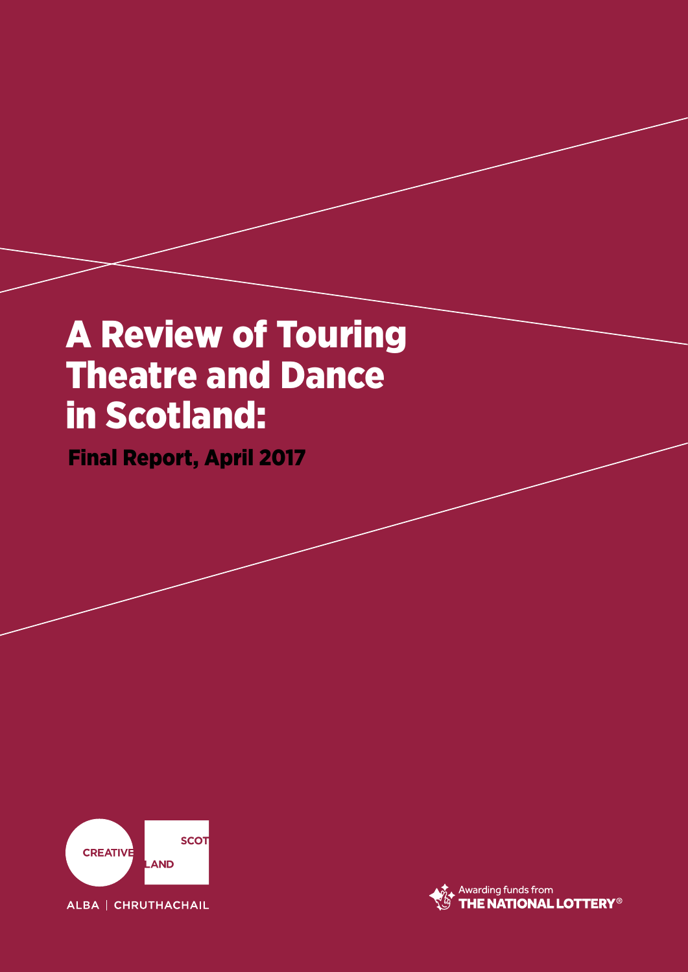# A Review of Touring Theatre and Dance in Scotland:

Final Report, April 2017



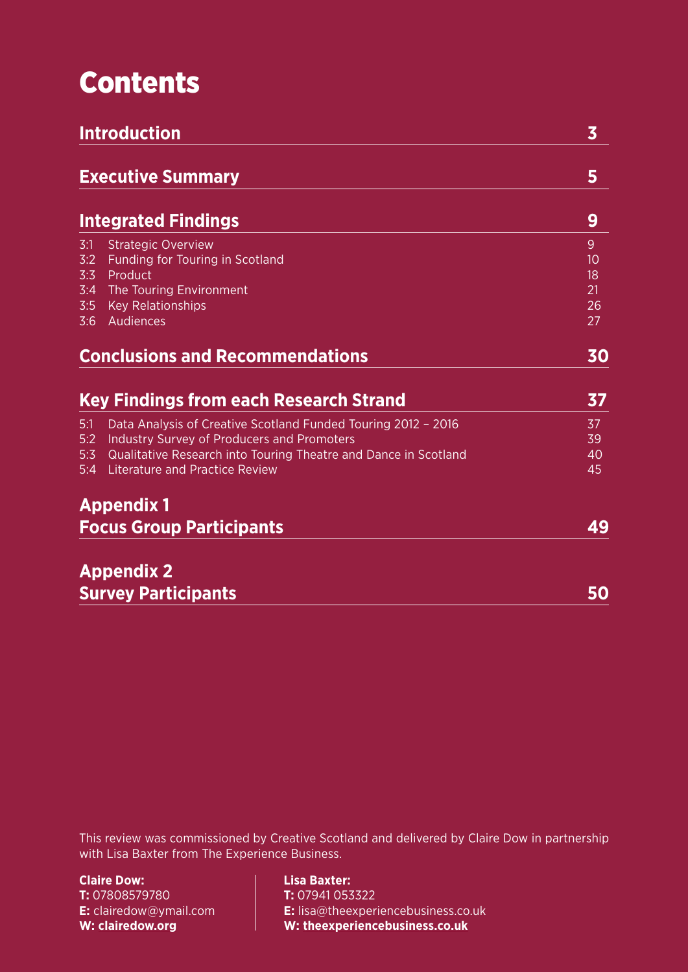# Contents

| <b>Introduction</b>                    | $\overline{\mathbf{3}}$                                         |    |
|----------------------------------------|-----------------------------------------------------------------|----|
|                                        | <b>Executive Summary</b>                                        | 5  |
|                                        | <b>Integrated Findings</b>                                      | 9  |
| 3:1                                    | <b>Strategic Overview</b>                                       | 9  |
| 3:2                                    | Funding for Touring in Scotland                                 | 10 |
| 3:3                                    | Product                                                         | 18 |
| 3:4                                    | The Touring Environment                                         | 21 |
| 3:5                                    | <b>Key Relationships</b>                                        | 26 |
| 3:6                                    | Audiences                                                       | 27 |
| <b>Conclusions and Recommendations</b> | 30                                                              |    |
|                                        | <b>Key Findings from each Research Strand</b>                   | 37 |
| 5:1                                    | Data Analysis of Creative Scotland Funded Touring 2012 - 2016   | 37 |
| 5:2                                    | Industry Survey of Producers and Promoters                      | 39 |
| 5:3                                    | Qualitative Research into Touring Theatre and Dance in Scotland | 40 |
| 5:4                                    | <b>Literature and Practice Review</b>                           | 45 |
|                                        | <b>Appendix 1</b>                                               |    |
|                                        | <b>Focus Group Participants</b>                                 | 49 |
|                                        | <b>Appendix 2</b>                                               |    |
|                                        | <b>Survey Participants</b>                                      | 50 |

This review was commissioned by Creative Scotland and delivered by Claire Dow in partnership with Lisa Baxter from The Experience Business.

**Claire Dow: T:** 07808579780 **E:** clairedow@ymail.com **W: [clairedow.org](http://www.clairedow.org/)**

**Lisa Baxter: T:** 07941 053322 **E:** lisa@theexperiencebusiness.co.uk **W: [theexperiencebusiness.co.uk](http://www.theexperiencebusiness.co.uk/)**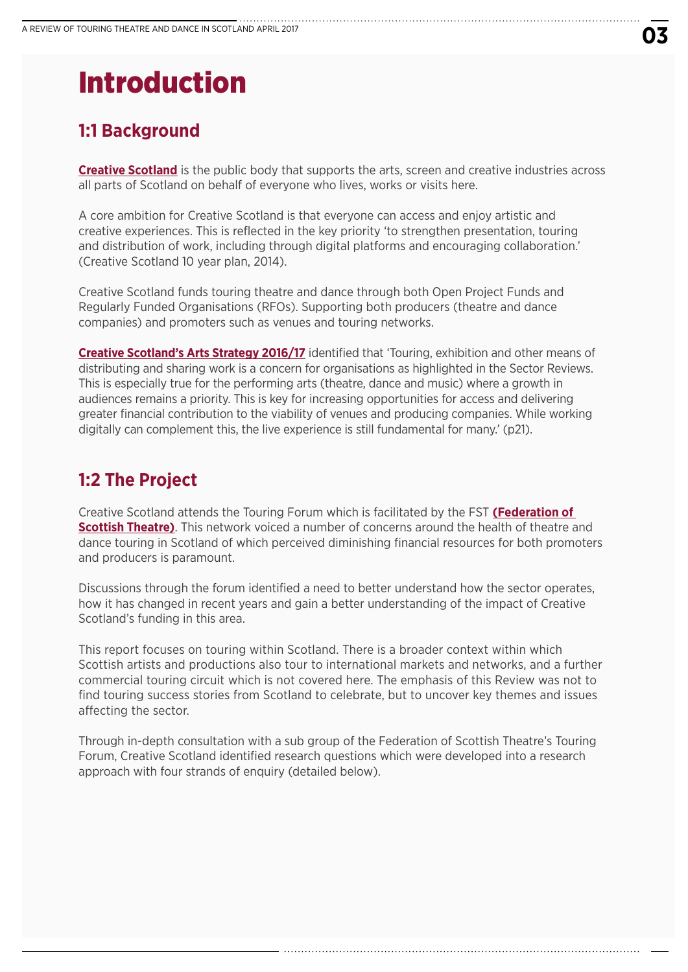# Introduction

# **1:1 Background**

**[Creative Scotland](www.creativescotland.com)** is the public body that supports the arts, screen and creative industries across all parts of Scotland on behalf of everyone who lives, works or visits here.

A core ambition for Creative Scotland is that everyone can access and enjoy artistic and creative experiences. This is reflected in the key priority 'to strengthen presentation, touring and distribution of work, including through digital platforms and encouraging collaboration.' (Creative Scotland 10 year plan, 2014).

Creative Scotland funds touring theatre and dance through both Open Project Funds and Regularly Funded Organisations (RFOs). Supporting both producers (theatre and dance companies) and promoters such as venues and touring networks.

**[Creative Scotland's Arts Strategy 2016/17](http://www.creativescotland.com/resources/our-publications/plans-and-strategy-documents/arts-strategy-2016-17)** identified that 'Touring, exhibition and other means of distributing and sharing work is a concern for organisations as highlighted in the Sector Reviews. This is especially true for the performing arts (theatre, dance and music) where a growth in audiences remains a priority. This is key for increasing opportunities for access and delivering greater financial contribution to the viability of venues and producing companies. While working digitally can complement this, the live experience is still fundamental for many.' (p21).

# **1:2 The Project**

Creative Scotland attends the Touring Forum which is facilitated by the FST **[\(Federation of](www.scottishtheatre.org/)  [Scottish Theatre\)](www.scottishtheatre.org/)**. This network voiced a number of concerns around the health of theatre and dance touring in Scotland of which perceived diminishing financial resources for both promoters and producers is paramount.

Discussions through the forum identified a need to better understand how the sector operates, how it has changed in recent years and gain a better understanding of the impact of Creative Scotland's funding in this area.

This report focuses on touring within Scotland. There is a broader context within which Scottish artists and productions also tour to international markets and networks, and a further commercial touring circuit which is not covered here. The emphasis of this Review was not to find touring success stories from Scotland to celebrate, but to uncover key themes and issues affecting the sector.

Through in-depth consultation with a sub group of the Federation of Scottish Theatre's Touring Forum, Creative Scotland identified research questions which were developed into a research approach with four strands of enquiry (detailed below).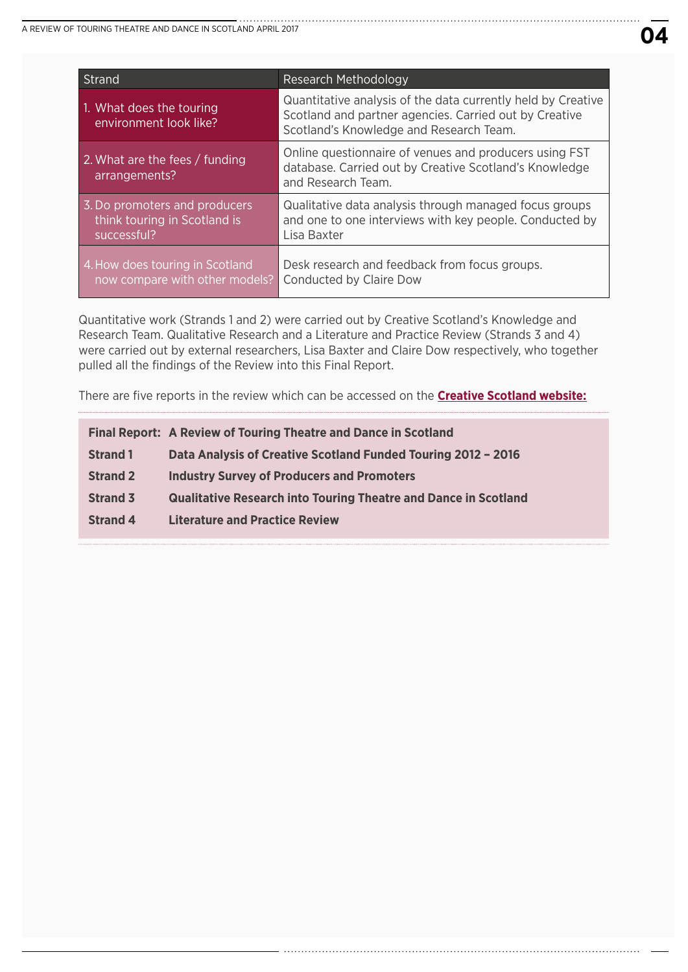| <b>Strand</b>                                                                | <b>Research Methodology</b>                                                                                                                                       |
|------------------------------------------------------------------------------|-------------------------------------------------------------------------------------------------------------------------------------------------------------------|
| 1. What does the touring<br>environment look like?                           | Quantitative analysis of the data currently held by Creative<br>Scotland and partner agencies. Carried out by Creative<br>Scotland's Knowledge and Research Team. |
| 2. What are the fees / funding<br>arrangements?                              | Online questionnaire of venues and producers using FST<br>database. Carried out by Creative Scotland's Knowledge<br>and Research Team.                            |
| 3. Do promoters and producers<br>think touring in Scotland is<br>successful? | Qualitative data analysis through managed focus groups<br>and one to one interviews with key people. Conducted by<br>Lisa Baxter                                  |
| 4. How does touring in Scotland<br>now compare with other models?            | Desk research and feedback from focus groups.<br>Conducted by Claire Dow                                                                                          |

Quantitative work (Strands 1 and 2) were carried out by Creative Scotland's Knowledge and Research Team. Qualitative Research and a Literature and Practice Review (Strands 3 and 4) were carried out by external researchers, Lisa Baxter and Claire Dow respectively, who together pulled all the findings of the Review into this Final Report.

There are five reports in the review which can be accessed on the **[Creative Scotland website:](http://www.creativescotland.com/resources/professional-resources/research/creative-scotland-research)**

|                 | <b>Final Report: A Review of Touring Theatre and Dance in Scotland</b> |
|-----------------|------------------------------------------------------------------------|
| <b>Strand 1</b> | Data Analysis of Creative Scotland Funded Touring 2012 - 2016          |
| <b>Strand 2</b> | <b>Industry Survey of Producers and Promoters</b>                      |
| <b>Strand 3</b> | <b>Qualitative Research into Touring Theatre and Dance in Scotland</b> |
| <b>Strand 4</b> | <b>Literature and Practice Review</b>                                  |
|                 |                                                                        |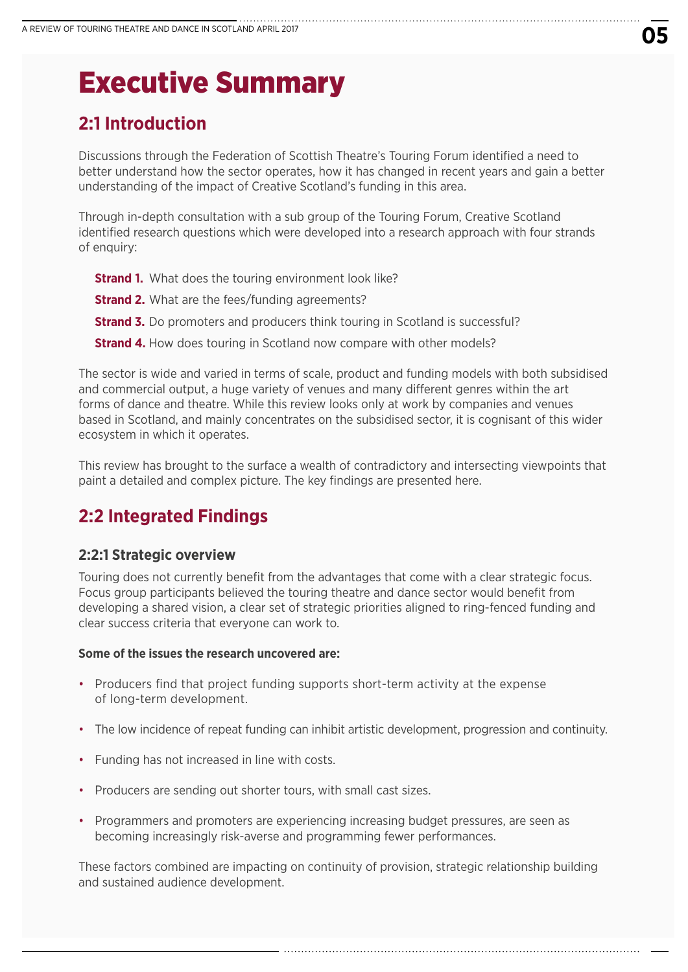# Executive Summary

# **2:1 Introduction**

Discussions through the Federation of Scottish Theatre's Touring Forum identified a need to better understand how the sector operates, how it has changed in recent years and gain a better understanding of the impact of Creative Scotland's funding in this area.

Through in-depth consultation with a sub group of the Touring Forum, Creative Scotland identified research questions which were developed into a research approach with four strands of enquiry:

- **Strand 1.** What does the touring environment look like?
- **Strand 2.** What are the fees/funding agreements?
- **Strand 3.** Do promoters and producers think touring in Scotland is successful?
- **Strand 4.** How does touring in Scotland now compare with other models?

The sector is wide and varied in terms of scale, product and funding models with both subsidised and commercial output, a huge variety of venues and many different genres within the art forms of dance and theatre. While this review looks only at work by companies and venues based in Scotland, and mainly concentrates on the subsidised sector, it is cognisant of this wider ecosystem in which it operates.

This review has brought to the surface a wealth of contradictory and intersecting viewpoints that paint a detailed and complex picture. The key findings are presented here.

# **2:2 Integrated Findings**

### **2:2:1 Strategic overview**

Touring does not currently benefit from the advantages that come with a clear strategic focus. Focus group participants believed the touring theatre and dance sector would benefit from developing a shared vision, a clear set of strategic priorities aligned to ring-fenced funding and clear success criteria that everyone can work to.

#### **Some of the issues the research uncovered are:**

- Producers find that project funding supports short-term activity at the expense of long-term development.
- The low incidence of repeat funding can inhibit artistic development, progression and continuity.
- Funding has not increased in line with costs.
- Producers are sending out shorter tours, with small cast sizes.
- Programmers and promoters are experiencing increasing budget pressures, are seen as becoming increasingly risk-averse and programming fewer performances.

These factors combined are impacting on continuity of provision, strategic relationship building and sustained audience development.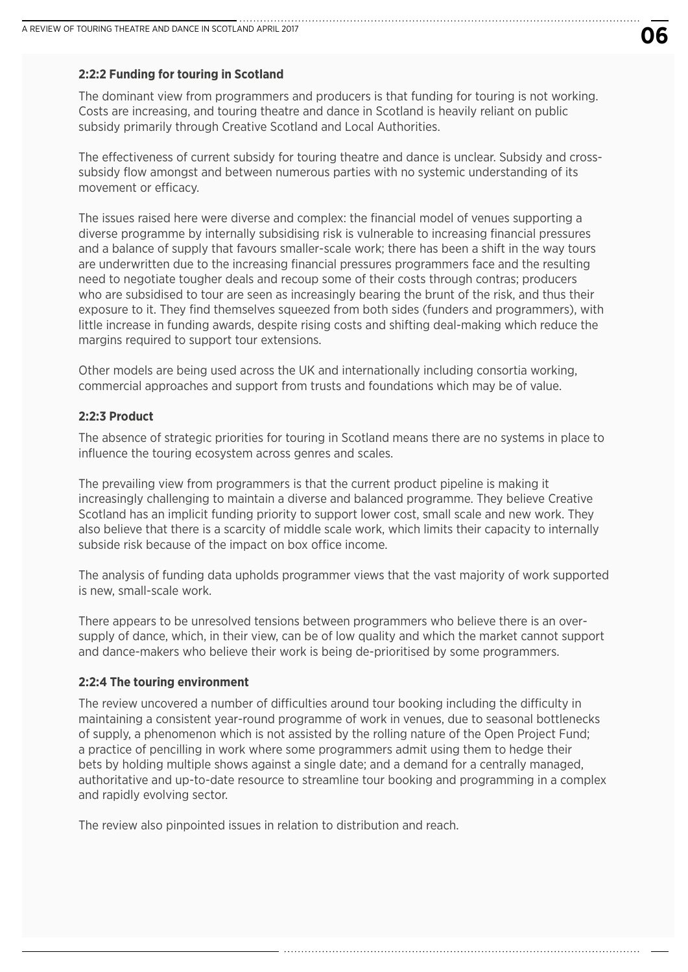#### **2:2:2 Funding for touring in Scotland**

The dominant view from programmers and producers is that funding for touring is not working. Costs are increasing, and touring theatre and dance in Scotland is heavily reliant on public subsidy primarily through Creative Scotland and Local Authorities.

The effectiveness of current subsidy for touring theatre and dance is unclear. Subsidy and crosssubsidy flow amongst and between numerous parties with no systemic understanding of its movement or efficacy.

The issues raised here were diverse and complex: the financial model of venues supporting a diverse programme by internally subsidising risk is vulnerable to increasing financial pressures and a balance of supply that favours smaller-scale work; there has been a shift in the way tours are underwritten due to the increasing financial pressures programmers face and the resulting need to negotiate tougher deals and recoup some of their costs through contras; producers who are subsidised to tour are seen as increasingly bearing the brunt of the risk, and thus their exposure to it. They find themselves squeezed from both sides (funders and programmers), with little increase in funding awards, despite rising costs and shifting deal-making which reduce the margins required to support tour extensions.

Other models are being used across the UK and internationally including consortia working, commercial approaches and support from trusts and foundations which may be of value.

#### **2:2:3 Product**

The absence of strategic priorities for touring in Scotland means there are no systems in place to influence the touring ecosystem across genres and scales.

The prevailing view from programmers is that the current product pipeline is making it increasingly challenging to maintain a diverse and balanced programme. They believe Creative Scotland has an implicit funding priority to support lower cost, small scale and new work. They also believe that there is a scarcity of middle scale work, which limits their capacity to internally subside risk because of the impact on box office income.

The analysis of funding data upholds programmer views that the vast majority of work supported is new, small-scale work.

There appears to be unresolved tensions between programmers who believe there is an oversupply of dance, which, in their view, can be of low quality and which the market cannot support and dance-makers who believe their work is being de-prioritised by some programmers.

#### **2:2:4 The touring environment**

The review uncovered a number of difficulties around tour booking including the difficulty in maintaining a consistent year-round programme of work in venues, due to seasonal bottlenecks of supply, a phenomenon which is not assisted by the rolling nature of the Open Project Fund; a practice of pencilling in work where some programmers admit using them to hedge their bets by holding multiple shows against a single date; and a demand for a centrally managed, authoritative and up-to-date resource to streamline tour booking and programming in a complex and rapidly evolving sector.

The review also pinpointed issues in relation to distribution and reach.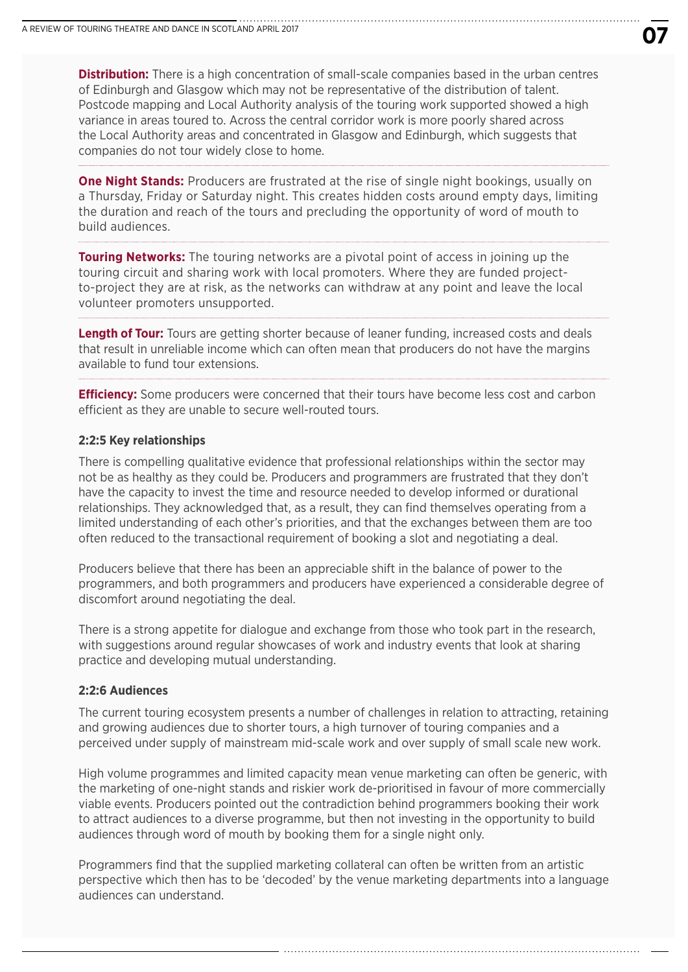**Distribution:** There is a high concentration of small-scale companies based in the urban centres of Edinburgh and Glasgow which may not be representative of the distribution of talent. Postcode mapping and Local Authority analysis of the touring work supported showed a high variance in areas toured to. Across the central corridor work is more poorly shared across the Local Authority areas and concentrated in Glasgow and Edinburgh, which suggests that companies do not tour widely close to home.

**One Night Stands:** Producers are frustrated at the rise of single night bookings, usually on a Thursday, Friday or Saturday night. This creates hidden costs around empty days, limiting the duration and reach of the tours and precluding the opportunity of word of mouth to build audiences.

**Touring Networks:** The touring networks are a pivotal point of access in joining up the touring circuit and sharing work with local promoters. Where they are funded projectto-project they are at risk, as the networks can withdraw at any point and leave the local volunteer promoters unsupported.

**Length of Tour:** Tours are getting shorter because of leaner funding, increased costs and deals that result in unreliable income which can often mean that producers do not have the margins available to fund tour extensions.

**Efficiency:** Some producers were concerned that their tours have become less cost and carbon efficient as they are unable to secure well-routed tours.

#### **2:2:5 Key relationships**

There is compelling qualitative evidence that professional relationships within the sector may not be as healthy as they could be. Producers and programmers are frustrated that they don't have the capacity to invest the time and resource needed to develop informed or durational relationships. They acknowledged that, as a result, they can find themselves operating from a limited understanding of each other's priorities, and that the exchanges between them are too often reduced to the transactional requirement of booking a slot and negotiating a deal.

Producers believe that there has been an appreciable shift in the balance of power to the programmers, and both programmers and producers have experienced a considerable degree of discomfort around negotiating the deal.

There is a strong appetite for dialogue and exchange from those who took part in the research, with suggestions around regular showcases of work and industry events that look at sharing practice and developing mutual understanding.

#### **2:2:6 Audiences**

The current touring ecosystem presents a number of challenges in relation to attracting, retaining and growing audiences due to shorter tours, a high turnover of touring companies and a perceived under supply of mainstream mid-scale work and over supply of small scale new work.

High volume programmes and limited capacity mean venue marketing can often be generic, with the marketing of one-night stands and riskier work de-prioritised in favour of more commercially viable events. Producers pointed out the contradiction behind programmers booking their work to attract audiences to a diverse programme, but then not investing in the opportunity to build audiences through word of mouth by booking them for a single night only.

Programmers find that the supplied marketing collateral can often be written from an artistic perspective which then has to be 'decoded' by the venue marketing departments into a language audiences can understand.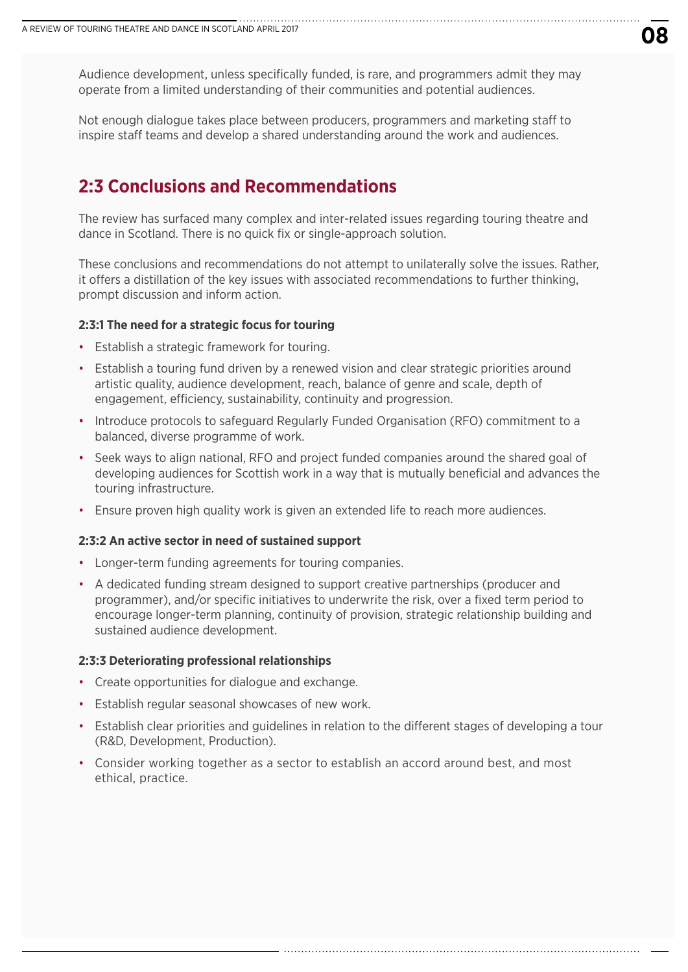Audience development, unless specifically funded, is rare, and programmers admit they may operate from a limited understanding of their communities and potential audiences.

Not enough dialogue takes place between producers, programmers and marketing staff to inspire staff teams and develop a shared understanding around the work and audiences.

## **2:3 Conclusions and Recommendations**

The review has surfaced many complex and inter-related issues regarding touring theatre and dance in Scotland. There is no quick fix or single-approach solution.

These conclusions and recommendations do not attempt to unilaterally solve the issues. Rather, it offers a distillation of the key issues with associated recommendations to further thinking, prompt discussion and inform action.

#### **2:3:1 The need for a strategic focus for touring**

- Establish a strategic framework for touring.
- Establish a touring fund driven by a renewed vision and clear strategic priorities around artistic quality, audience development, reach, balance of genre and scale, depth of engagement, efficiency, sustainability, continuity and progression.
- Introduce protocols to safeguard Regularly Funded Organisation (RFO) commitment to a balanced, diverse programme of work.
- Seek ways to align national, RFO and project funded companies around the shared goal of developing audiences for Scottish work in a way that is mutually beneficial and advances the touring infrastructure.
- Ensure proven high quality work is given an extended life to reach more audiences.

#### **2:3:2 An active sector in need of sustained support**

- Longer-term funding agreements for touring companies.
- A dedicated funding stream designed to support creative partnerships (producer and programmer), and/or specific initiatives to underwrite the risk, over a fixed term period to encourage longer-term planning, continuity of provision, strategic relationship building and sustained audience development.

#### **2:3:3 Deteriorating professional relationships**

- Create opportunities for dialogue and exchange.
- Establish regular seasonal showcases of new work.
- Establish clear priorities and guidelines in relation to the different stages of developing a tour (R&D, Development, Production).
- Consider working together as a sector to establish an accord around best, and most ethical, practice.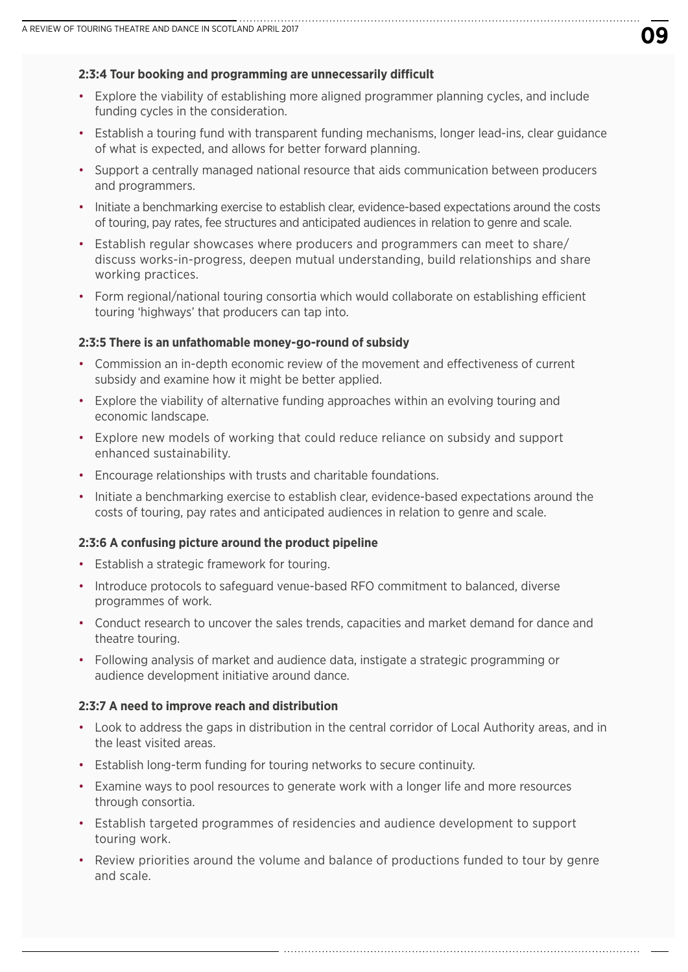#### **2:3:4 Tour booking and programming are unnecessarily difficult**

- Explore the viability of establishing more aligned programmer planning cycles, and include funding cycles in the consideration.
- Establish a touring fund with transparent funding mechanisms, longer lead-ins, clear guidance of what is expected, and allows for better forward planning.
- Support a centrally managed national resource that aids communication between producers and programmers.
- Initiate a benchmarking exercise to establish clear, evidence-based expectations around the costs of touring, pay rates, fee structures and anticipated audiences in relation to genre and scale.
- Establish regular showcases where producers and programmers can meet to share/ discuss works-in-progress, deepen mutual understanding, build relationships and share working practices.
- Form regional/national touring consortia which would collaborate on establishing efficient touring 'highways' that producers can tap into.

#### **2:3:5 There is an unfathomable money-go-round of subsidy**

- Commission an in-depth economic review of the movement and effectiveness of current subsidy and examine how it might be better applied.
- Explore the viability of alternative funding approaches within an evolving touring and economic landscape.
- Explore new models of working that could reduce reliance on subsidy and support enhanced sustainability.
- Encourage relationships with trusts and charitable foundations.
- Initiate a benchmarking exercise to establish clear, evidence-based expectations around the costs of touring, pay rates and anticipated audiences in relation to genre and scale.

#### **2:3:6 A confusing picture around the product pipeline**

- Establish a strategic framework for touring.
- Introduce protocols to safeguard venue-based RFO commitment to balanced, diverse programmes of work.
- Conduct research to uncover the sales trends, capacities and market demand for dance and theatre touring.
- Following analysis of market and audience data, instigate a strategic programming or audience development initiative around dance.

#### **2:3:7 A need to improve reach and distribution**

- Look to address the gaps in distribution in the central corridor of Local Authority areas, and in the least visited areas.
- Establish long-term funding for touring networks to secure continuity.
- Examine ways to pool resources to generate work with a longer life and more resources through consortia.
- Establish targeted programmes of residencies and audience development to support touring work.
- Review priorities around the volume and balance of productions funded to tour by genre and scale.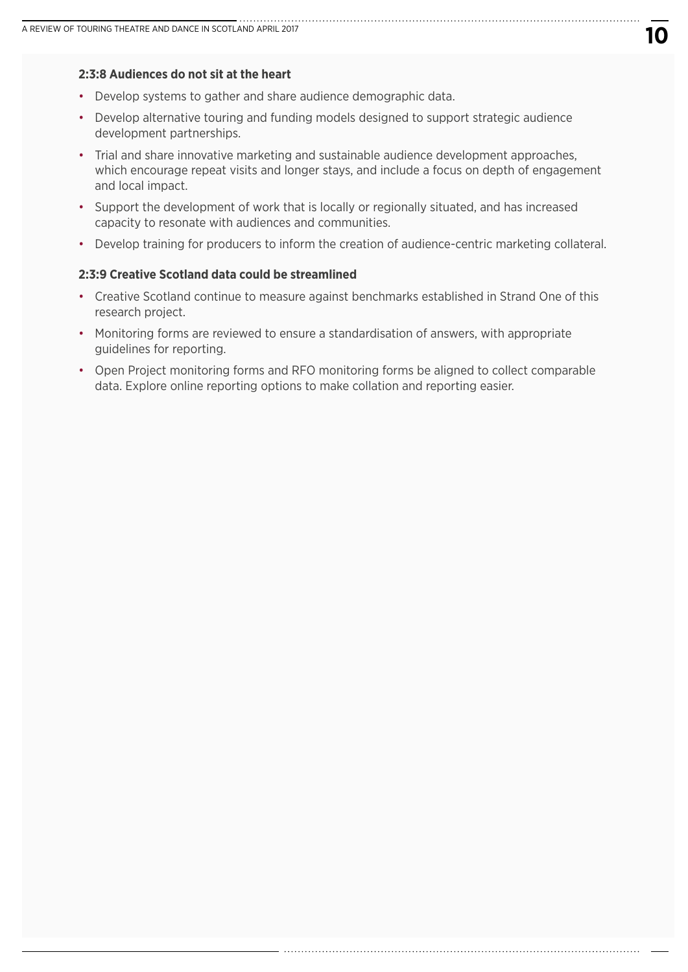#### **2:3:8 Audiences do not sit at the heart**

- Develop systems to gather and share audience demographic data.
- Develop alternative touring and funding models designed to support strategic audience development partnerships.
- Trial and share innovative marketing and sustainable audience development approaches, which encourage repeat visits and longer stays, and include a focus on depth of engagement and local impact.
- Support the development of work that is locally or regionally situated, and has increased capacity to resonate with audiences and communities.
- Develop training for producers to inform the creation of audience-centric marketing collateral.

#### **2:3:9 Creative Scotland data could be streamlined**

- Creative Scotland continue to measure against benchmarks established in Strand One of this research project.
- Monitoring forms are reviewed to ensure a standardisation of answers, with appropriate guidelines for reporting.
- Open Project monitoring forms and RFO monitoring forms be aligned to collect comparable data. Explore online reporting options to make collation and reporting easier.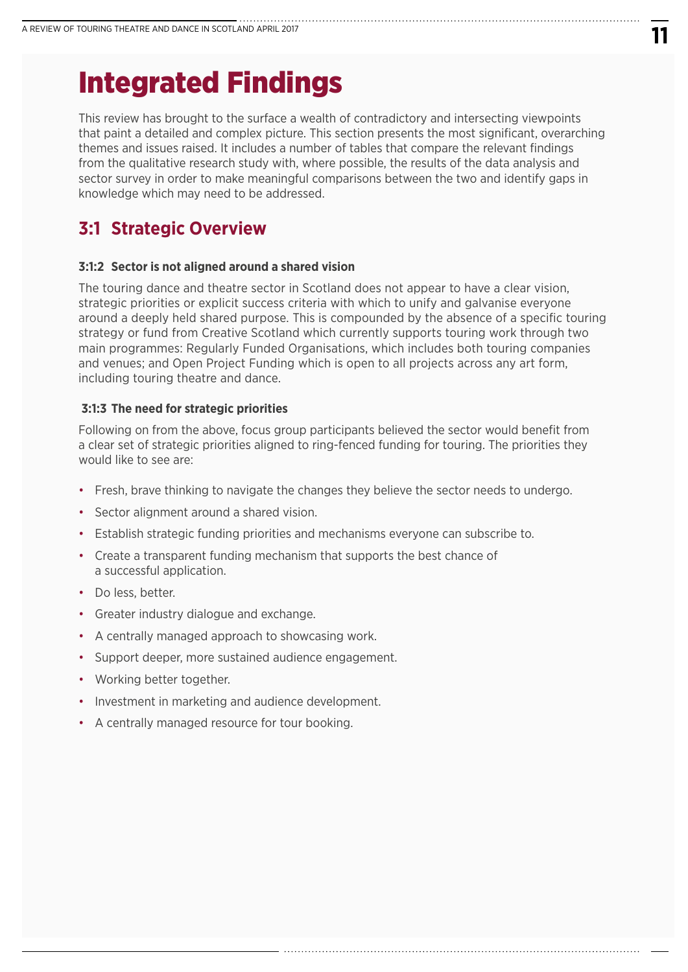# Integrated Findings

This review has brought to the surface a wealth of contradictory and intersecting viewpoints that paint a detailed and complex picture. This section presents the most significant, overarching themes and issues raised. It includes a number of tables that compare the relevant findings from the qualitative research study with, where possible, the results of the data analysis and sector survey in order to make meaningful comparisons between the two and identify gaps in knowledge which may need to be addressed.

# **3:1 Strategic Overview**

#### **3:1:2 Sector is not aligned around a shared vision**

The touring dance and theatre sector in Scotland does not appear to have a clear vision, strategic priorities or explicit success criteria with which to unify and galvanise everyone around a deeply held shared purpose. This is compounded by the absence of a specific touring strategy or fund from Creative Scotland which currently supports touring work through two main programmes: Regularly Funded Organisations, which includes both touring companies and venues; and Open Project Funding which is open to all projects across any art form, including touring theatre and dance.

#### **3:1:3 The need for strategic priorities**

Following on from the above, focus group participants believed the sector would benefit from a clear set of strategic priorities aligned to ring-fenced funding for touring. The priorities they would like to see are:

- Fresh, brave thinking to navigate the changes they believe the sector needs to undergo.
- Sector alignment around a shared vision.
- Establish strategic funding priorities and mechanisms everyone can subscribe to.
- Create a transparent funding mechanism that supports the best chance of a successful application.
- Do less, better.
- Greater industry dialogue and exchange.
- A centrally managed approach to showcasing work.
- Support deeper, more sustained audience engagement.
- Working better together.
- Investment in marketing and audience development.
- A centrally managed resource for tour booking.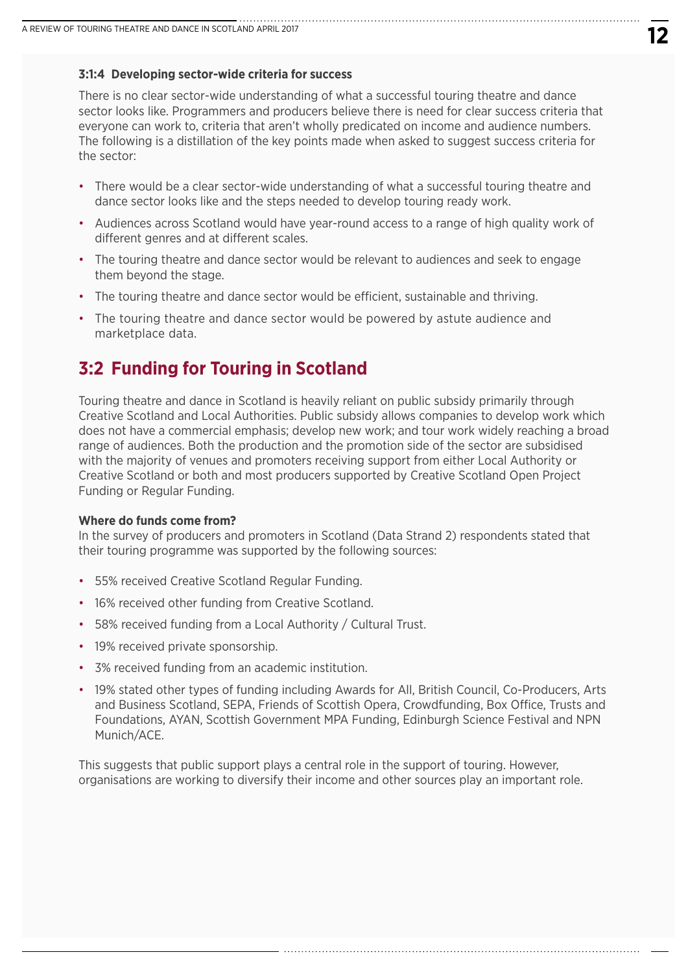#### **3:1:4 Developing sector-wide criteria for success**

There is no clear sector-wide understanding of what a successful touring theatre and dance sector looks like. Programmers and producers believe there is need for clear success criteria that everyone can work to, criteria that aren't wholly predicated on income and audience numbers. The following is a distillation of the key points made when asked to suggest success criteria for the sector:

- There would be a clear sector-wide understanding of what a successful touring theatre and dance sector looks like and the steps needed to develop touring ready work.
- Audiences across Scotland would have year-round access to a range of high quality work of different genres and at different scales.
- The touring theatre and dance sector would be relevant to audiences and seek to engage them beyond the stage.
- The touring theatre and dance sector would be efficient, sustainable and thriving.
- The touring theatre and dance sector would be powered by astute audience and marketplace data.

# **3:2 Funding for Touring in Scotland**

Touring theatre and dance in Scotland is heavily reliant on public subsidy primarily through Creative Scotland and Local Authorities. Public subsidy allows companies to develop work which does not have a commercial emphasis; develop new work; and tour work widely reaching a broad range of audiences. Both the production and the promotion side of the sector are subsidised with the majority of venues and promoters receiving support from either Local Authority or Creative Scotland or both and most producers supported by Creative Scotland Open Project Funding or Regular Funding.

#### **Where do funds come from?**

In the survey of producers and promoters in Scotland (Data Strand 2) respondents stated that their touring programme was supported by the following sources:

- 55% received Creative Scotland Regular Funding.
- 16% received other funding from Creative Scotland.
- 58% received funding from a Local Authority / Cultural Trust.
- 19% received private sponsorship.
- 3% received funding from an academic institution.
- 19% stated other types of funding including Awards for All, British Council, Co-Producers, Arts and Business Scotland, SEPA, Friends of Scottish Opera, Crowdfunding, Box Office, Trusts and Foundations, AYAN, Scottish Government MPA Funding, Edinburgh Science Festival and NPN Munich/ACE.

This suggests that public support plays a central role in the support of touring. However, organisations are working to diversify their income and other sources play an important role.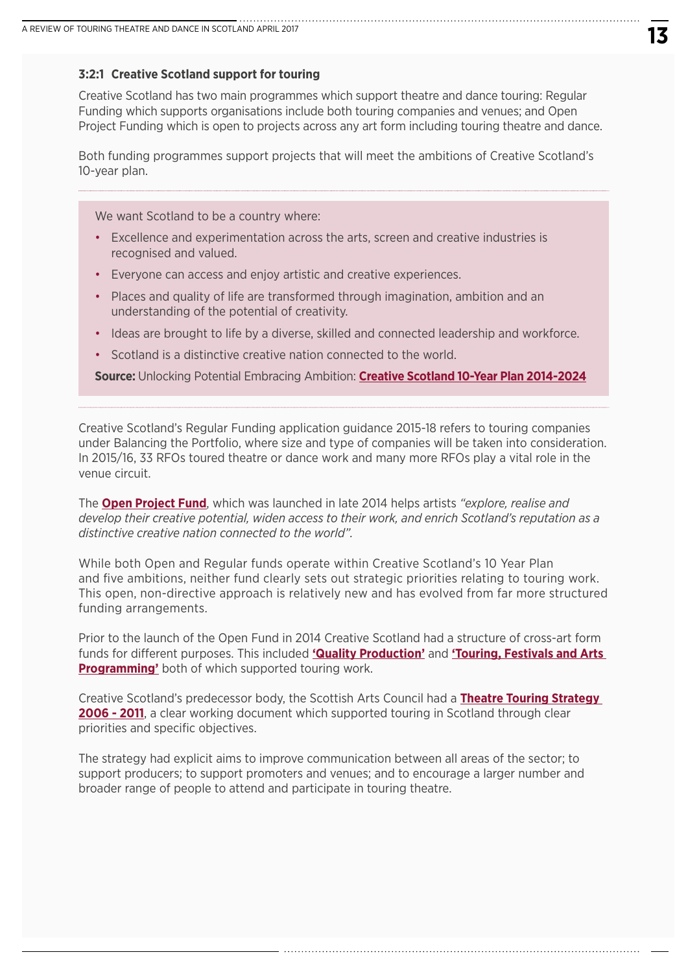#### **3:2:1 Creative Scotland support for touring**

Creative Scotland has two main programmes which support theatre and dance touring: Regular Funding which supports organisations include both touring companies and venues; and Open Project Funding which is open to projects across any art form including touring theatre and dance.

Both funding programmes support projects that will meet the ambitions of Creative Scotland's 10-year plan.

We want Scotland to be a country where:

- Excellence and experimentation across the arts, screen and creative industries is recognised and valued.
- Everyone can access and enjoy artistic and creative experiences.
- Places and quality of life are transformed through imagination, ambition and an understanding of the potential of creativity.
- Ideas are brought to life by a diverse, skilled and connected leadership and workforce.
- Scotland is a distinctive creative nation connected to the world.

**Source:** Unlocking Potential Embracing Ambition: **[Creative Scotland 10-Year Plan 2014-2024](http://www.creativescotland.com/resources/our-publications/plans-and-strategy-documents/strategic-plans/creative-scotland-10-year-plan-unlocking-potential-embracing-ambition)**

Creative Scotland's Regular Funding application guidance 2015-18 refers to touring companies under Balancing the Portfolio, where size and type of companies will be taken into consideration. In 2015/16, 33 RFOs toured theatre or dance work and many more RFOs play a vital role in the venue circuit.

The **[Open Project Fund](www.creativescotland.com/funding/funding-programmes/open-project-funding)**, which was launched in late 2014 helps artists *"explore, realise and develop their creative potential, widen access to their work, and enrich Scotland's reputation as a distinctive creative nation connected to the world".*

While both Open and Regular funds operate within Creative Scotland's 10 Year Plan and five ambitions, neither fund clearly sets out strategic priorities relating to touring work. This open, non-directive approach is relatively new and has evolved from far more structured funding arrangements.

Prior to the launch of the Open Fund in 2014 Creative Scotland had a structure of cross-art form funds for different purposes. This included **['Quality Production'](http://www.creativescotland.com/funding/archive/quality-production)** and **['Touring, Festivals and Arts](http://www.creativescotland.com/funding/archive/touring-festivals-and-arts-programming)  [Programming'](http://www.creativescotland.com/funding/archive/touring-festivals-and-arts-programming)** both of which supported touring work.

Creative Scotland's predecessor body, the Scottish Arts Council had a **[Theatre Touring Strategy](http://www.scottisharts.org.uk/1/information/publications/1004236.aspx)  [2006 - 2011](http://www.scottisharts.org.uk/1/information/publications/1004236.aspx)**, a clear working document which supported touring in Scotland through clear priorities and specific objectives.

The strategy had explicit aims to improve communication between all areas of the sector; to support producers; to support promoters and venues; and to encourage a larger number and broader range of people to attend and participate in touring theatre.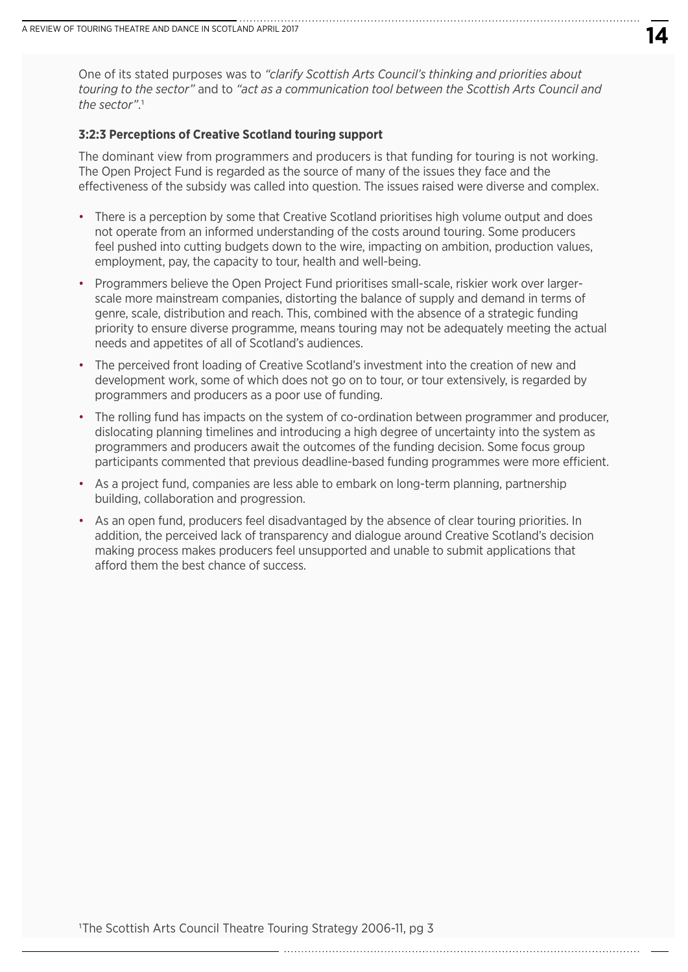One of its stated purposes was to *"clarify Scottish Arts Council's thinking and priorities about touring to the sector"* and to *"act as a communication tool between the Scottish Arts Council and the sector"*.1

#### **3:2:3 Perceptions of Creative Scotland touring support**

The dominant view from programmers and producers is that funding for touring is not working. The Open Project Fund is regarded as the source of many of the issues they face and the effectiveness of the subsidy was called into question. The issues raised were diverse and complex.

- There is a perception by some that Creative Scotland prioritises high volume output and does not operate from an informed understanding of the costs around touring. Some producers feel pushed into cutting budgets down to the wire, impacting on ambition, production values, employment, pay, the capacity to tour, health and well-being.
- Programmers believe the Open Project Fund prioritises small-scale, riskier work over largerscale more mainstream companies, distorting the balance of supply and demand in terms of genre, scale, distribution and reach. This, combined with the absence of a strategic funding priority to ensure diverse programme, means touring may not be adequately meeting the actual needs and appetites of all of Scotland's audiences.
- The perceived front loading of Creative Scotland's investment into the creation of new and development work, some of which does not go on to tour, or tour extensively, is regarded by programmers and producers as a poor use of funding.
- The rolling fund has impacts on the system of co-ordination between programmer and producer, dislocating planning timelines and introducing a high degree of uncertainty into the system as programmers and producers await the outcomes of the funding decision. Some focus group participants commented that previous deadline-based funding programmes were more efficient.
- As a project fund, companies are less able to embark on long-term planning, partnership building, collaboration and progression.
- As an open fund, producers feel disadvantaged by the absence of clear touring priorities. In addition, the perceived lack of transparency and dialogue around Creative Scotland's decision making process makes producers feel unsupported and unable to submit applications that afford them the best chance of success.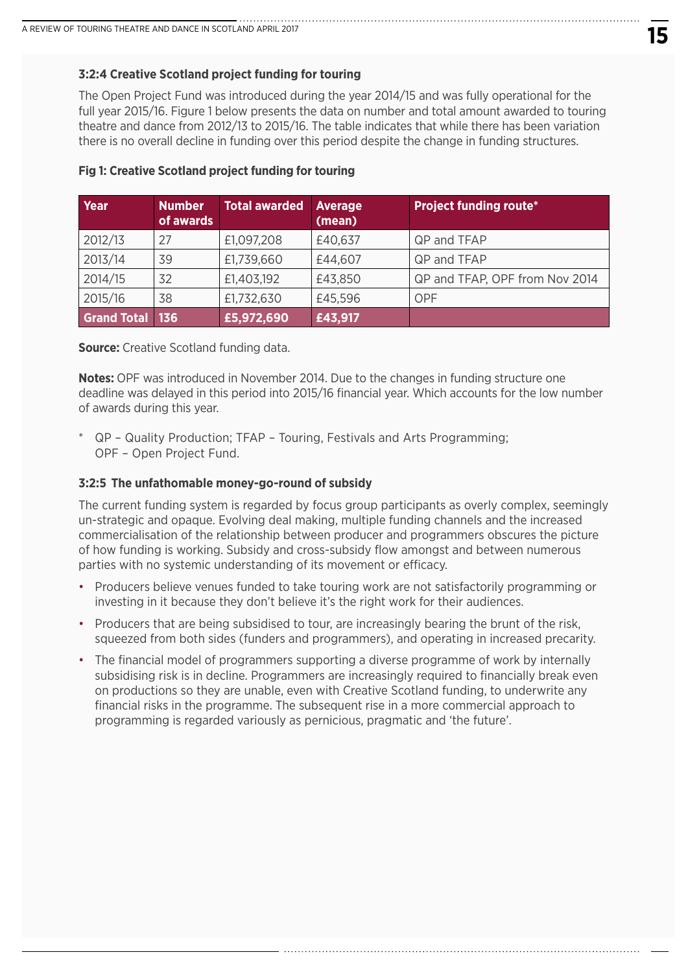#### **3:2:4 Creative Scotland project funding for touring**

The Open Project Fund was introduced during the year 2014/15 and was fully operational for the full year 2015/16. Figure 1 below presents the data on number and total amount awarded to touring theatre and dance from 2012/13 to 2015/16. The table indicates that while there has been variation there is no overall decline in funding over this period despite the change in funding structures.

| Year               | <b>Number</b><br>of awards | <b>Total awarded</b> | <b>Average</b><br>(mean) | <b>Project funding route*</b>  |
|--------------------|----------------------------|----------------------|--------------------------|--------------------------------|
| 2012/13            | 27                         | £1,097,208           | £40,637                  | QP and TFAP                    |
| 2013/14            | 39                         | £1,739,660           | £44,607                  | QP and TFAP                    |
| 2014/15            | 32                         | £1,403,192           | £43,850                  | QP and TFAP, OPF from Nov 2014 |
| 2015/16            | 38                         | £1,732,630           | £45,596                  | <b>OPF</b>                     |
| <b>Grand Total</b> | <b>136</b>                 | £5,972,690           | £43,917                  |                                |

#### **Fig 1: Creative Scotland project funding for touring**

**Source:** Creative Scotland funding data.

**Notes:** OPF was introduced in November 2014. Due to the changes in funding structure one deadline was delayed in this period into 2015/16 financial year. Which accounts for the low number of awards during this year.

\* QP – Quality Production; TFAP – Touring, Festivals and Arts Programming; OPF – Open Project Fund.

#### **3:2:5 The unfathomable money-go-round of subsidy**

The current funding system is regarded by focus group participants as overly complex, seemingly un-strategic and opaque. Evolving deal making, multiple funding channels and the increased commercialisation of the relationship between producer and programmers obscures the picture of how funding is working. Subsidy and cross-subsidy flow amongst and between numerous parties with no systemic understanding of its movement or efficacy.

- Producers believe venues funded to take touring work are not satisfactorily programming or investing in it because they don't believe it's the right work for their audiences.
- Producers that are being subsidised to tour, are increasingly bearing the brunt of the risk, squeezed from both sides (funders and programmers), and operating in increased precarity.
- The financial model of programmers supporting a diverse programme of work by internally subsidising risk is in decline. Programmers are increasingly required to financially break even on productions so they are unable, even with Creative Scotland funding, to underwrite any financial risks in the programme. The subsequent rise in a more commercial approach to programming is regarded variously as pernicious, pragmatic and 'the future'.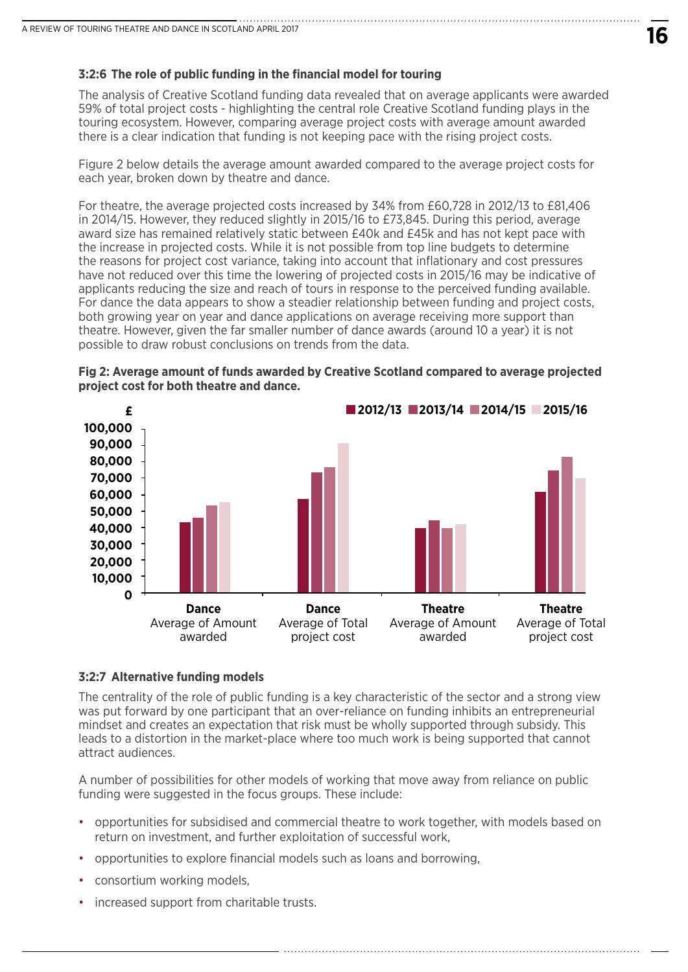#### **3:2:6 The role of public funding in the financial model for touring**

The analysis of Creative Scotland funding data revealed that on average applicants were awarded 59% of total project costs - highlighting the central role Creative Scotland funding plays in the touring ecosystem. However, comparing average project costs with average amount awarded there is a clear indication that funding is not keeping pace with the rising project costs.

Figure 2 below details the average amount awarded compared to the average project costs for each year, broken down by theatre and dance.

For theatre, the average projected costs increased by 34% from £60,728 in 2012/13 to £81,406 in 2014/15. However, they reduced slightly in 2015/16 to £73,845. During this period, average award size has remained relatively static between £40k and £45k and has not kept pace with the increase in projected costs. While it is not possible from top line budgets to determine the reasons for project cost variance, taking into account that inflationary and cost pressures have not reduced over this time the lowering of projected costs in 2015/16 may be indicative of applicants reducing the size and reach of tours in response to the perceived funding available. For dance the data appears to show a steadier relationship between funding and project costs, both growing year on year and dance applications on average receiving more support than theatre. However, given the far smaller number of dance awards (around 10 a year) it is not possible to draw robust conclusions on trends from the data.





#### **3:2:7 Alternative funding models**

The centrality of the role of public funding is a key characteristic of the sector and a strong view was put forward by one participant that an over-reliance on funding inhibits an entrepreneurial mindset and creates an expectation that risk must be wholly supported through subsidy. This leads to a distortion in the market-place where too much work is being supported that cannot attract audiences.

A number of possibilities for other models of working that move away from reliance on public funding were suggested in the focus groups. These include:

• opportunities for subsidised and commercial theatre to work together, with models based on return on investment, and further exploitation of successful work,

- opportunities to explore financial models such as loans and borrowing,
- consortium working models,
- increased support from charitable trusts.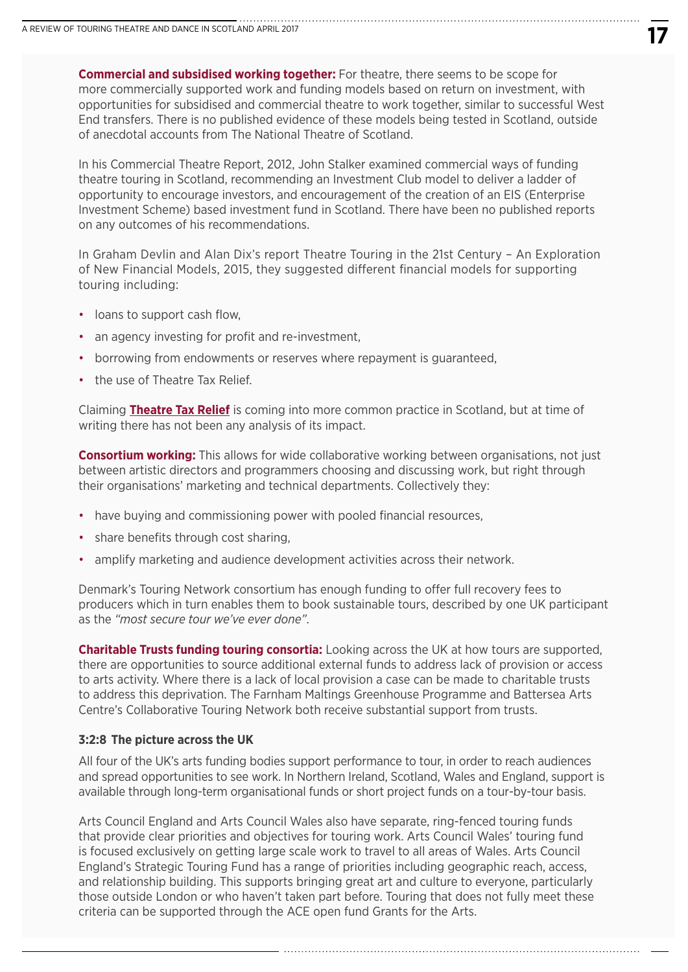**Commercial and subsidised working together:** For theatre, there seems to be scope for more commercially supported work and funding models based on return on investment, with opportunities for subsidised and commercial theatre to work together, similar to successful West End transfers. There is no published evidence of these models being tested in Scotland, outside of anecdotal accounts from The National Theatre of Scotland.

In his Commercial Theatre Report, 2012, John Stalker examined commercial ways of funding theatre touring in Scotland, recommending an Investment Club model to deliver a ladder of opportunity to encourage investors, and encouragement of the creation of an EIS (Enterprise Investment Scheme) based investment fund in Scotland. There have been no published reports on any outcomes of his recommendations.

In Graham Devlin and Alan Dix's report Theatre Touring in the 21st Century – An Exploration of New Financial Models, 2015, they suggested different financial models for supporting touring including:

- loans to support cash flow,
- an agency investing for profit and re-investment,
- borrowing from endowments or reserves where repayment is guaranteed,
- the use of Theatre Tax Relief

Claiming **[Theatre Tax Relief](https://www.gov.uk/hmrc-internal-manuals/theatre-tax-relief)** is coming into more common practice in Scotland, but at time of writing there has not been any analysis of its impact.

**Consortium working:** This allows for wide collaborative working between organisations, not just between artistic directors and programmers choosing and discussing work, but right through their organisations' marketing and technical departments. Collectively they:

- have buying and commissioning power with pooled financial resources,
- share benefits through cost sharing,
- amplify marketing and audience development activities across their network.

Denmark's Touring Network consortium has enough funding to offer full recovery fees to producers which in turn enables them to book sustainable tours, described by one UK participant as the *"most secure tour we've ever done"*.

**Charitable Trusts funding touring consortia:** Looking across the UK at how tours are supported, there are opportunities to source additional external funds to address lack of provision or access to arts activity. Where there is a lack of local provision a case can be made to charitable trusts to address this deprivation. The Farnham Maltings Greenhouse Programme and Battersea Arts Centre's Collaborative Touring Network both receive substantial support from trusts.

#### **3:2:8 The picture across the UK**

All four of the UK's arts funding bodies support performance to tour, in order to reach audiences and spread opportunities to see work. In Northern Ireland, Scotland, Wales and England, support is available through long-term organisational funds or short project funds on a tour-by-tour basis.

Arts Council England and Arts Council Wales also have separate, ring-fenced touring funds that provide clear priorities and objectives for touring work. Arts Council Wales' touring fund is focused exclusively on getting large scale work to travel to all areas of Wales. Arts Council England's Strategic Touring Fund has a range of priorities including geographic reach, access, and relationship building. This supports bringing great art and culture to everyone, particularly those outside London or who haven't taken part before. Touring that does not fully meet these criteria can be supported through the ACE open fund Grants for the Arts.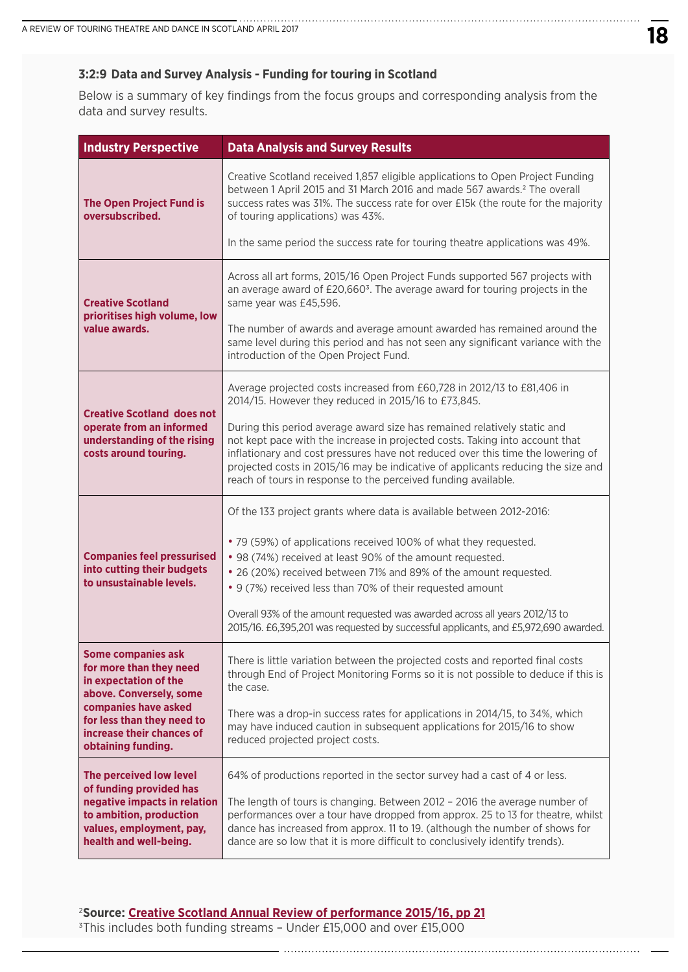#### **3:2:9 Data and Survey Analysis - Funding for touring in Scotland**

Below is a summary of key findings from the focus groups and corresponding analysis from the data and survey results.

| <b>Industry Perspective</b>                                                                                   | <b>Data Analysis and Survey Results</b>                                                                                                                                                                                                                                                                                                                                                           |
|---------------------------------------------------------------------------------------------------------------|---------------------------------------------------------------------------------------------------------------------------------------------------------------------------------------------------------------------------------------------------------------------------------------------------------------------------------------------------------------------------------------------------|
| <b>The Open Project Fund is</b><br>oversubscribed.                                                            | Creative Scotland received 1,857 eligible applications to Open Project Funding<br>between 1 April 2015 and 31 March 2016 and made 567 awards. <sup>2</sup> The overall<br>success rates was 31%. The success rate for over £15k (the route for the majority<br>of touring applications) was 43%.                                                                                                  |
|                                                                                                               | In the same period the success rate for touring theatre applications was 49%.                                                                                                                                                                                                                                                                                                                     |
| <b>Creative Scotland</b><br>prioritises high volume, low                                                      | Across all art forms, 2015/16 Open Project Funds supported 567 projects with<br>an average award of £20,660 <sup>3</sup> . The average award for touring projects in the<br>same year was £45,596.                                                                                                                                                                                                |
| value awards.                                                                                                 | The number of awards and average amount awarded has remained around the<br>same level during this period and has not seen any significant variance with the<br>introduction of the Open Project Fund.                                                                                                                                                                                             |
| <b>Creative Scotland does not</b>                                                                             | Average projected costs increased from £60,728 in 2012/13 to £81,406 in<br>2014/15. However they reduced in 2015/16 to £73,845.                                                                                                                                                                                                                                                                   |
| operate from an informed<br>understanding of the rising<br>costs around touring.                              | During this period average award size has remained relatively static and<br>not kept pace with the increase in projected costs. Taking into account that<br>inflationary and cost pressures have not reduced over this time the lowering of<br>projected costs in 2015/16 may be indicative of applicants reducing the size and<br>reach of tours in response to the perceived funding available. |
|                                                                                                               | Of the 133 project grants where data is available between 2012-2016:                                                                                                                                                                                                                                                                                                                              |
| <b>Companies feel pressurised</b><br>into cutting their budgets<br>to unsustainable levels.                   | • 79 (59%) of applications received 100% of what they requested.<br>• 98 (74%) received at least 90% of the amount requested.<br>• 26 (20%) received between 71% and 89% of the amount requested.<br>• 9 (7%) received less than 70% of their requested amount                                                                                                                                    |
|                                                                                                               | Overall 93% of the amount requested was awarded across all years 2012/13 to<br>2015/16. £6,395,201 was requested by successful applicants, and £5,972,690 awarded.                                                                                                                                                                                                                                |
| <b>Some companies ask</b><br>for more than they need<br>in expectation of the<br>above. Conversely, some      | There is little variation between the projected costs and reported final costs<br>through End of Project Monitoring Forms so it is not possible to deduce if this is<br>the case.                                                                                                                                                                                                                 |
| companies have asked<br>for less than they need to<br>increase their chances of<br>obtaining funding.         | There was a drop-in success rates for applications in 2014/15, to 34%, which<br>may have induced caution in subsequent applications for 2015/16 to show<br>reduced projected project costs.                                                                                                                                                                                                       |
| The perceived low level<br>of funding provided has                                                            | 64% of productions reported in the sector survey had a cast of 4 or less.                                                                                                                                                                                                                                                                                                                         |
| negative impacts in relation<br>to ambition, production<br>values, employment, pay,<br>health and well-being. | The length of tours is changing. Between 2012 - 2016 the average number of<br>performances over a tour have dropped from approx. 25 to 13 for theatre, whilst<br>dance has increased from approx. 11 to 19. (although the number of shows for<br>dance are so low that it is more difficult to conclusively identify trends).                                                                     |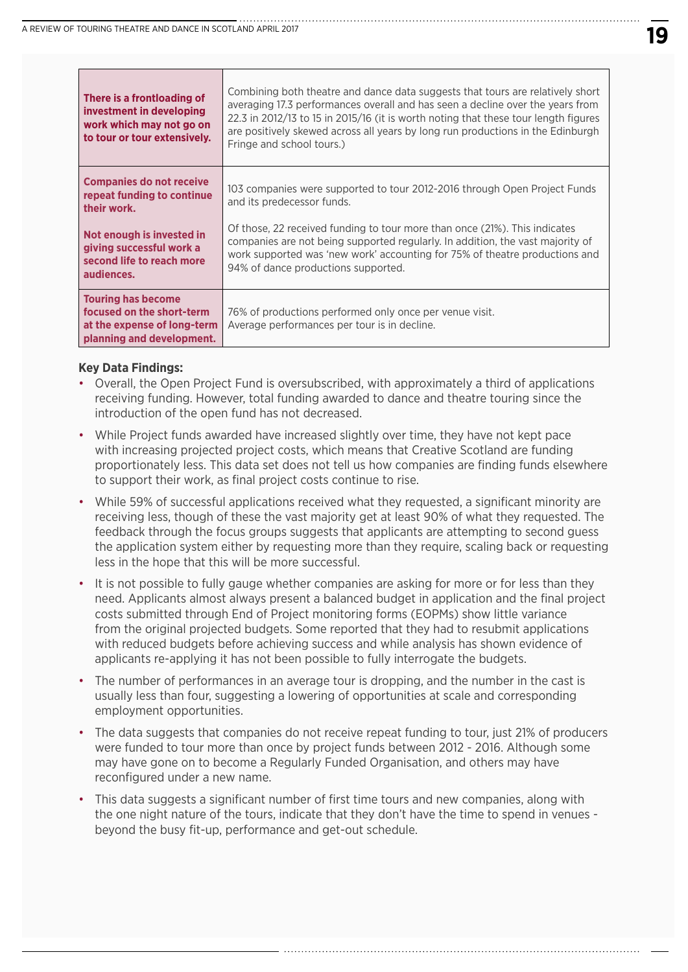| There is a frontloading of<br>investment in developing<br>work which may not go on<br>to tour or tour extensively. | Combining both theatre and dance data suggests that tours are relatively short<br>averaging 17.3 performances overall and has seen a decline over the years from<br>22.3 in 2012/13 to 15 in 2015/16 (it is worth noting that these tour length figures<br>are positively skewed across all years by long run productions in the Edinburgh<br>Fringe and school tours.) |
|--------------------------------------------------------------------------------------------------------------------|-------------------------------------------------------------------------------------------------------------------------------------------------------------------------------------------------------------------------------------------------------------------------------------------------------------------------------------------------------------------------|
| <b>Companies do not receive</b><br>repeat funding to continue<br>their work.                                       | 103 companies were supported to tour 2012-2016 through Open Project Funds<br>and its predecessor funds.                                                                                                                                                                                                                                                                 |
| Not enough is invested in<br>giving successful work a<br>second life to reach more<br>audiences.                   | Of those, 22 received funding to tour more than once (21%). This indicates<br>companies are not being supported regularly. In addition, the vast majority of<br>work supported was 'new work' accounting for 75% of theatre productions and<br>94% of dance productions supported.                                                                                      |
| <b>Touring has become</b><br>focused on the short-term<br>at the expense of long-term<br>planning and development. | 76% of productions performed only once per venue visit.<br>Average performances per tour is in decline.                                                                                                                                                                                                                                                                 |

#### **Key Data Findings:**

- Overall, the Open Project Fund is oversubscribed, with approximately a third of applications receiving funding. However, total funding awarded to dance and theatre touring since the introduction of the open fund has not decreased.
- While Project funds awarded have increased slightly over time, they have not kept pace with increasing projected project costs, which means that Creative Scotland are funding proportionately less. This data set does not tell us how companies are finding funds elsewhere to support their work, as final project costs continue to rise.
- While 59% of successful applications received what they requested, a significant minority are receiving less, though of these the vast majority get at least 90% of what they requested. The feedback through the focus groups suggests that applicants are attempting to second guess the application system either by requesting more than they require, scaling back or requesting less in the hope that this will be more successful.
- It is not possible to fully gauge whether companies are asking for more or for less than they need. Applicants almost always present a balanced budget in application and the final project costs submitted through End of Project monitoring forms (EOPMs) show little variance from the original projected budgets. Some reported that they had to resubmit applications with reduced budgets before achieving success and while analysis has shown evidence of applicants re-applying it has not been possible to fully interrogate the budgets.
- The number of performances in an average tour is dropping, and the number in the cast is usually less than four, suggesting a lowering of opportunities at scale and corresponding employment opportunities.
- The data suggests that companies do not receive repeat funding to tour, just 21% of producers were funded to tour more than once by project funds between 2012 - 2016. Although some may have gone on to become a Regularly Funded Organisation, and others may have reconfigured under a new name.
- This data suggests a significant number of first time tours and new companies, along with the one night nature of the tours, indicate that they don't have the time to spend in venues beyond the busy fit-up, performance and get-out schedule.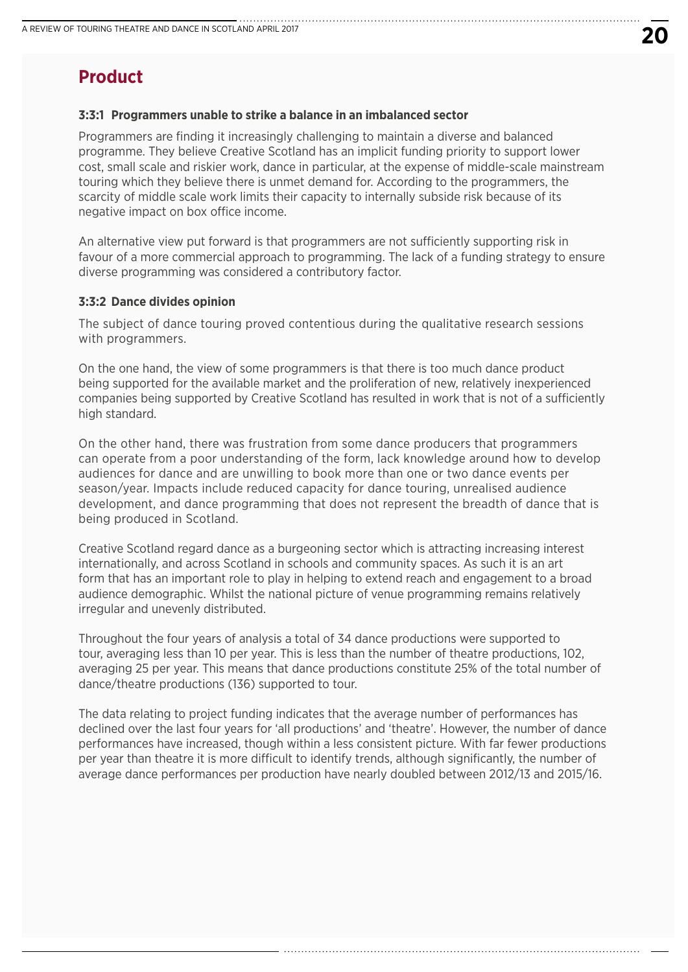# **Product**

#### **3:3:1 Programmers unable to strike a balance in an imbalanced sector**

Programmers are finding it increasingly challenging to maintain a diverse and balanced programme. They believe Creative Scotland has an implicit funding priority to support lower cost, small scale and riskier work, dance in particular, at the expense of middle-scale mainstream touring which they believe there is unmet demand for. According to the programmers, the scarcity of middle scale work limits their capacity to internally subside risk because of its negative impact on box office income.

An alternative view put forward is that programmers are not sufficiently supporting risk in favour of a more commercial approach to programming. The lack of a funding strategy to ensure diverse programming was considered a contributory factor.

#### **3:3:2 Dance divides opinion**

The subject of dance touring proved contentious during the qualitative research sessions with programmers.

On the one hand, the view of some programmers is that there is too much dance product being supported for the available market and the proliferation of new, relatively inexperienced companies being supported by Creative Scotland has resulted in work that is not of a sufficiently high standard.

On the other hand, there was frustration from some dance producers that programmers can operate from a poor understanding of the form, lack knowledge around how to develop audiences for dance and are unwilling to book more than one or two dance events per season/year. Impacts include reduced capacity for dance touring, unrealised audience development, and dance programming that does not represent the breadth of dance that is being produced in Scotland.

Creative Scotland regard dance as a burgeoning sector which is attracting increasing interest internationally, and across Scotland in schools and community spaces. As such it is an art form that has an important role to play in helping to extend reach and engagement to a broad audience demographic. Whilst the national picture of venue programming remains relatively irregular and unevenly distributed.

Throughout the four years of analysis a total of 34 dance productions were supported to tour, averaging less than 10 per year. This is less than the number of theatre productions, 102, averaging 25 per year. This means that dance productions constitute 25% of the total number of dance/theatre productions (136) supported to tour.

The data relating to project funding indicates that the average number of performances has declined over the last four years for 'all productions' and 'theatre'. However, the number of dance performances have increased, though within a less consistent picture. With far fewer productions per year than theatre it is more difficult to identify trends, although significantly, the number of average dance performances per production have nearly doubled between 2012/13 and 2015/16.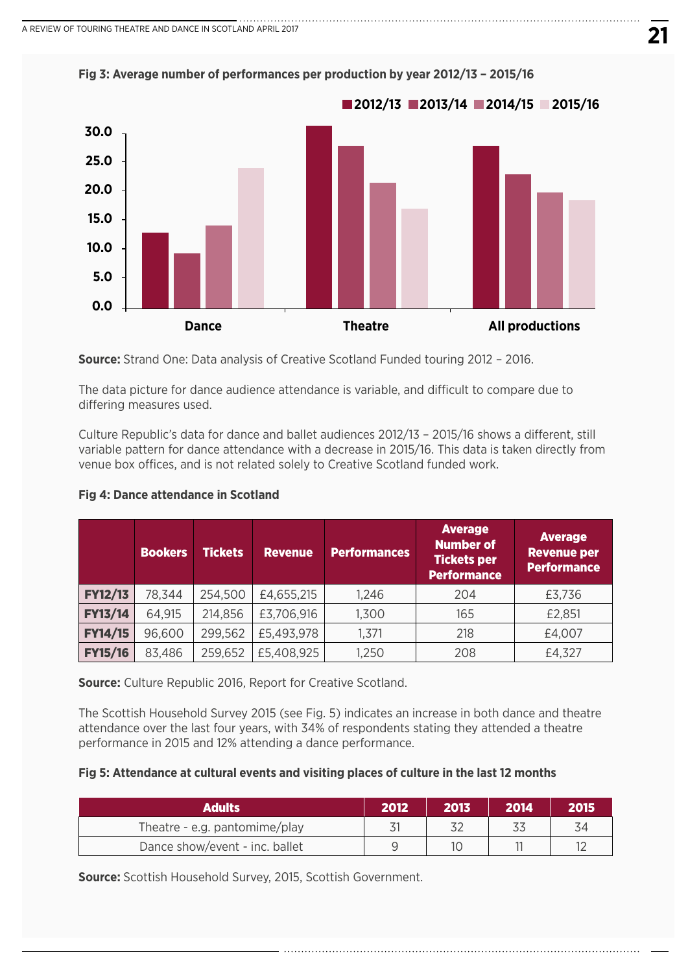

**Fig 3: Average number of performances per production by year 2012/13 – 2015/16**

**Source:** Strand One: Data analysis of Creative Scotland Funded touring 2012 – 2016.

The data picture for dance audience attendance is variable, and difficult to compare due to differing measures used.

Culture Republic's data for dance and ballet audiences 2012/13 – 2015/16 shows a different, still variable pattern for dance attendance with a decrease in 2015/16. This data is taken directly from venue box offices, and is not related solely to Creative Scotland funded work.

|                | <b>Bookers</b> | <b>Tickets</b> | <b>Revenue</b> | <b>Performances</b> | <b>Average</b><br><b>Number of</b><br><b>Tickets per</b><br><b>Performance</b> | <b>Average</b><br><b>Revenue per</b><br><b>Performance</b> |
|----------------|----------------|----------------|----------------|---------------------|--------------------------------------------------------------------------------|------------------------------------------------------------|
| <b>FY12/13</b> | 78,344         | 254,500        | £4,655,215     | 1,246               | 204                                                                            | £3,736                                                     |
| <b>FY13/14</b> | 64,915         | 214,856        | £3,706,916     | 1,300               | 165                                                                            | £2,851                                                     |
| <b>FY14/15</b> | 96,600         | 299,562        | £5,493,978     | 1,371               | 218                                                                            | £4,007                                                     |
| <b>FY15/16</b> | 83,486         | 259,652        | £5,408,925     | 1,250               | 208                                                                            | £4,327                                                     |

#### **Fig 4: Dance attendance in Scotland**

**Source:** Culture Republic 2016, Report for Creative Scotland.

The Scottish Household Survey 2015 (see Fig. 5) indicates an increase in both dance and theatre attendance over the last four years, with 34% of respondents stating they attended a theatre performance in 2015 and 12% attending a dance performance.

#### **Fig 5: Attendance at cultural events and visiting places of culture in the last 12 months**

| Adults                         | 2012 | 2013 | 2014 | 2015 |
|--------------------------------|------|------|------|------|
| Theatre - e.g. pantomime/play  |      |      |      |      |
| Dance show/event - inc. ballet |      |      |      |      |

**Source:** Scottish Household Survey, 2015, Scottish Government.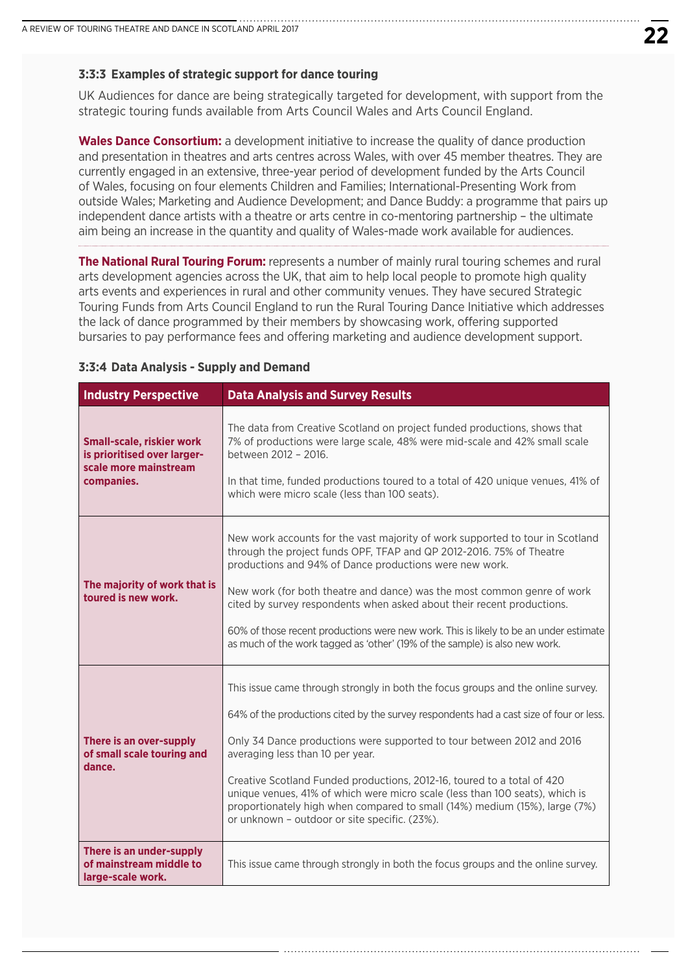#### **3:3:3 Examples of strategic support for dance touring**

UK Audiences for dance are being strategically targeted for development, with support from the strategic touring funds available from Arts Council Wales and Arts Council England.

**Wales Dance Consortium:** a development initiative to increase the quality of dance production and presentation in theatres and arts centres across Wales, with over 45 member theatres. They are currently engaged in an extensive, three-year period of development funded by the Arts Council of Wales, focusing on four elements Children and Families; International-Presenting Work from outside Wales; Marketing and Audience Development; and Dance Buddy: a programme that pairs up independent dance artists with a theatre or arts centre in co-mentoring partnership – the ultimate aim being an increase in the quantity and quality of Wales-made work available for audiences.

**The National Rural Touring Forum:** represents a number of mainly rural touring schemes and rural arts development agencies across the UK, that aim to help local people to promote high quality arts events and experiences in rural and other community venues. They have secured Strategic Touring Funds from Arts Council England to run the Rural Touring Dance Initiative which addresses the lack of dance programmed by their members by showcasing work, offering supported bursaries to pay performance fees and offering marketing and audience development support.

| <b>Industry Perspective</b>                                                                            | <b>Data Analysis and Survey Results</b>                                                                                                                                                                                                                                                                                                                                                                                                                                                                                                                                             |
|--------------------------------------------------------------------------------------------------------|-------------------------------------------------------------------------------------------------------------------------------------------------------------------------------------------------------------------------------------------------------------------------------------------------------------------------------------------------------------------------------------------------------------------------------------------------------------------------------------------------------------------------------------------------------------------------------------|
| <b>Small-scale, riskier work</b><br>is prioritised over larger-<br>scale more mainstream<br>companies. | The data from Creative Scotland on project funded productions, shows that<br>7% of productions were large scale, 48% were mid-scale and 42% small scale<br>between 2012 - 2016.<br>In that time, funded productions toured to a total of 420 unique venues, 41% of<br>which were micro scale (less than 100 seats).                                                                                                                                                                                                                                                                 |
| The majority of work that is<br>toured is new work.                                                    | New work accounts for the vast majority of work supported to tour in Scotland<br>through the project funds OPF, TFAP and QP 2012-2016. 75% of Theatre<br>productions and 94% of Dance productions were new work.<br>New work (for both theatre and dance) was the most common genre of work<br>cited by survey respondents when asked about their recent productions.<br>60% of those recent productions were new work. This is likely to be an under estimate<br>as much of the work tagged as 'other' (19% of the sample) is also new work.                                       |
| There is an over-supply<br>of small scale touring and<br>dance.                                        | This issue came through strongly in both the focus groups and the online survey.<br>64% of the productions cited by the survey respondents had a cast size of four or less.<br>Only 34 Dance productions were supported to tour between 2012 and 2016<br>averaging less than 10 per year.<br>Creative Scotland Funded productions, 2012-16, toured to a total of 420<br>unique venues, 41% of which were micro scale (less than 100 seats), which is<br>proportionately high when compared to small (14%) medium (15%), large (7%)<br>or unknown - outdoor or site specific. (23%). |
| There is an under-supply<br>of mainstream middle to<br>large-scale work.                               | This issue came through strongly in both the focus groups and the online survey.                                                                                                                                                                                                                                                                                                                                                                                                                                                                                                    |

#### **3:3:4 Data Analysis - Supply and Demand**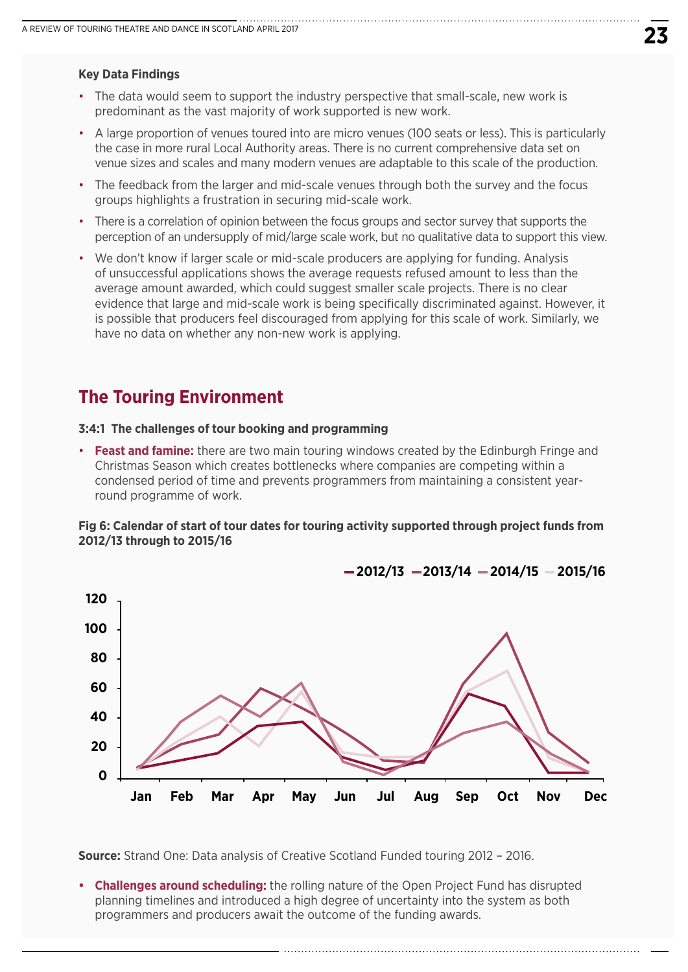#### **Key Data Findings**

- The data would seem to support the industry perspective that small-scale, new work is predominant as the vast majority of work supported is new work.
- A large proportion of venues toured into are micro venues (100 seats or less). This is particularly the case in more rural Local Authority areas. There is no current comprehensive data set on venue sizes and scales and many modern venues are adaptable to this scale of the production.
- The feedback from the larger and mid-scale venues through both the survey and the focus groups highlights a frustration in securing mid-scale work.
- There is a correlation of opinion between the focus groups and sector survey that supports the perception of an undersupply of mid/large scale work, but no qualitative data to support this view.
- We don't know if larger scale or mid-scale producers are applying for funding. Analysis of unsuccessful applications shows the average requests refused amount to less than the average amount awarded, which could suggest smaller scale projects. There is no clear evidence that large and mid-scale work is being specifically discriminated against. However, it is possible that producers feel discouraged from applying for this scale of work. Similarly, we have no data on whether any non-new work is applying.

## **The Touring Environment**

#### **3:4:1 The challenges of tour booking and programming**

• **Feast and famine:** there are two main touring windows created by the Edinburgh Fringe and Christmas Season which creates bottlenecks where companies are competing within a condensed period of time and prevents programmers from maintaining a consistent yearround programme of work.

#### **Fig 6: Calendar of start of tour dates for touring activity supported through project funds from 2012/13 through to 2015/16**



**2012/13 2013/14 2014/15 2015/16**

**Source:** Strand One: Data analysis of Creative Scotland Funded touring 2012 – 2016.

**• Challenges around scheduling:** the rolling nature of the Open Project Fund has disrupted planning timelines and introduced a high degree of uncertainty into the system as both programmers and producers await the outcome of the funding awards.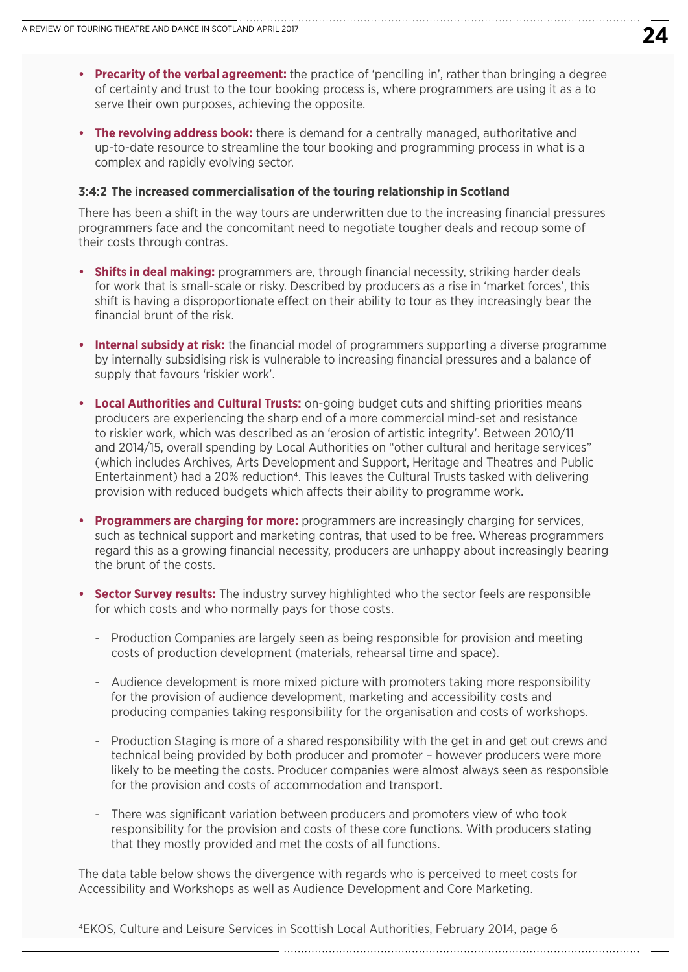- **Precarity of the verbal agreement:** the practice of 'penciling in', rather than bringing a degree of certainty and trust to the tour booking process is, where programmers are using it as a to serve their own purposes, achieving the opposite.
- **The revolving address book:** there is demand for a centrally managed, authoritative and up-to-date resource to streamline the tour booking and programming process in what is a complex and rapidly evolving sector.

#### **3:4:2 The increased commercialisation of the touring relationship in Scotland**

There has been a shift in the way tours are underwritten due to the increasing financial pressures programmers face and the concomitant need to negotiate tougher deals and recoup some of their costs through contras.

- **Shifts in deal making:** programmers are, through financial necessity, striking harder deals for work that is small-scale or risky. Described by producers as a rise in 'market forces', this shift is having a disproportionate effect on their ability to tour as they increasingly bear the financial brunt of the risk.
- **Internal subsidy at risk:** the financial model of programmers supporting a diverse programme by internally subsidising risk is vulnerable to increasing financial pressures and a balance of supply that favours 'riskier work'.
- **Local Authorities and Cultural Trusts:** on-going budget cuts and shifting priorities means producers are experiencing the sharp end of a more commercial mind-set and resistance to riskier work, which was described as an 'erosion of artistic integrity'. Between 2010/11 and 2014/15, overall spending by Local Authorities on "other cultural and heritage services" (which includes Archives, Arts Development and Support, Heritage and Theatres and Public Entertainment) had a 20% reduction4. This leaves the Cultural Trusts tasked with delivering provision with reduced budgets which affects their ability to programme work.
- **Programmers are charging for more:** programmers are increasingly charging for services, such as technical support and marketing contras, that used to be free. Whereas programmers regard this as a growing financial necessity, producers are unhappy about increasingly bearing the brunt of the costs.
- **Sector Survey results:** The industry survey highlighted who the sector feels are responsible for which costs and who normally pays for those costs.
	- Production Companies are largely seen as being responsible for provision and meeting costs of production development (materials, rehearsal time and space).
	- Audience development is more mixed picture with promoters taking more responsibility for the provision of audience development, marketing and accessibility costs and producing companies taking responsibility for the organisation and costs of workshops.
	- Production Staging is more of a shared responsibility with the get in and get out crews and technical being provided by both producer and promoter – however producers were more likely to be meeting the costs. Producer companies were almost always seen as responsible for the provision and costs of accommodation and transport.
	- There was significant variation between producers and promoters view of who took responsibility for the provision and costs of these core functions. With producers stating that they mostly provided and met the costs of all functions.

The data table below shows the divergence with regards who is perceived to meet costs for Accessibility and Workshops as well as Audience Development and Core Marketing.

4EKOS, Culture and Leisure Services in Scottish Local Authorities, February 2014, page 6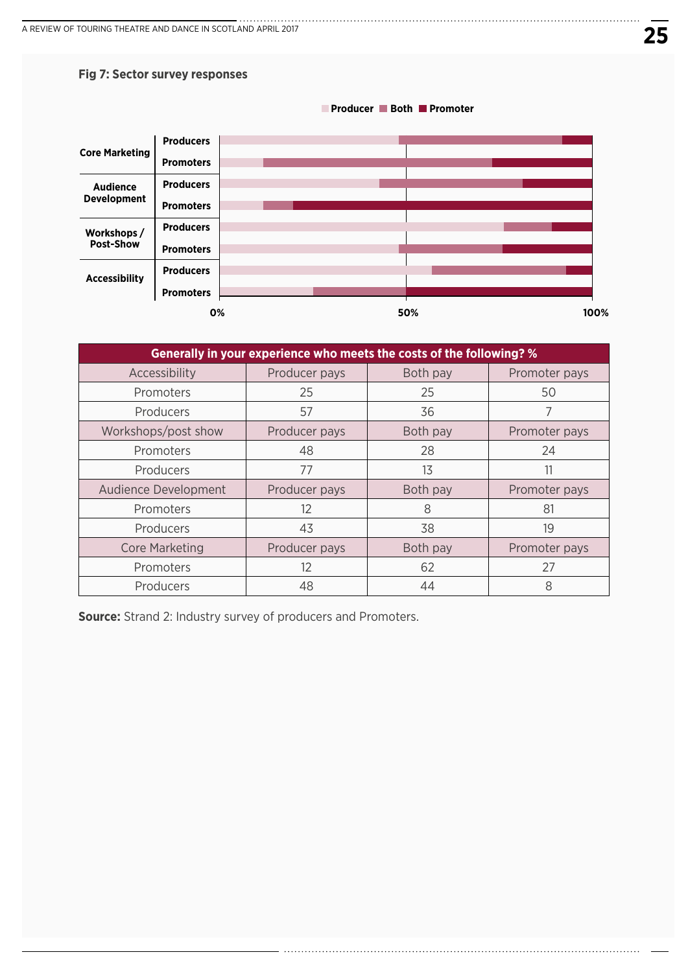#### **Fig 7: Sector survey responses**



| Generally in your experience who meets the costs of the following? % |               |          |               |  |  |
|----------------------------------------------------------------------|---------------|----------|---------------|--|--|
| Accessibility                                                        | Producer pays | Both pay | Promoter pays |  |  |
| Promoters                                                            | 25            | 25       | 50            |  |  |
| Producers                                                            | 57            | 36       |               |  |  |
| Workshops/post show                                                  | Producer pays | Both pay | Promoter pays |  |  |
| Promoters                                                            | 48            | 28       | 24            |  |  |
| Producers                                                            | 77            | 13       | 11            |  |  |
| Audience Development                                                 | Producer pays | Both pay | Promoter pays |  |  |
| Promoters                                                            | 12            | 8        | 81            |  |  |
| Producers                                                            | 43            | 38       | 19            |  |  |
| <b>Core Marketing</b>                                                | Producer pays | Both pay | Promoter pays |  |  |
| Promoters                                                            | 12            | 62       | 27            |  |  |
| Producers                                                            | 48            | 44       | 8             |  |  |

**Source:** Strand 2: Industry survey of producers and Promoters.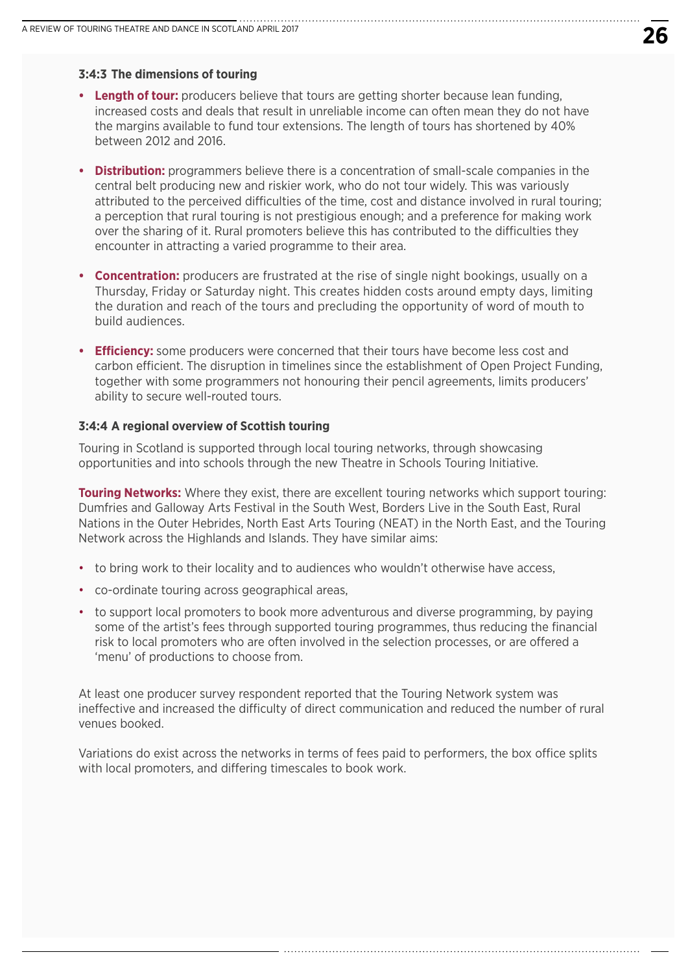#### **3:4:3 The dimensions of touring**

- **Length of tour:** producers believe that tours are getting shorter because lean funding, increased costs and deals that result in unreliable income can often mean they do not have the margins available to fund tour extensions. The length of tours has shortened by 40% between 2012 and 2016.
- **Distribution:** programmers believe there is a concentration of small-scale companies in the central belt producing new and riskier work, who do not tour widely. This was variously attributed to the perceived difficulties of the time, cost and distance involved in rural touring; a perception that rural touring is not prestigious enough; and a preference for making work over the sharing of it. Rural promoters believe this has contributed to the difficulties they encounter in attracting a varied programme to their area.
- **Concentration:** producers are frustrated at the rise of single night bookings, usually on a Thursday, Friday or Saturday night. This creates hidden costs around empty days, limiting the duration and reach of the tours and precluding the opportunity of word of mouth to build audiences.
- **Efficiency:** some producers were concerned that their tours have become less cost and carbon efficient. The disruption in timelines since the establishment of Open Project Funding, together with some programmers not honouring their pencil agreements, limits producers' ability to secure well-routed tours.

#### **3:4:4 A regional overview of Scottish touring**

Touring in Scotland is supported through local touring networks, through showcasing opportunities and into schools through the new Theatre in Schools Touring Initiative.

**Touring Networks:** Where they exist, there are excellent touring networks which support touring: Dumfries and Galloway Arts Festival in the South West, Borders Live in the South East, Rural Nations in the Outer Hebrides, North East Arts Touring (NEAT) in the North East, and the Touring Network across the Highlands and Islands. They have similar aims:

- to bring work to their locality and to audiences who wouldn't otherwise have access,
- co-ordinate touring across geographical areas,
- to support local promoters to book more adventurous and diverse programming, by paying some of the artist's fees through supported touring programmes, thus reducing the financial risk to local promoters who are often involved in the selection processes, or are offered a 'menu' of productions to choose from.

At least one producer survey respondent reported that the Touring Network system was ineffective and increased the difficulty of direct communication and reduced the number of rural venues booked.

Variations do exist across the networks in terms of fees paid to performers, the box office splits with local promoters, and differing timescales to book work.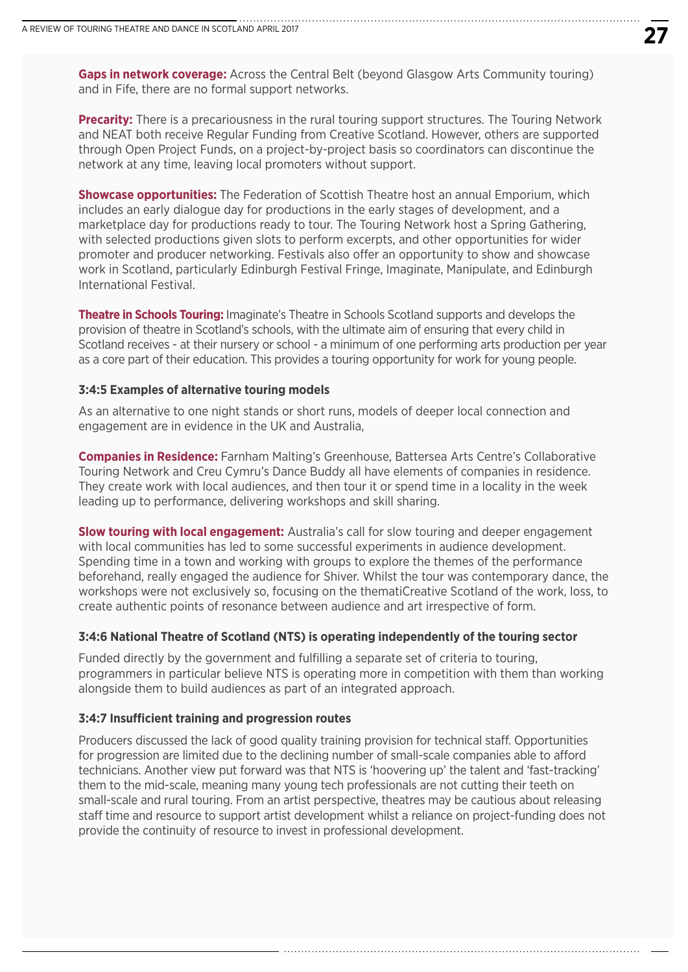**Gaps in network coverage:** Across the Central Belt (beyond Glasgow Arts Community touring) and in Fife, there are no formal support networks.

**Precarity:** There is a precariousness in the rural touring support structures. The Touring Network and NEAT both receive Regular Funding from Creative Scotland. However, others are supported through Open Project Funds, on a project-by-project basis so coordinators can discontinue the network at any time, leaving local promoters without support.

**Showcase opportunities:** The Federation of Scottish Theatre host an annual Emporium, which includes an early dialogue day for productions in the early stages of development, and a marketplace day for productions ready to tour. The Touring Network host a Spring Gathering, with selected productions given slots to perform excerpts, and other opportunities for wider promoter and producer networking. Festivals also offer an opportunity to show and showcase work in Scotland, particularly Edinburgh Festival Fringe, Imaginate, Manipulate, and Edinburgh International Festival.

**Theatre in Schools Touring:** Imaginate's Theatre in Schools Scotland supports and develops the provision of theatre in Scotland's schools, with the ultimate aim of ensuring that every child in Scotland receives - at their nursery or school - a minimum of one performing arts production per year as a core part of their education. This provides a touring opportunity for work for young people.

#### **3:4:5 Examples of alternative touring models**

As an alternative to one night stands or short runs, models of deeper local connection and engagement are in evidence in the UK and Australia,

**Companies in Residence:** Farnham Malting's Greenhouse, Battersea Arts Centre's Collaborative Touring Network and Creu Cymru's Dance Buddy all have elements of companies in residence. They create work with local audiences, and then tour it or spend time in a locality in the week leading up to performance, delivering workshops and skill sharing.

**Slow touring with local engagement:** Australia's call for slow touring and deeper engagement with local communities has led to some successful experiments in audience development. Spending time in a town and working with groups to explore the themes of the performance beforehand, really engaged the audience for Shiver. Whilst the tour was contemporary dance, the workshops were not exclusively so, focusing on the thematiCreative Scotland of the work, loss, to create authentic points of resonance between audience and art irrespective of form.

#### **3:4:6 National Theatre of Scotland (NTS) is operating independently of the touring sector**

Funded directly by the government and fulfilling a separate set of criteria to touring, programmers in particular believe NTS is operating more in competition with them than working alongside them to build audiences as part of an integrated approach.

#### **3:4:7 Insufficient training and progression routes**

Producers discussed the lack of good quality training provision for technical staff. Opportunities for progression are limited due to the declining number of small-scale companies able to afford technicians. Another view put forward was that NTS is 'hoovering up' the talent and 'fast-tracking' them to the mid-scale, meaning many young tech professionals are not cutting their teeth on small-scale and rural touring. From an artist perspective, theatres may be cautious about releasing staff time and resource to support artist development whilst a reliance on project-funding does not provide the continuity of resource to invest in professional development.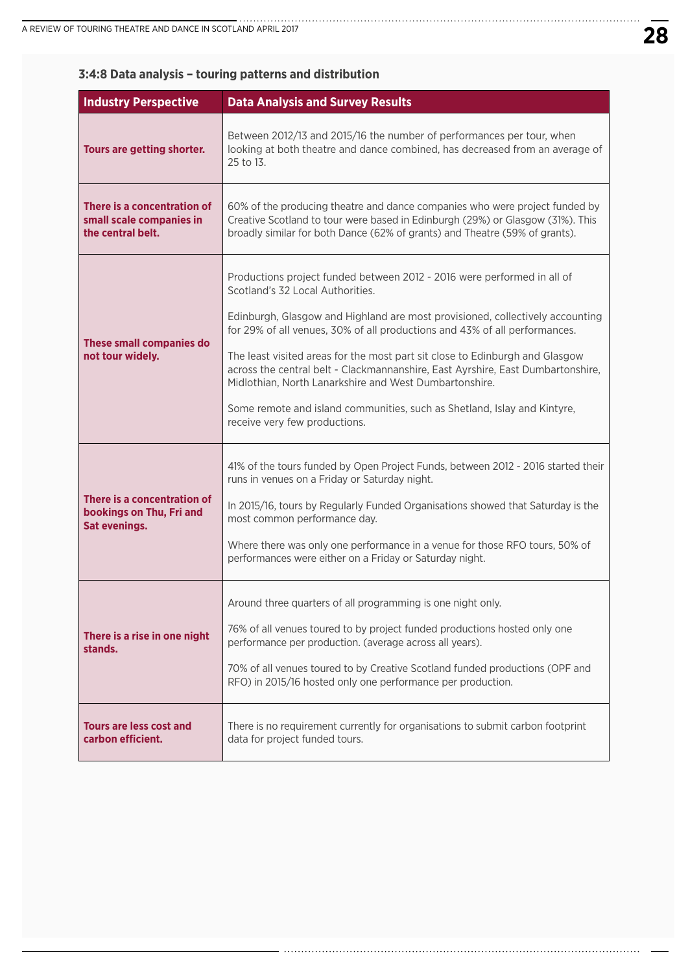| <b>Industry Perspective</b>                                                     | <b>Data Analysis and Survey Results</b>                                                                                                                                                                                                                                                                                                                                                                                                                                                                                                                                                                              |
|---------------------------------------------------------------------------------|----------------------------------------------------------------------------------------------------------------------------------------------------------------------------------------------------------------------------------------------------------------------------------------------------------------------------------------------------------------------------------------------------------------------------------------------------------------------------------------------------------------------------------------------------------------------------------------------------------------------|
| Tours are getting shorter.                                                      | Between 2012/13 and 2015/16 the number of performances per tour, when<br>looking at both theatre and dance combined, has decreased from an average of<br>25 to 13.                                                                                                                                                                                                                                                                                                                                                                                                                                                   |
| There is a concentration of<br>small scale companies in<br>the central belt.    | 60% of the producing theatre and dance companies who were project funded by<br>Creative Scotland to tour were based in Edinburgh (29%) or Glasgow (31%). This<br>broadly similar for both Dance (62% of grants) and Theatre (59% of grants).                                                                                                                                                                                                                                                                                                                                                                         |
| <b>These small companies do</b><br>not tour widely.                             | Productions project funded between 2012 - 2016 were performed in all of<br>Scotland's 32 Local Authorities.<br>Edinburgh, Glasgow and Highland are most provisioned, collectively accounting<br>for 29% of all venues, 30% of all productions and 43% of all performances.<br>The least visited areas for the most part sit close to Edinburgh and Glasgow<br>across the central belt - Clackmannanshire, East Ayrshire, East Dumbartonshire,<br>Midlothian, North Lanarkshire and West Dumbartonshire.<br>Some remote and island communities, such as Shetland, Islay and Kintyre,<br>receive very few productions. |
| There is a concentration of<br>bookings on Thu, Fri and<br><b>Sat evenings.</b> | 41% of the tours funded by Open Project Funds, between 2012 - 2016 started their<br>runs in venues on a Friday or Saturday night.<br>In 2015/16, tours by Regularly Funded Organisations showed that Saturday is the<br>most common performance day.<br>Where there was only one performance in a venue for those RFO tours, 50% of<br>performances were either on a Friday or Saturday night.                                                                                                                                                                                                                       |
| There is a rise in one night<br>stands.                                         | Around three quarters of all programming is one night only.<br>76% of all venues toured to by project funded productions hosted only one<br>performance per production. (average across all years).<br>70% of all venues toured to by Creative Scotland funded productions (OPF and<br>RFO) in 2015/16 hosted only one performance per production.                                                                                                                                                                                                                                                                   |
| <b>Tours are less cost and</b><br>carbon efficient.                             | There is no requirement currently for organisations to submit carbon footprint<br>data for project funded tours.                                                                                                                                                                                                                                                                                                                                                                                                                                                                                                     |

## **3:4:8 Data analysis – touring patterns and distribution**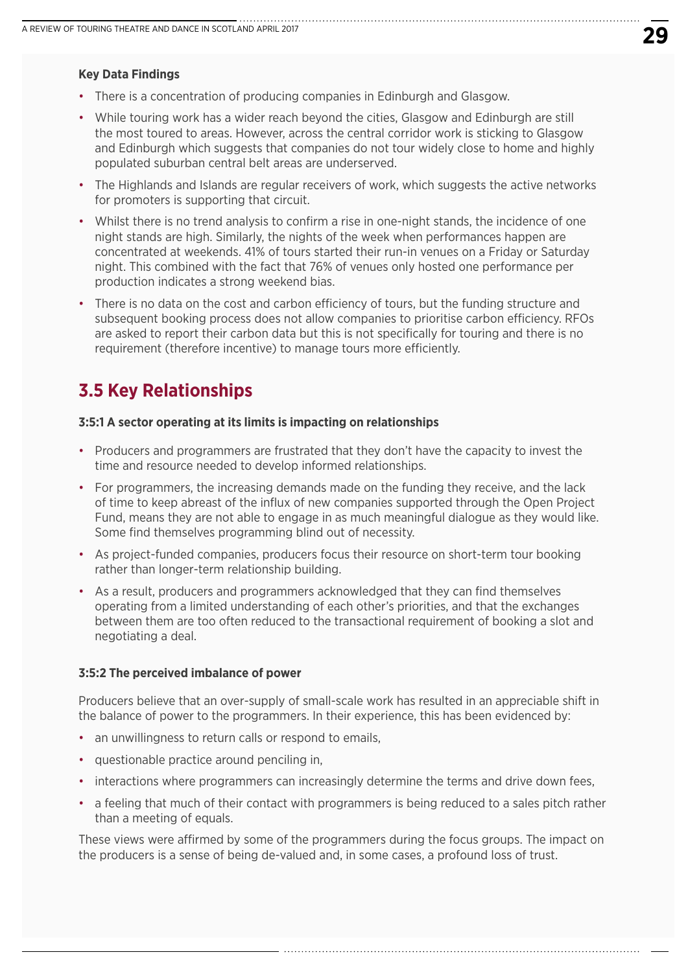#### **Key Data Findings**

- There is a concentration of producing companies in Edinburgh and Glasgow.
- While touring work has a wider reach beyond the cities, Glasgow and Edinburgh are still the most toured to areas. However, across the central corridor work is sticking to Glasgow and Edinburgh which suggests that companies do not tour widely close to home and highly populated suburban central belt areas are underserved.
- The Highlands and Islands are regular receivers of work, which suggests the active networks for promoters is supporting that circuit.
- Whilst there is no trend analysis to confirm a rise in one-night stands, the incidence of one night stands are high. Similarly, the nights of the week when performances happen are concentrated at weekends. 41% of tours started their run-in venues on a Friday or Saturday night. This combined with the fact that 76% of venues only hosted one performance per production indicates a strong weekend bias.
- There is no data on the cost and carbon efficiency of tours, but the funding structure and subsequent booking process does not allow companies to prioritise carbon efficiency. RFOs are asked to report their carbon data but this is not specifically for touring and there is no requirement (therefore incentive) to manage tours more efficiently.

## **3.5 Key Relationships**

#### **3:5:1 A sector operating at its limits is impacting on relationships**

- Producers and programmers are frustrated that they don't have the capacity to invest the time and resource needed to develop informed relationships.
- For programmers, the increasing demands made on the funding they receive, and the lack of time to keep abreast of the influx of new companies supported through the Open Project Fund, means they are not able to engage in as much meaningful dialogue as they would like. Some find themselves programming blind out of necessity.
- As project-funded companies, producers focus their resource on short-term tour booking rather than longer-term relationship building.
- As a result, producers and programmers acknowledged that they can find themselves operating from a limited understanding of each other's priorities, and that the exchanges between them are too often reduced to the transactional requirement of booking a slot and negotiating a deal.

#### **3:5:2 The perceived imbalance of power**

Producers believe that an over-supply of small-scale work has resulted in an appreciable shift in the balance of power to the programmers. In their experience, this has been evidenced by:

- an unwillingness to return calls or respond to emails,
- questionable practice around penciling in,
- interactions where programmers can increasingly determine the terms and drive down fees,
- a feeling that much of their contact with programmers is being reduced to a sales pitch rather than a meeting of equals.

These views were affirmed by some of the programmers during the focus groups. The impact on the producers is a sense of being de-valued and, in some cases, a profound loss of trust.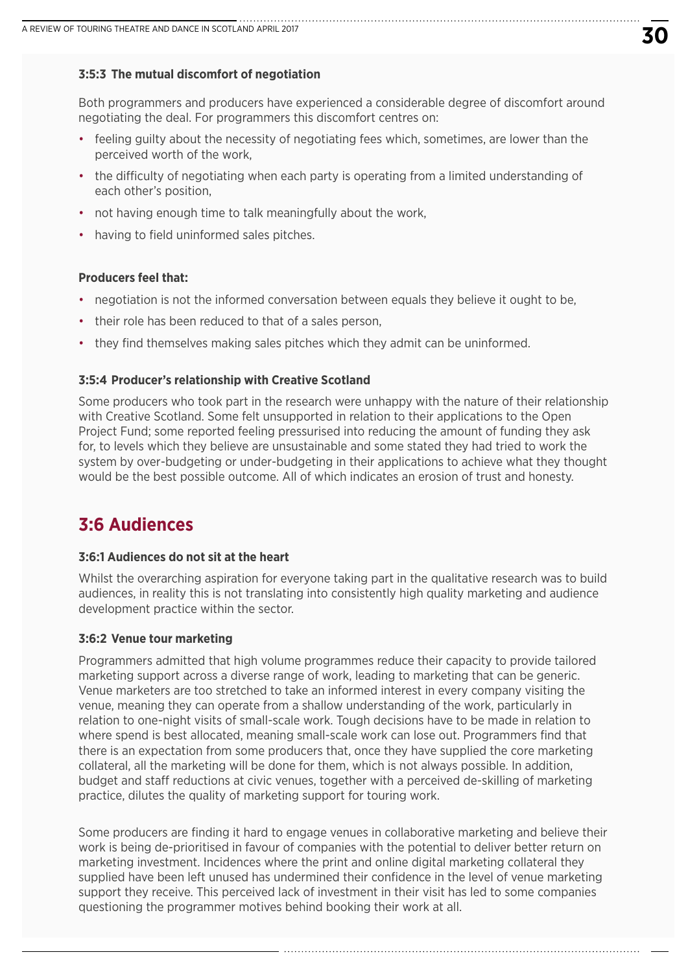#### **3:5:3 The mutual discomfort of negotiation**

Both programmers and producers have experienced a considerable degree of discomfort around negotiating the deal. For programmers this discomfort centres on:

- feeling guilty about the necessity of negotiating fees which, sometimes, are lower than the perceived worth of the work,
- the difficulty of negotiating when each party is operating from a limited understanding of each other's position,
- not having enough time to talk meaningfully about the work,
- having to field uninformed sales pitches.

#### **Producers feel that:**

- negotiation is not the informed conversation between equals they believe it ought to be.
- their role has been reduced to that of a sales person,
- they find themselves making sales pitches which they admit can be uninformed.

#### **3:5:4 Producer's relationship with Creative Scotland**

Some producers who took part in the research were unhappy with the nature of their relationship with Creative Scotland. Some felt unsupported in relation to their applications to the Open Project Fund; some reported feeling pressurised into reducing the amount of funding they ask for, to levels which they believe are unsustainable and some stated they had tried to work the system by over-budgeting or under-budgeting in their applications to achieve what they thought would be the best possible outcome. All of which indicates an erosion of trust and honesty.

## **3:6 Audiences**

#### **3:6:1 Audiences do not sit at the heart**

Whilst the overarching aspiration for everyone taking part in the qualitative research was to build audiences, in reality this is not translating into consistently high quality marketing and audience development practice within the sector.

#### **3:6:2 Venue tour marketing**

Programmers admitted that high volume programmes reduce their capacity to provide tailored marketing support across a diverse range of work, leading to marketing that can be generic. Venue marketers are too stretched to take an informed interest in every company visiting the venue, meaning they can operate from a shallow understanding of the work, particularly in relation to one-night visits of small-scale work. Tough decisions have to be made in relation to where spend is best allocated, meaning small-scale work can lose out. Programmers find that there is an expectation from some producers that, once they have supplied the core marketing collateral, all the marketing will be done for them, which is not always possible. In addition, budget and staff reductions at civic venues, together with a perceived de-skilling of marketing practice, dilutes the quality of marketing support for touring work.

Some producers are finding it hard to engage venues in collaborative marketing and believe their work is being de-prioritised in favour of companies with the potential to deliver better return on marketing investment. Incidences where the print and online digital marketing collateral they supplied have been left unused has undermined their confidence in the level of venue marketing support they receive. This perceived lack of investment in their visit has led to some companies questioning the programmer motives behind booking their work at all.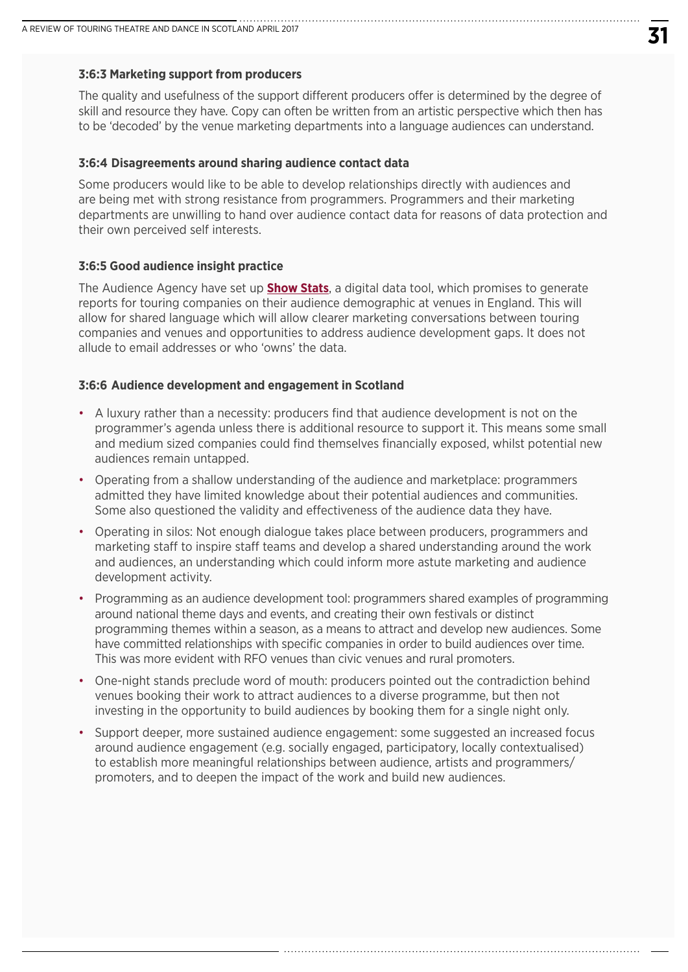#### **3:6:3 Marketing support from producers**

The quality and usefulness of the support different producers offer is determined by the degree of skill and resource they have. Copy can often be written from an artistic perspective which then has to be 'decoded' by the venue marketing departments into a language audiences can understand.

#### **3:6:4 Disagreements around sharing audience contact data**

Some producers would like to be able to develop relationships directly with audiences and are being met with strong resistance from programmers. Programmers and their marketing departments are unwilling to hand over audience contact data for reasons of data protection and their own perceived self interests.

#### **3:6:5 Good audience insight practice**

The Audience Agency have set up **[Show Stats](https://www.theaudienceagency.org/audience-finder/show-stats)**, a digital data tool, which promises to generate reports for touring companies on their audience demographic at venues in England. This will allow for shared language which will allow clearer marketing conversations between touring companies and venues and opportunities to address audience development gaps. It does not allude to email addresses or who 'owns' the data.

#### **3:6:6 Audience development and engagement in Scotland**

- A luxury rather than a necessity: producers find that audience development is not on the programmer's agenda unless there is additional resource to support it. This means some small and medium sized companies could find themselves financially exposed, whilst potential new audiences remain untapped.
- Operating from a shallow understanding of the audience and marketplace: programmers admitted they have limited knowledge about their potential audiences and communities. Some also questioned the validity and effectiveness of the audience data they have.
- Operating in silos: Not enough dialogue takes place between producers, programmers and marketing staff to inspire staff teams and develop a shared understanding around the work and audiences, an understanding which could inform more astute marketing and audience development activity.
- Programming as an audience development tool: programmers shared examples of programming around national theme days and events, and creating their own festivals or distinct programming themes within a season, as a means to attract and develop new audiences. Some have committed relationships with specific companies in order to build audiences over time. This was more evident with RFO venues than civic venues and rural promoters.
- One-night stands preclude word of mouth: producers pointed out the contradiction behind venues booking their work to attract audiences to a diverse programme, but then not investing in the opportunity to build audiences by booking them for a single night only.
- Support deeper, more sustained audience engagement: some suggested an increased focus around audience engagement (e.g. socially engaged, participatory, locally contextualised) to establish more meaningful relationships between audience, artists and programmers/ promoters, and to deepen the impact of the work and build new audiences.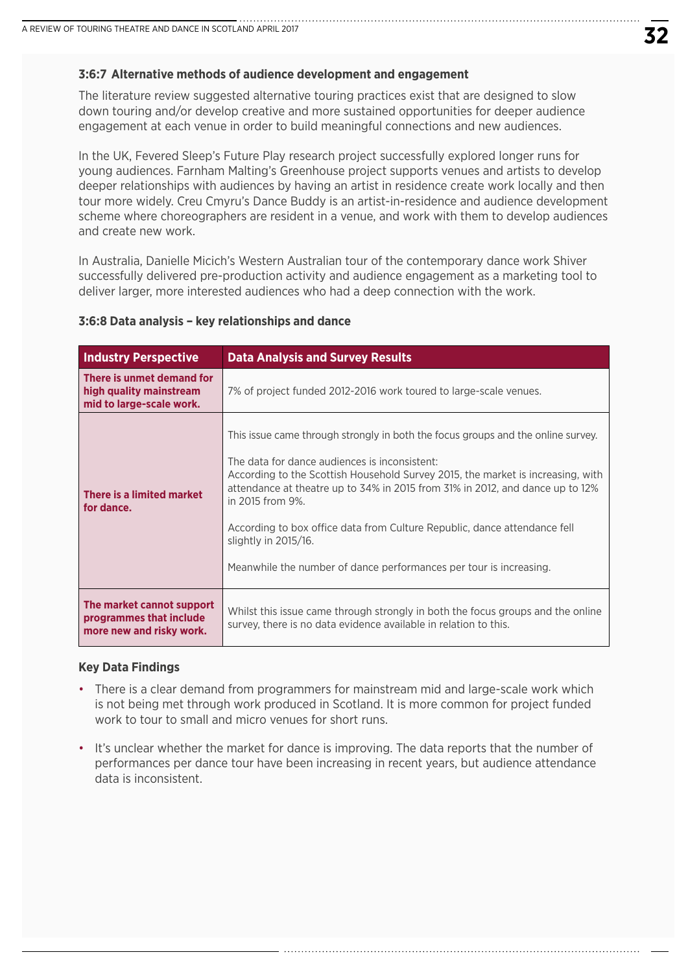#### **3:6:7 Alternative methods of audience development and engagement**

The literature review suggested alternative touring practices exist that are designed to slow down touring and/or develop creative and more sustained opportunities for deeper audience engagement at each venue in order to build meaningful connections and new audiences.

In the UK, Fevered Sleep's Future Play research project successfully explored longer runs for young audiences. Farnham Malting's Greenhouse project supports venues and artists to develop deeper relationships with audiences by having an artist in residence create work locally and then tour more widely. Creu Cmyru's Dance Buddy is an artist-in-residence and audience development scheme where choreographers are resident in a venue, and work with them to develop audiences and create new work.

In Australia, Danielle Micich's Western Australian tour of the contemporary dance work Shiver successfully delivered pre-production activity and audience engagement as a marketing tool to deliver larger, more interested audiences who had a deep connection with the work.

#### **3:6:8 Data analysis – key relationships and dance**

| <b>Industry Perspective</b>                                                      | <b>Data Analysis and Survey Results</b>                                                                                                                                                                                                                                                                                                                                                                                                                                                              |
|----------------------------------------------------------------------------------|------------------------------------------------------------------------------------------------------------------------------------------------------------------------------------------------------------------------------------------------------------------------------------------------------------------------------------------------------------------------------------------------------------------------------------------------------------------------------------------------------|
| There is unmet demand for<br>high quality mainstream<br>mid to large-scale work. | 7% of project funded 2012-2016 work toured to large-scale venues.                                                                                                                                                                                                                                                                                                                                                                                                                                    |
| There is a limited market<br>for dance.                                          | This issue came through strongly in both the focus groups and the online survey.<br>The data for dance audiences is inconsistent:<br>According to the Scottish Household Survey 2015, the market is increasing, with<br>attendance at theatre up to 34% in 2015 from 31% in 2012, and dance up to 12%<br>in 2015 from 9%.<br>According to box office data from Culture Republic, dance attendance fell<br>slightly in 2015/16.<br>Meanwhile the number of dance performances per tour is increasing. |
| The market cannot support<br>programmes that include<br>more new and risky work. | Whilst this issue came through strongly in both the focus groups and the online<br>survey, there is no data evidence available in relation to this.                                                                                                                                                                                                                                                                                                                                                  |

#### **Key Data Findings**

- There is a clear demand from programmers for mainstream mid and large-scale work which is not being met through work produced in Scotland. It is more common for project funded work to tour to small and micro venues for short runs.
- It's unclear whether the market for dance is improving. The data reports that the number of performances per dance tour have been increasing in recent years, but audience attendance data is inconsistent.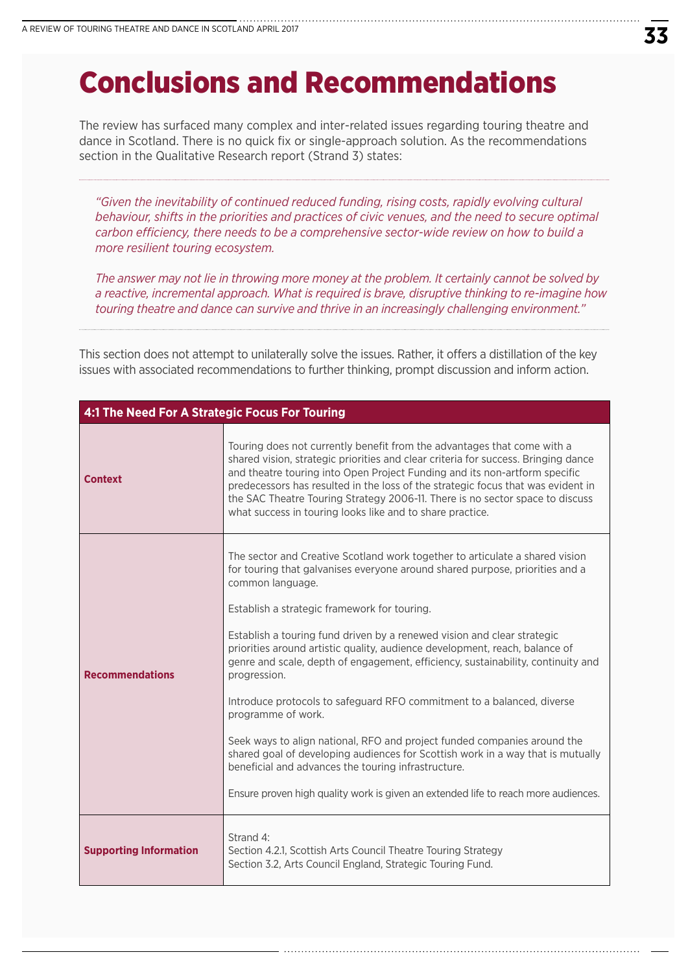# Conclusions and Recommendations

The review has surfaced many complex and inter-related issues regarding touring theatre and dance in Scotland. There is no quick fix or single-approach solution. As the recommendations section in the Qualitative Research report (Strand 3) states:

 *"Given the inevitability of continued reduced funding, rising costs, rapidly evolving cultural behaviour, shifts in the priorities and practices of civic venues, and the need to secure optimal carbon efficiency, there needs to be a comprehensive sector-wide review on how to build a more resilient touring ecosystem.* 

 *The answer may not lie in throwing more money at the problem. It certainly cannot be solved by a reactive, incremental approach. What is required is brave, disruptive thinking to re-imagine how touring theatre and dance can survive and thrive in an increasingly challenging environment."*

This section does not attempt to unilaterally solve the issues. Rather, it offers a distillation of the key issues with associated recommendations to further thinking, prompt discussion and inform action.

| 4:1 The Need For A Strategic Focus For Touring |                                                                                                                                                                                                                                                                                                                                                                                                                                                                                                                                                                                                                                                                                                                                                                                                                                                                                                            |
|------------------------------------------------|------------------------------------------------------------------------------------------------------------------------------------------------------------------------------------------------------------------------------------------------------------------------------------------------------------------------------------------------------------------------------------------------------------------------------------------------------------------------------------------------------------------------------------------------------------------------------------------------------------------------------------------------------------------------------------------------------------------------------------------------------------------------------------------------------------------------------------------------------------------------------------------------------------|
| <b>Context</b>                                 | Touring does not currently benefit from the advantages that come with a<br>shared vision, strategic priorities and clear criteria for success. Bringing dance<br>and theatre touring into Open Project Funding and its non-artform specific<br>predecessors has resulted in the loss of the strategic focus that was evident in<br>the SAC Theatre Touring Strategy 2006-11. There is no sector space to discuss<br>what success in touring looks like and to share practice.                                                                                                                                                                                                                                                                                                                                                                                                                              |
| <b>Recommendations</b>                         | The sector and Creative Scotland work together to articulate a shared vision<br>for touring that galvanises everyone around shared purpose, priorities and a<br>common language.<br>Establish a strategic framework for touring.<br>Establish a touring fund driven by a renewed vision and clear strategic<br>priorities around artistic quality, audience development, reach, balance of<br>genre and scale, depth of engagement, efficiency, sustainability, continuity and<br>progression.<br>Introduce protocols to safeguard RFO commitment to a balanced, diverse<br>programme of work.<br>Seek ways to align national, RFO and project funded companies around the<br>shared goal of developing audiences for Scottish work in a way that is mutually<br>beneficial and advances the touring infrastructure.<br>Ensure proven high quality work is given an extended life to reach more audiences. |
| <b>Supporting Information</b>                  | Strand 4:<br>Section 4.2.1, Scottish Arts Council Theatre Touring Strategy<br>Section 3.2, Arts Council England, Strategic Touring Fund.                                                                                                                                                                                                                                                                                                                                                                                                                                                                                                                                                                                                                                                                                                                                                                   |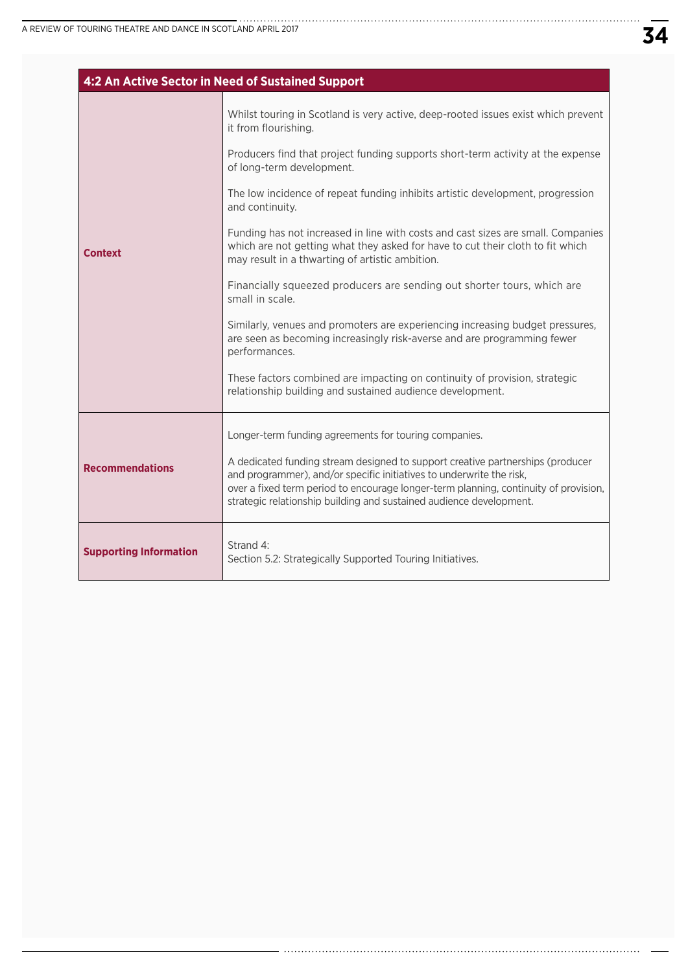|                               | 4:2 An Active Sector in Need of Sustained Support                                                                                                                                                                                                                                                                     |
|-------------------------------|-----------------------------------------------------------------------------------------------------------------------------------------------------------------------------------------------------------------------------------------------------------------------------------------------------------------------|
|                               | Whilst touring in Scotland is very active, deep-rooted issues exist which prevent<br>it from flourishing.                                                                                                                                                                                                             |
|                               | Producers find that project funding supports short-term activity at the expense<br>of long-term development.                                                                                                                                                                                                          |
|                               | The low incidence of repeat funding inhibits artistic development, progression<br>and continuity.                                                                                                                                                                                                                     |
| <b>Context</b>                | Funding has not increased in line with costs and cast sizes are small. Companies<br>which are not getting what they asked for have to cut their cloth to fit which<br>may result in a thwarting of artistic ambition.                                                                                                 |
|                               | Financially squeezed producers are sending out shorter tours, which are<br>small in scale.                                                                                                                                                                                                                            |
|                               | Similarly, venues and promoters are experiencing increasing budget pressures,<br>are seen as becoming increasingly risk-averse and are programming fewer<br>performances.                                                                                                                                             |
|                               | These factors combined are impacting on continuity of provision, strategic<br>relationship building and sustained audience development.                                                                                                                                                                               |
|                               | Longer-term funding agreements for touring companies.                                                                                                                                                                                                                                                                 |
| <b>Recommendations</b>        | A dedicated funding stream designed to support creative partnerships (producer<br>and programmer), and/or specific initiatives to underwrite the risk,<br>over a fixed term period to encourage longer-term planning, continuity of provision,<br>strategic relationship building and sustained audience development. |
| <b>Supporting Information</b> | Strand 4:<br>Section 5.2: Strategically Supported Touring Initiatives.                                                                                                                                                                                                                                                |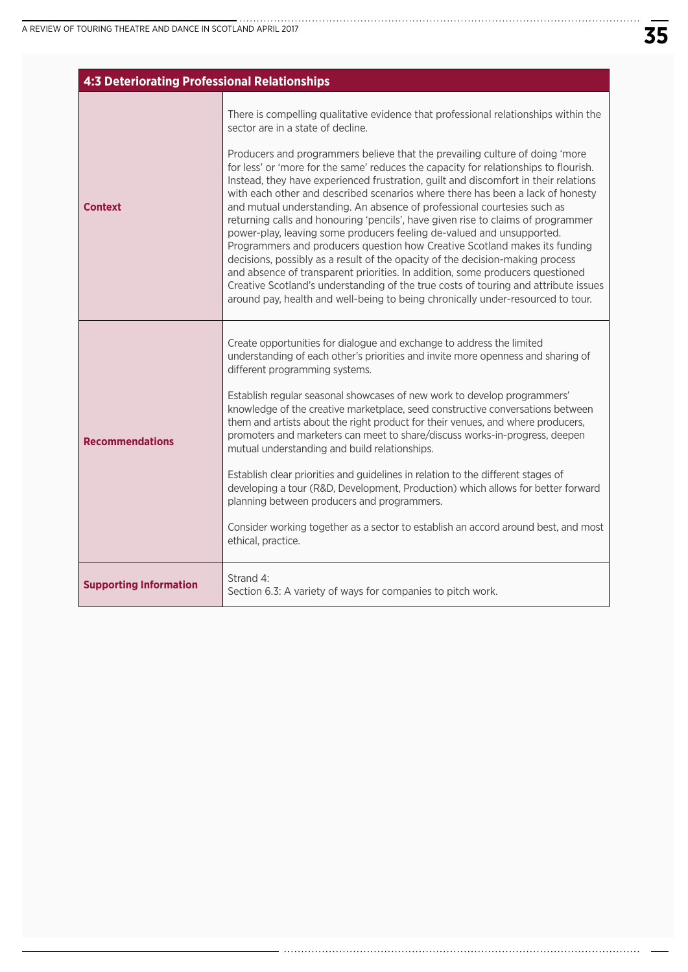|                               | <b>4:3 Deteriorating Professional Relationships</b>                                                                                                                                                                                                                                                                                                                                                                                                                                                                                                                                                                                                                                                                                                                                                                                                                                                                                                                                                                                                                                                                                         |  |
|-------------------------------|---------------------------------------------------------------------------------------------------------------------------------------------------------------------------------------------------------------------------------------------------------------------------------------------------------------------------------------------------------------------------------------------------------------------------------------------------------------------------------------------------------------------------------------------------------------------------------------------------------------------------------------------------------------------------------------------------------------------------------------------------------------------------------------------------------------------------------------------------------------------------------------------------------------------------------------------------------------------------------------------------------------------------------------------------------------------------------------------------------------------------------------------|--|
| <b>Context</b>                | There is compelling qualitative evidence that professional relationships within the<br>sector are in a state of decline.<br>Producers and programmers believe that the prevailing culture of doing 'more<br>for less' or 'more for the same' reduces the capacity for relationships to flourish.<br>Instead, they have experienced frustration, guilt and discomfort in their relations<br>with each other and described scenarios where there has been a lack of honesty<br>and mutual understanding. An absence of professional courtesies such as<br>returning calls and honouring 'pencils', have given rise to claims of programmer<br>power-play, leaving some producers feeling de-valued and unsupported.<br>Programmers and producers question how Creative Scotland makes its funding<br>decisions, possibly as a result of the opacity of the decision-making process<br>and absence of transparent priorities. In addition, some producers questioned<br>Creative Scotland's understanding of the true costs of touring and attribute issues<br>around pay, health and well-being to being chronically under-resourced to tour. |  |
| <b>Recommendations</b>        | Create opportunities for dialogue and exchange to address the limited<br>understanding of each other's priorities and invite more openness and sharing of<br>different programming systems.<br>Establish regular seasonal showcases of new work to develop programmers'<br>knowledge of the creative marketplace, seed constructive conversations between<br>them and artists about the right product for their venues, and where producers,<br>promoters and marketers can meet to share/discuss works-in-progress, deepen<br>mutual understanding and build relationships.<br>Establish clear priorities and guidelines in relation to the different stages of<br>developing a tour (R&D, Development, Production) which allows for better forward<br>planning between producers and programmers.<br>Consider working together as a sector to establish an accord around best, and most<br>ethical, practice.                                                                                                                                                                                                                             |  |
| <b>Supporting Information</b> | Strand 4:<br>Section 6.3: A variety of ways for companies to pitch work.                                                                                                                                                                                                                                                                                                                                                                                                                                                                                                                                                                                                                                                                                                                                                                                                                                                                                                                                                                                                                                                                    |  |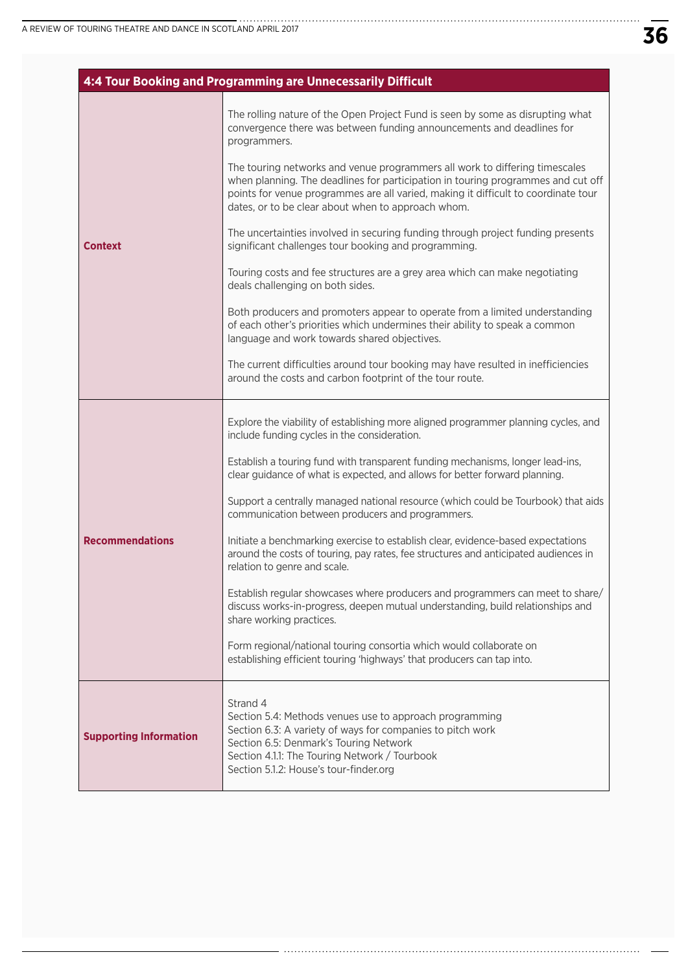|                               | 4:4 Tour Booking and Programming are Unnecessarily Difficult                                                                                                                                                                                                                                                |
|-------------------------------|-------------------------------------------------------------------------------------------------------------------------------------------------------------------------------------------------------------------------------------------------------------------------------------------------------------|
| <b>Context</b>                | The rolling nature of the Open Project Fund is seen by some as disrupting what<br>convergence there was between funding announcements and deadlines for<br>programmers.                                                                                                                                     |
|                               | The touring networks and venue programmers all work to differing timescales<br>when planning. The deadlines for participation in touring programmes and cut off<br>points for venue programmes are all varied, making it difficult to coordinate tour<br>dates, or to be clear about when to approach whom. |
|                               | The uncertainties involved in securing funding through project funding presents<br>significant challenges tour booking and programming.                                                                                                                                                                     |
|                               | Touring costs and fee structures are a grey area which can make negotiating<br>deals challenging on both sides.                                                                                                                                                                                             |
|                               | Both producers and promoters appear to operate from a limited understanding<br>of each other's priorities which undermines their ability to speak a common<br>language and work towards shared objectives.                                                                                                  |
|                               | The current difficulties around tour booking may have resulted in inefficiencies<br>around the costs and carbon footprint of the tour route.                                                                                                                                                                |
| <b>Recommendations</b>        | Explore the viability of establishing more aligned programmer planning cycles, and<br>include funding cycles in the consideration.                                                                                                                                                                          |
|                               | Establish a touring fund with transparent funding mechanisms, longer lead-ins,<br>clear guidance of what is expected, and allows for better forward planning.                                                                                                                                               |
|                               | Support a centrally managed national resource (which could be Tourbook) that aids<br>communication between producers and programmers.                                                                                                                                                                       |
|                               | Initiate a benchmarking exercise to establish clear, evidence-based expectations<br>around the costs of touring, pay rates, fee structures and anticipated audiences in<br>relation to genre and scale.                                                                                                     |
|                               | Establish regular showcases where producers and programmers can meet to share/<br>discuss works-in-progress, deepen mutual understanding, build relationships and<br>share working practices.                                                                                                               |
|                               | Form regional/national touring consortia which would collaborate on<br>establishing efficient touring 'highways' that producers can tap into.                                                                                                                                                               |
| <b>Supporting Information</b> | Strand 4<br>Section 5.4: Methods venues use to approach programming<br>Section 6.3: A variety of ways for companies to pitch work<br>Section 6.5: Denmark's Touring Network<br>Section 4.1.1: The Touring Network / Tourbook<br>Section 5.1.2: House's tour-finder.org                                      |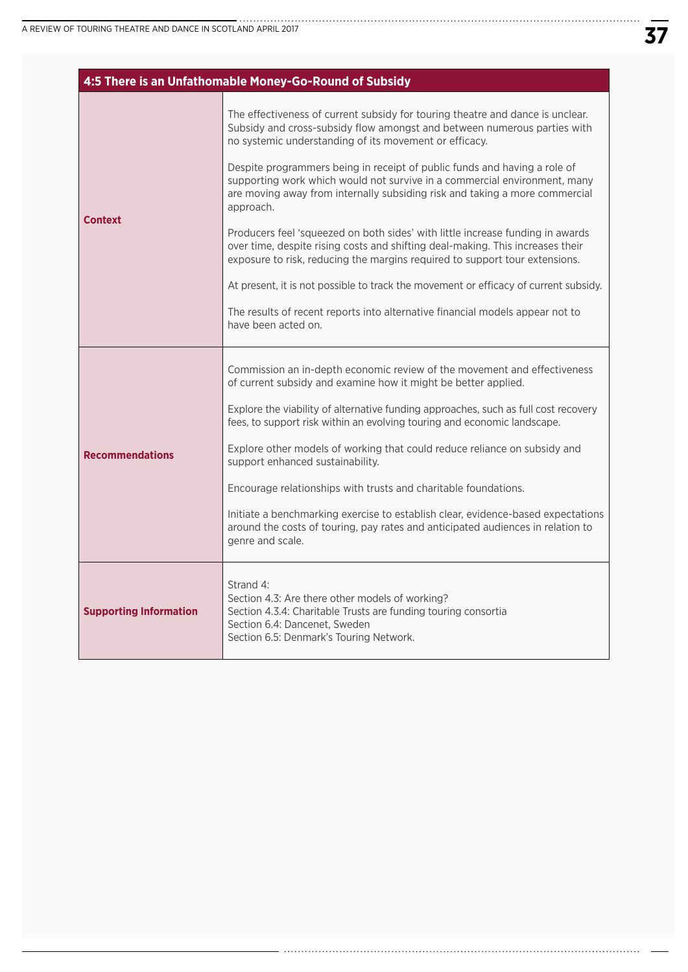| 4:5 There is an Unfathomable Money-Go-Round of Subsidy |                                                                                                                                                                                                                                                    |
|--------------------------------------------------------|----------------------------------------------------------------------------------------------------------------------------------------------------------------------------------------------------------------------------------------------------|
| <b>Context</b>                                         | The effectiveness of current subsidy for touring theatre and dance is unclear.<br>Subsidy and cross-subsidy flow amongst and between numerous parties with<br>no systemic understanding of its movement or efficacy.                               |
|                                                        | Despite programmers being in receipt of public funds and having a role of<br>supporting work which would not survive in a commercial environment, many<br>are moving away from internally subsiding risk and taking a more commercial<br>approach. |
|                                                        | Producers feel 'squeezed on both sides' with little increase funding in awards<br>over time, despite rising costs and shifting deal-making. This increases their<br>exposure to risk, reducing the margins required to support tour extensions.    |
|                                                        | At present, it is not possible to track the movement or efficacy of current subsidy.                                                                                                                                                               |
|                                                        | The results of recent reports into alternative financial models appear not to<br>have been acted on.                                                                                                                                               |
|                                                        | Commission an in-depth economic review of the movement and effectiveness                                                                                                                                                                           |
|                                                        | of current subsidy and examine how it might be better applied.                                                                                                                                                                                     |
|                                                        | Explore the viability of alternative funding approaches, such as full cost recovery<br>fees, to support risk within an evolving touring and economic landscape.                                                                                    |
| <b>Recommendations</b>                                 | Explore other models of working that could reduce reliance on subsidy and<br>support enhanced sustainability.                                                                                                                                      |
|                                                        | Encourage relationships with trusts and charitable foundations.                                                                                                                                                                                    |
|                                                        | Initiate a benchmarking exercise to establish clear, evidence-based expectations<br>around the costs of touring, pay rates and anticipated audiences in relation to<br>genre and scale.                                                            |
| <b>Supporting Information</b>                          | Strand 4:<br>Section 4.3: Are there other models of working?<br>Section 4.3.4: Charitable Trusts are funding touring consortia<br>Section 6.4: Dancenet, Sweden<br>Section 6.5: Denmark's Touring Network.                                         |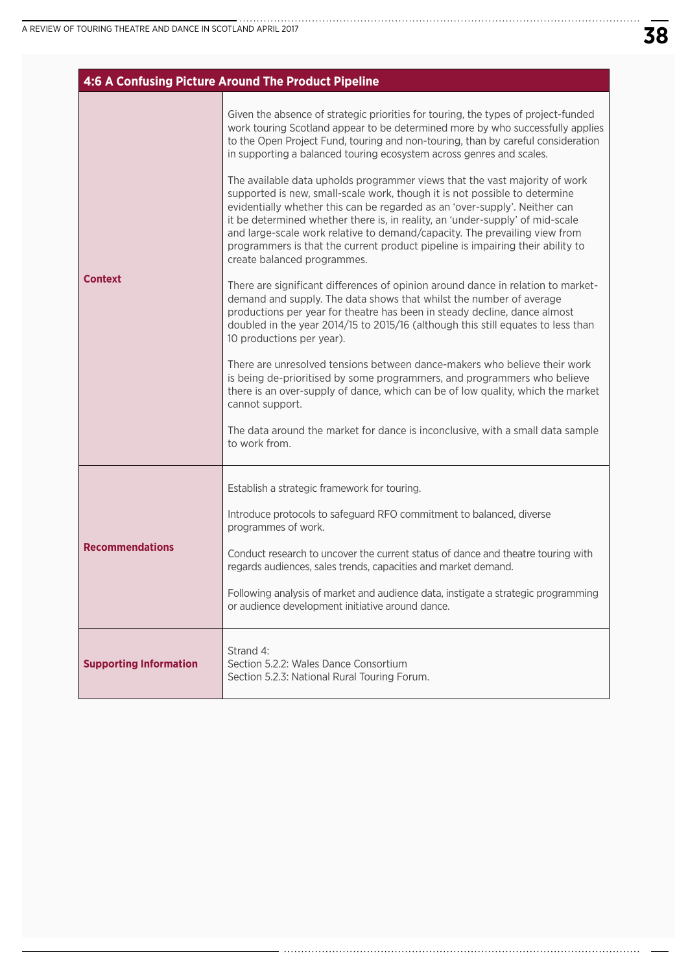|                               | 4:6 A Confusing Picture Around The Product Pipeline                                                                                                                                                                                                                                                                                                                                                                                                                                                                                                                                                                                                                                                                                                                                                                                                                                                                                                                                                                                                                                                                                                                                                                                                                                                                                                                                                                                                                                |
|-------------------------------|------------------------------------------------------------------------------------------------------------------------------------------------------------------------------------------------------------------------------------------------------------------------------------------------------------------------------------------------------------------------------------------------------------------------------------------------------------------------------------------------------------------------------------------------------------------------------------------------------------------------------------------------------------------------------------------------------------------------------------------------------------------------------------------------------------------------------------------------------------------------------------------------------------------------------------------------------------------------------------------------------------------------------------------------------------------------------------------------------------------------------------------------------------------------------------------------------------------------------------------------------------------------------------------------------------------------------------------------------------------------------------------------------------------------------------------------------------------------------------|
| <b>Context</b>                | Given the absence of strategic priorities for touring, the types of project-funded<br>work touring Scotland appear to be determined more by who successfully applies<br>to the Open Project Fund, touring and non-touring, than by careful consideration<br>in supporting a balanced touring ecosystem across genres and scales.<br>The available data upholds programmer views that the vast majority of work<br>supported is new, small-scale work, though it is not possible to determine<br>evidentially whether this can be regarded as an 'over-supply'. Neither can<br>it be determined whether there is, in reality, an 'under-supply' of mid-scale<br>and large-scale work relative to demand/capacity. The prevailing view from<br>programmers is that the current product pipeline is impairing their ability to<br>create balanced programmes.<br>There are significant differences of opinion around dance in relation to market-<br>demand and supply. The data shows that whilst the number of average<br>productions per year for theatre has been in steady decline, dance almost<br>doubled in the year 2014/15 to 2015/16 (although this still equates to less than<br>10 productions per year).<br>There are unresolved tensions between dance-makers who believe their work<br>is being de-prioritised by some programmers, and programmers who believe<br>there is an over-supply of dance, which can be of low quality, which the market<br>cannot support. |
|                               | The data around the market for dance is inconclusive, with a small data sample<br>to work from.                                                                                                                                                                                                                                                                                                                                                                                                                                                                                                                                                                                                                                                                                                                                                                                                                                                                                                                                                                                                                                                                                                                                                                                                                                                                                                                                                                                    |
| <b>Recommendations</b>        | Establish a strategic framework for touring.<br>Introduce protocols to safeguard RFO commitment to balanced, diverse<br>programmes of work.<br>Conduct research to uncover the current status of dance and theatre touring with<br>regards audiences, sales trends, capacities and market demand.<br>Following analysis of market and audience data, instigate a strategic programming<br>or audience development initiative around dance.                                                                                                                                                                                                                                                                                                                                                                                                                                                                                                                                                                                                                                                                                                                                                                                                                                                                                                                                                                                                                                         |
| <b>Supporting Information</b> | Strand 4:<br>Section 5.2.2: Wales Dance Consortium<br>Section 5.2.3: National Rural Touring Forum.                                                                                                                                                                                                                                                                                                                                                                                                                                                                                                                                                                                                                                                                                                                                                                                                                                                                                                                                                                                                                                                                                                                                                                                                                                                                                                                                                                                 |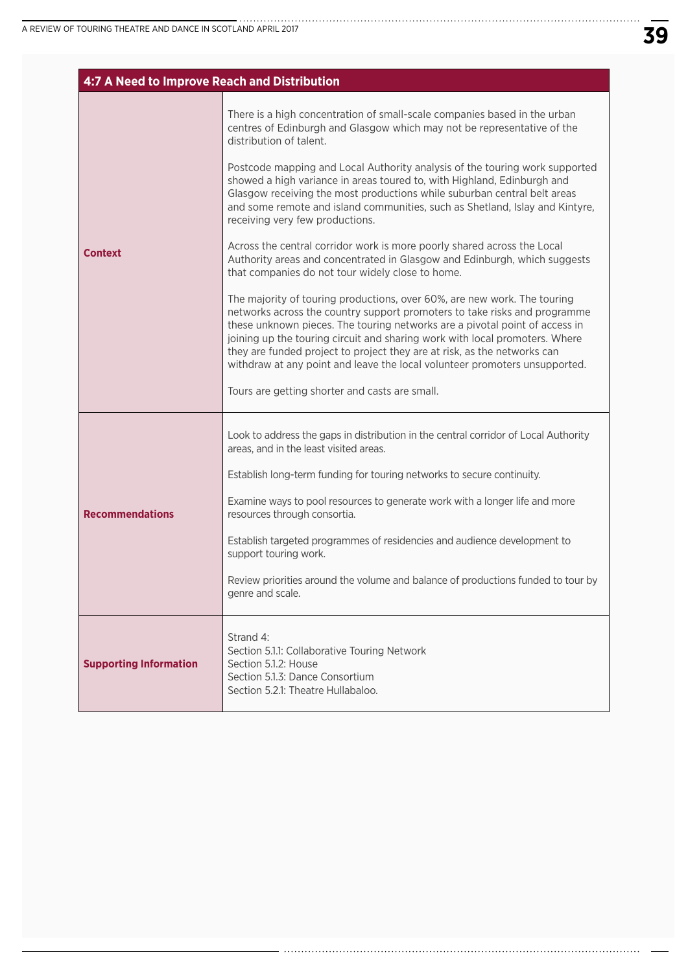| 4:7 A Need to Improve Reach and Distribution |                                                                                                                                                                                                                                                                                                                                                                                                                                                                               |
|----------------------------------------------|-------------------------------------------------------------------------------------------------------------------------------------------------------------------------------------------------------------------------------------------------------------------------------------------------------------------------------------------------------------------------------------------------------------------------------------------------------------------------------|
| <b>Context</b>                               | There is a high concentration of small-scale companies based in the urban<br>centres of Edinburgh and Glasgow which may not be representative of the<br>distribution of talent.                                                                                                                                                                                                                                                                                               |
|                                              | Postcode mapping and Local Authority analysis of the touring work supported<br>showed a high variance in areas toured to, with Highland, Edinburgh and<br>Glasgow receiving the most productions while suburban central belt areas<br>and some remote and island communities, such as Shetland, Islay and Kintyre,<br>receiving very few productions.                                                                                                                         |
|                                              | Across the central corridor work is more poorly shared across the Local<br>Authority areas and concentrated in Glasgow and Edinburgh, which suggests<br>that companies do not tour widely close to home.                                                                                                                                                                                                                                                                      |
|                                              | The majority of touring productions, over 60%, are new work. The touring<br>networks across the country support promoters to take risks and programme<br>these unknown pieces. The touring networks are a pivotal point of access in<br>joining up the touring circuit and sharing work with local promoters. Where<br>they are funded project to project they are at risk, as the networks can<br>withdraw at any point and leave the local volunteer promoters unsupported. |
|                                              | Tours are getting shorter and casts are small.                                                                                                                                                                                                                                                                                                                                                                                                                                |
|                                              | Look to address the gaps in distribution in the central corridor of Local Authority<br>areas, and in the least visited areas.                                                                                                                                                                                                                                                                                                                                                 |
|                                              | Establish long-term funding for touring networks to secure continuity.                                                                                                                                                                                                                                                                                                                                                                                                        |
| <b>Recommendations</b>                       | Examine ways to pool resources to generate work with a longer life and more<br>resources through consortia.                                                                                                                                                                                                                                                                                                                                                                   |
|                                              | Establish targeted programmes of residencies and audience development to<br>support touring work.                                                                                                                                                                                                                                                                                                                                                                             |
|                                              | Review priorities around the volume and balance of productions funded to tour by<br>genre and scale.                                                                                                                                                                                                                                                                                                                                                                          |
| <b>Supporting Information</b>                | Strand 4:<br>Section 5.1.1: Collaborative Touring Network<br>Section 5.1.2: House<br>Section 5.1.3: Dance Consortium<br>Section 5.2.1: Theatre Hullabaloo.                                                                                                                                                                                                                                                                                                                    |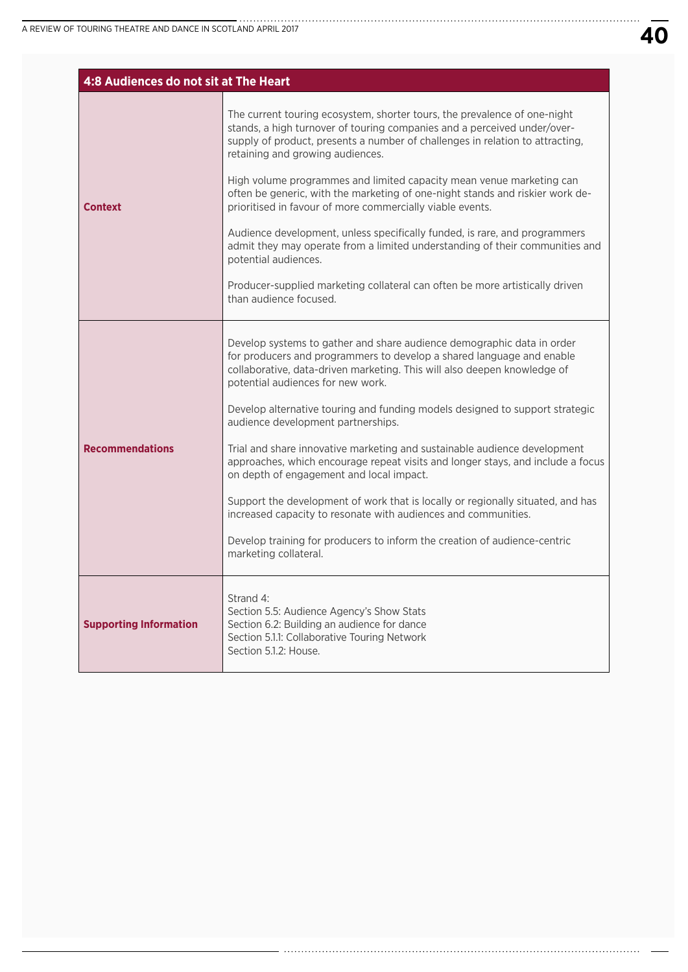| 4:8 Audiences do not sit at The Heart |                                                                                                                                                                                                                                                                                                                                                                                                                                                                                                                                                                                                                                                                                                                                                                                                                                                               |
|---------------------------------------|---------------------------------------------------------------------------------------------------------------------------------------------------------------------------------------------------------------------------------------------------------------------------------------------------------------------------------------------------------------------------------------------------------------------------------------------------------------------------------------------------------------------------------------------------------------------------------------------------------------------------------------------------------------------------------------------------------------------------------------------------------------------------------------------------------------------------------------------------------------|
| <b>Context</b>                        | The current touring ecosystem, shorter tours, the prevalence of one-night<br>stands, a high turnover of touring companies and a perceived under/over-<br>supply of product, presents a number of challenges in relation to attracting,<br>retaining and growing audiences.<br>High volume programmes and limited capacity mean venue marketing can<br>often be generic, with the marketing of one-night stands and riskier work de-<br>prioritised in favour of more commercially viable events.<br>Audience development, unless specifically funded, is rare, and programmers<br>admit they may operate from a limited understanding of their communities and<br>potential audiences.<br>Producer-supplied marketing collateral can often be more artistically driven<br>than audience focused.                                                              |
| <b>Recommendations</b>                | Develop systems to gather and share audience demographic data in order<br>for producers and programmers to develop a shared language and enable<br>collaborative, data-driven marketing. This will also deepen knowledge of<br>potential audiences for new work.<br>Develop alternative touring and funding models designed to support strategic<br>audience development partnerships.<br>Trial and share innovative marketing and sustainable audience development<br>approaches, which encourage repeat visits and longer stays, and include a focus<br>on depth of engagement and local impact.<br>Support the development of work that is locally or regionally situated, and has<br>increased capacity to resonate with audiences and communities.<br>Develop training for producers to inform the creation of audience-centric<br>marketing collateral. |
| <b>Supporting Information</b>         | Strand 4:<br>Section 5.5: Audience Agency's Show Stats<br>Section 6.2: Building an audience for dance<br>Section 5.1.1: Collaborative Touring Network<br>Section 5.1.2: House.                                                                                                                                                                                                                                                                                                                                                                                                                                                                                                                                                                                                                                                                                |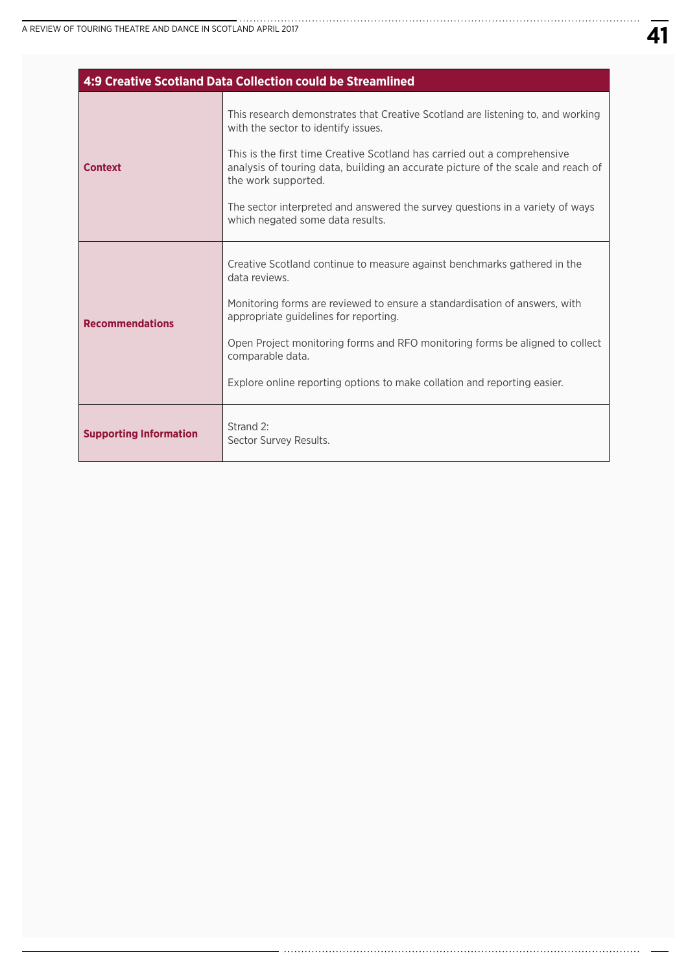| 4:9 Creative Scotland Data Collection could be Streamlined |                                                                                                                                                                                                                                                                                                                                                                                                                                    |
|------------------------------------------------------------|------------------------------------------------------------------------------------------------------------------------------------------------------------------------------------------------------------------------------------------------------------------------------------------------------------------------------------------------------------------------------------------------------------------------------------|
| <b>Context</b>                                             | This research demonstrates that Creative Scotland are listening to, and working<br>with the sector to identify issues.<br>This is the first time Creative Scotland has carried out a comprehensive<br>analysis of touring data, building an accurate picture of the scale and reach of<br>the work supported.<br>The sector interpreted and answered the survey questions in a variety of ways<br>which negated some data results. |
| <b>Recommendations</b>                                     | Creative Scotland continue to measure against benchmarks gathered in the<br>data reviews.<br>Monitoring forms are reviewed to ensure a standardisation of answers, with<br>appropriate guidelines for reporting.<br>Open Project monitoring forms and RFO monitoring forms be aligned to collect<br>comparable data.<br>Explore online reporting options to make collation and reporting easier.                                   |
| <b>Supporting Information</b>                              | Strand 2:<br>Sector Survey Results.                                                                                                                                                                                                                                                                                                                                                                                                |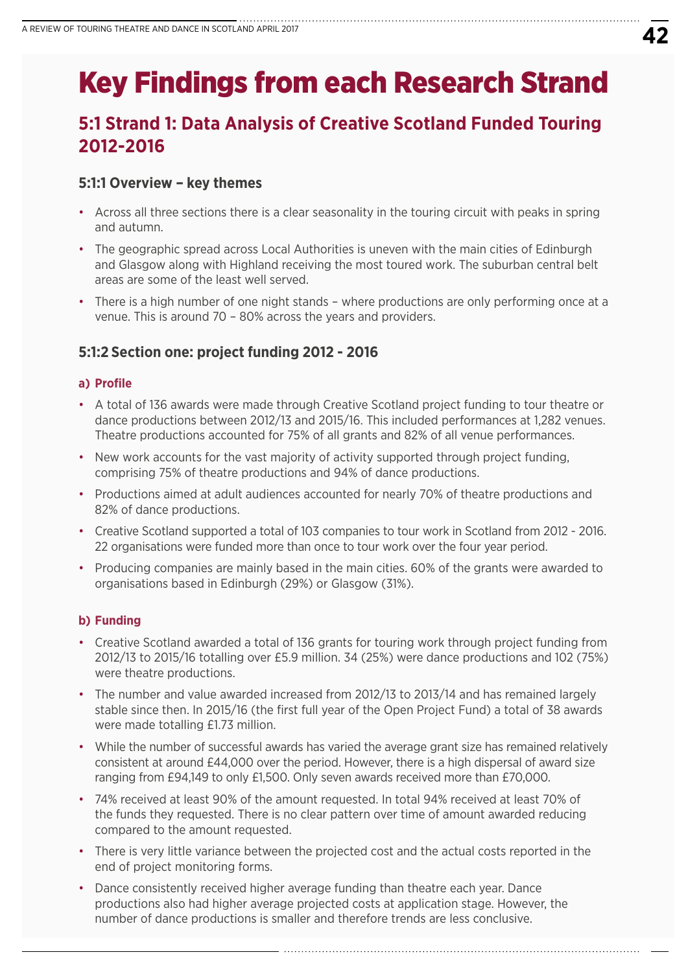# Key Findings from each Research Strand

# **5:1 Strand 1: Data Analysis of Creative Scotland Funded Touring 2012-2016**

## **5:1:1 Overview – key themes**

- Across all three sections there is a clear seasonality in the touring circuit with peaks in spring and autumn.
- The geographic spread across Local Authorities is uneven with the main cities of Edinburgh and Glasgow along with Highland receiving the most toured work. The suburban central belt areas are some of the least well served.
- There is a high number of one night stands where productions are only performing once at a venue. This is around 70 – 80% across the years and providers.

## **5:1:2 Section one: project funding 2012 - 2016**

#### **a) Profile**

- A total of 136 awards were made through Creative Scotland project funding to tour theatre or dance productions between 2012/13 and 2015/16. This included performances at 1,282 venues. Theatre productions accounted for 75% of all grants and 82% of all venue performances.
- New work accounts for the vast majority of activity supported through project funding, comprising 75% of theatre productions and 94% of dance productions.
- Productions aimed at adult audiences accounted for nearly 70% of theatre productions and 82% of dance productions.
- Creative Scotland supported a total of 103 companies to tour work in Scotland from 2012 2016. 22 organisations were funded more than once to tour work over the four year period.
- Producing companies are mainly based in the main cities. 60% of the grants were awarded to organisations based in Edinburgh (29%) or Glasgow (31%).

### **b) Funding**

- Creative Scotland awarded a total of 136 grants for touring work through project funding from 2012/13 to 2015/16 totalling over £5.9 million. 34 (25%) were dance productions and 102 (75%) were theatre productions.
- The number and value awarded increased from 2012/13 to 2013/14 and has remained largely stable since then. In 2015/16 (the first full year of the Open Project Fund) a total of 38 awards were made totalling £1.73 million.
- While the number of successful awards has varied the average grant size has remained relatively consistent at around £44,000 over the period. However, there is a high dispersal of award size ranging from £94,149 to only £1,500. Only seven awards received more than £70,000.
- 74% received at least 90% of the amount requested. In total 94% received at least 70% of the funds they requested. There is no clear pattern over time of amount awarded reducing compared to the amount requested.
- There is very little variance between the projected cost and the actual costs reported in the end of project monitoring forms.
- Dance consistently received higher average funding than theatre each year. Dance productions also had higher average projected costs at application stage. However, the number of dance productions is smaller and therefore trends are less conclusive.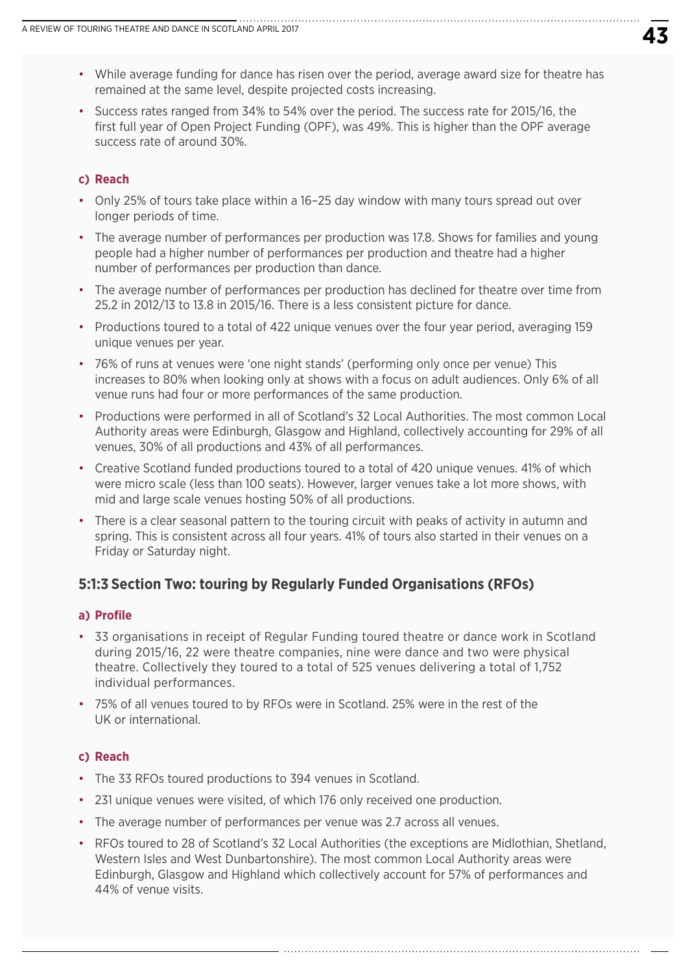- While average funding for dance has risen over the period, average award size for theatre has remained at the same level, despite projected costs increasing.
- Success rates ranged from 34% to 54% over the period. The success rate for 2015/16, the first full year of Open Project Funding (OPF), was 49%. This is higher than the OPF average success rate of around 30%.

#### **c) Reach**

- Only 25% of tours take place within a 16–25 day window with many tours spread out over longer periods of time.
- The average number of performances per production was 17.8. Shows for families and young people had a higher number of performances per production and theatre had a higher number of performances per production than dance.
- The average number of performances per production has declined for theatre over time from 25.2 in 2012/13 to 13.8 in 2015/16. There is a less consistent picture for dance.
- Productions toured to a total of 422 unique venues over the four year period, averaging 159 unique venues per year.
- 76% of runs at venues were 'one night stands' (performing only once per venue) This increases to 80% when looking only at shows with a focus on adult audiences. Only 6% of all venue runs had four or more performances of the same production.
- Productions were performed in all of Scotland's 32 Local Authorities. The most common Local Authority areas were Edinburgh, Glasgow and Highland, collectively accounting for 29% of all venues, 30% of all productions and 43% of all performances.
- Creative Scotland funded productions toured to a total of 420 unique venues. 41% of which were micro scale (less than 100 seats). However, larger venues take a lot more shows, with mid and large scale venues hosting 50% of all productions.
- There is a clear seasonal pattern to the touring circuit with peaks of activity in autumn and spring. This is consistent across all four years. 41% of tours also started in their venues on a Friday or Saturday night.

### **5:1:3 Section Two: touring by Regularly Funded Organisations (RFOs)**

#### **a) Profile**

- 33 organisations in receipt of Regular Funding toured theatre or dance work in Scotland during 2015/16, 22 were theatre companies, nine were dance and two were physical theatre. Collectively they toured to a total of 525 venues delivering a total of 1,752 individual performances.
- 75% of all venues toured to by RFOs were in Scotland. 25% were in the rest of the UK or international.

#### **c) Reach**

- The 33 RFOs toured productions to 394 venues in Scotland.
- 231 unique venues were visited, of which 176 only received one production.
- The average number of performances per venue was 2.7 across all venues.
- RFOs toured to 28 of Scotland's 32 Local Authorities (the exceptions are Midlothian, Shetland, Western Isles and West Dunbartonshire). The most common Local Authority areas were Edinburgh, Glasgow and Highland which collectively account for 57% of performances and 44% of venue visits.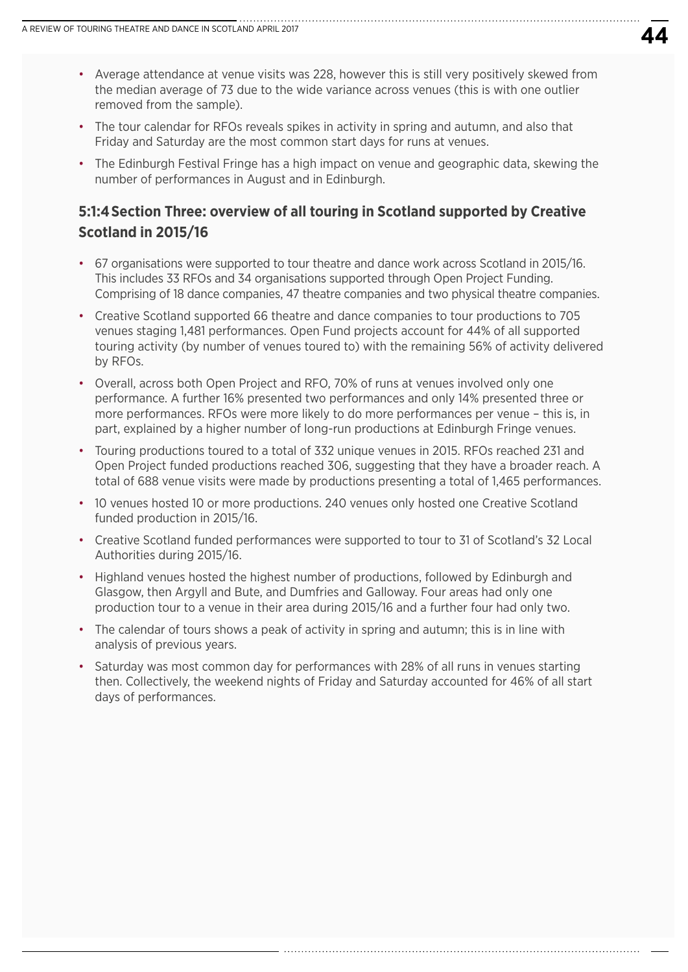- Average attendance at venue visits was 228, however this is still very positively skewed from the median average of 73 due to the wide variance across venues (this is with one outlier removed from the sample).
- The tour calendar for RFOs reveals spikes in activity in spring and autumn, and also that Friday and Saturday are the most common start days for runs at venues.
- The Edinburgh Festival Fringe has a high impact on venue and geographic data, skewing the number of performances in August and in Edinburgh.

## **5:1:4Section Three: overview of all touring in Scotland supported by Creative Scotland in 2015/16**

- 67 organisations were supported to tour theatre and dance work across Scotland in 2015/16. This includes 33 RFOs and 34 organisations supported through Open Project Funding. Comprising of 18 dance companies, 47 theatre companies and two physical theatre companies.
- Creative Scotland supported 66 theatre and dance companies to tour productions to 705 venues staging 1,481 performances. Open Fund projects account for 44% of all supported touring activity (by number of venues toured to) with the remaining 56% of activity delivered by RFOs.
- Overall, across both Open Project and RFO, 70% of runs at venues involved only one performance. A further 16% presented two performances and only 14% presented three or more performances. RFOs were more likely to do more performances per venue – this is, in part, explained by a higher number of long-run productions at Edinburgh Fringe venues.
- Touring productions toured to a total of 332 unique venues in 2015. RFOs reached 231 and Open Project funded productions reached 306, suggesting that they have a broader reach. A total of 688 venue visits were made by productions presenting a total of 1,465 performances.
- 10 venues hosted 10 or more productions. 240 venues only hosted one Creative Scotland funded production in 2015/16.
- Creative Scotland funded performances were supported to tour to 31 of Scotland's 32 Local Authorities during 2015/16.
- Highland venues hosted the highest number of productions, followed by Edinburgh and Glasgow, then Argyll and Bute, and Dumfries and Galloway. Four areas had only one production tour to a venue in their area during 2015/16 and a further four had only two.
- The calendar of tours shows a peak of activity in spring and autumn; this is in line with analysis of previous years.
- Saturday was most common day for performances with 28% of all runs in venues starting then. Collectively, the weekend nights of Friday and Saturday accounted for 46% of all start days of performances.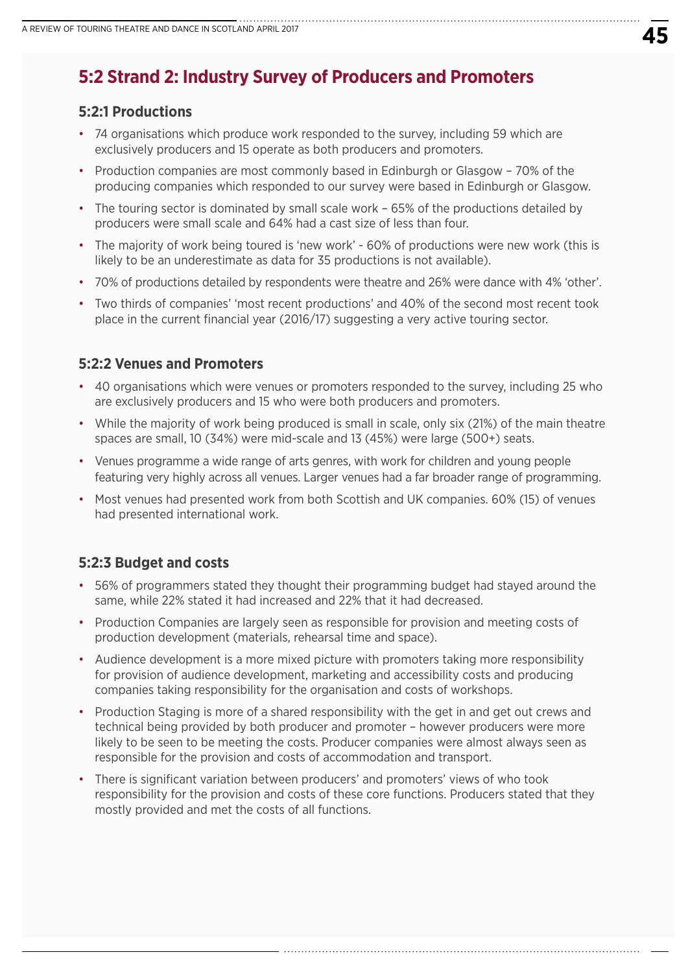# **5:2 Strand 2: Industry Survey of Producers and Promoters**

### **5:2:1 Productions**

- 74 organisations which produce work responded to the survey, including 59 which are exclusively producers and 15 operate as both producers and promoters.
- Production companies are most commonly based in Edinburgh or Glasgow 70% of the producing companies which responded to our survey were based in Edinburgh or Glasgow.
- The touring sector is dominated by small scale work 65% of the productions detailed by producers were small scale and 64% had a cast size of less than four.
- The majority of work being toured is 'new work' 60% of productions were new work (this is likely to be an underestimate as data for 35 productions is not available).
- 70% of productions detailed by respondents were theatre and 26% were dance with 4% 'other'.
- Two thirds of companies' 'most recent productions' and 40% of the second most recent took place in the current financial year (2016/17) suggesting a very active touring sector.

## **5:2:2 Venues and Promoters**

- 40 organisations which were venues or promoters responded to the survey, including 25 who are exclusively producers and 15 who were both producers and promoters.
- While the majority of work being produced is small in scale, only six (21%) of the main theatre spaces are small, 10 (34%) were mid-scale and 13 (45%) were large (500+) seats.
- Venues programme a wide range of arts genres, with work for children and young people featuring very highly across all venues. Larger venues had a far broader range of programming.
- Most venues had presented work from both Scottish and UK companies. 60% (15) of venues had presented international work.

## **5:2:3 Budget and costs**

- 56% of programmers stated they thought their programming budget had stayed around the same, while 22% stated it had increased and 22% that it had decreased.
- Production Companies are largely seen as responsible for provision and meeting costs of production development (materials, rehearsal time and space).
- Audience development is a more mixed picture with promoters taking more responsibility for provision of audience development, marketing and accessibility costs and producing companies taking responsibility for the organisation and costs of workshops.
- Production Staging is more of a shared responsibility with the get in and get out crews and technical being provided by both producer and promoter – however producers were more likely to be seen to be meeting the costs. Producer companies were almost always seen as responsible for the provision and costs of accommodation and transport.
- There is significant variation between producers' and promoters' views of who took responsibility for the provision and costs of these core functions. Producers stated that they mostly provided and met the costs of all functions.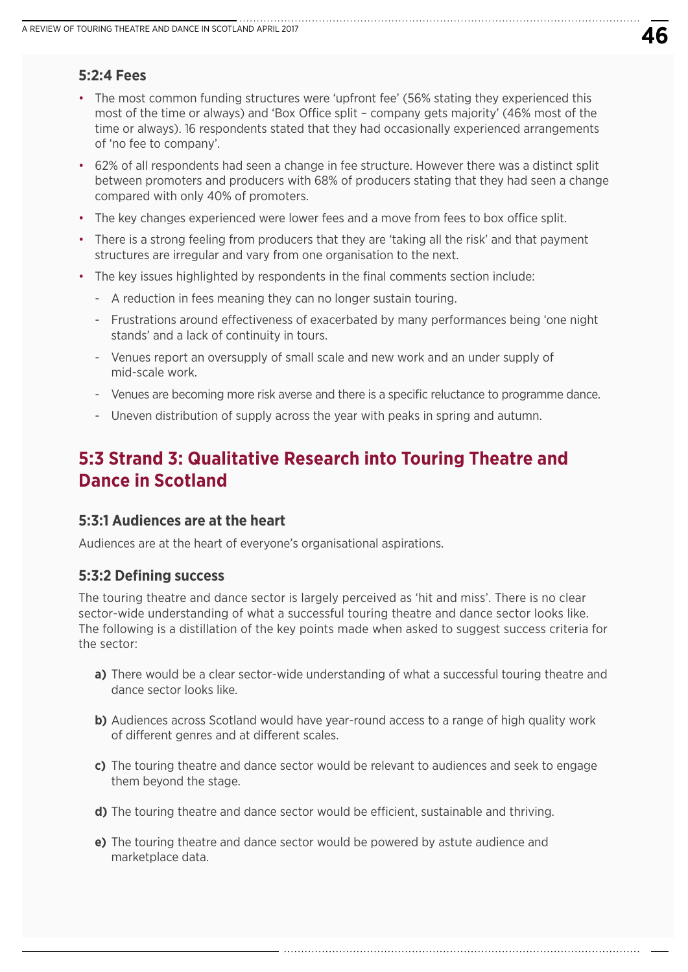## **5:2:4 Fees**

- The most common funding structures were 'upfront fee' (56% stating they experienced this most of the time or always) and 'Box Office split – company gets majority' (46% most of the time or always). 16 respondents stated that they had occasionally experienced arrangements of 'no fee to company'.
- 62% of all respondents had seen a change in fee structure. However there was a distinct split between promoters and producers with 68% of producers stating that they had seen a change compared with only 40% of promoters.
- The key changes experienced were lower fees and a move from fees to box office split.
- There is a strong feeling from producers that they are 'taking all the risk' and that payment structures are irregular and vary from one organisation to the next.
- The key issues highlighted by respondents in the final comments section include:
	- A reduction in fees meaning they can no longer sustain touring.
	- Frustrations around effectiveness of exacerbated by many performances being 'one night stands' and a lack of continuity in tours.
	- Venues report an oversupply of small scale and new work and an under supply of mid-scale work.
	- Venues are becoming more risk averse and there is a specific reluctance to programme dance.
	- Uneven distribution of supply across the year with peaks in spring and autumn.

## **5:3 Strand 3: Qualitative Research into Touring Theatre and Dance in Scotland**

#### **5:3:1 Audiences are at the heart**

Audiences are at the heart of everyone's organisational aspirations.

#### **5:3:2 Defining success**

The touring theatre and dance sector is largely perceived as 'hit and miss'. There is no clear sector-wide understanding of what a successful touring theatre and dance sector looks like. The following is a distillation of the key points made when asked to suggest success criteria for the sector:

- **a)** There would be a clear sector-wide understanding of what a successful touring theatre and dance sector looks like.
- **b)** Audiences across Scotland would have year-round access to a range of high quality work of different genres and at different scales.
- **c)** The touring theatre and dance sector would be relevant to audiences and seek to engage them beyond the stage.

- **d)** The touring theatre and dance sector would be efficient, sustainable and thriving.
- **e)** The touring theatre and dance sector would be powered by astute audience and marketplace data.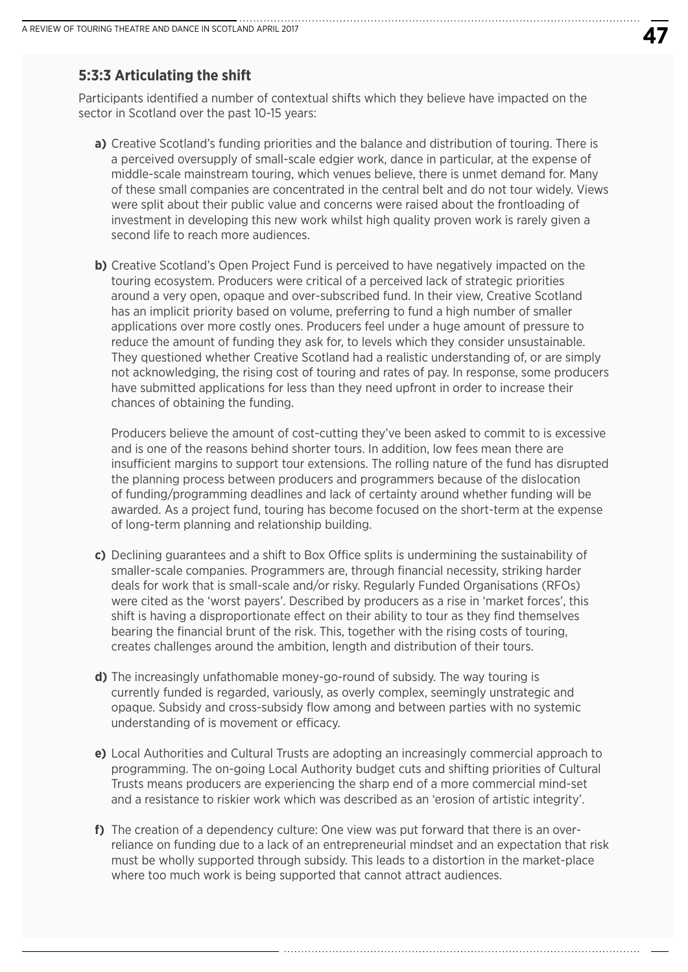### **5:3:3 Articulating the shift**

Participants identified a number of contextual shifts which they believe have impacted on the sector in Scotland over the past 10-15 years:

- **a)** Creative Scotland's funding priorities and the balance and distribution of touring. There is a perceived oversupply of small-scale edgier work, dance in particular, at the expense of middle-scale mainstream touring, which venues believe, there is unmet demand for. Many of these small companies are concentrated in the central belt and do not tour widely. Views were split about their public value and concerns were raised about the frontloading of investment in developing this new work whilst high quality proven work is rarely given a second life to reach more audiences.
- **b)** Creative Scotland's Open Project Fund is perceived to have negatively impacted on the touring ecosystem. Producers were critical of a perceived lack of strategic priorities around a very open, opaque and over-subscribed fund. In their view, Creative Scotland has an implicit priority based on volume, preferring to fund a high number of smaller applications over more costly ones. Producers feel under a huge amount of pressure to reduce the amount of funding they ask for, to levels which they consider unsustainable. They questioned whether Creative Scotland had a realistic understanding of, or are simply not acknowledging, the rising cost of touring and rates of pay. In response, some producers have submitted applications for less than they need upfront in order to increase their chances of obtaining the funding.

 Producers believe the amount of cost-cutting they've been asked to commit to is excessive and is one of the reasons behind shorter tours. In addition, low fees mean there are insufficient margins to support tour extensions. The rolling nature of the fund has disrupted the planning process between producers and programmers because of the dislocation of funding/programming deadlines and lack of certainty around whether funding will be awarded. As a project fund, touring has become focused on the short-term at the expense of long-term planning and relationship building.

- **c)** Declining guarantees and a shift to Box Office splits is undermining the sustainability of smaller-scale companies. Programmers are, through financial necessity, striking harder deals for work that is small-scale and/or risky. Regularly Funded Organisations (RFOs) were cited as the 'worst payers'. Described by producers as a rise in 'market forces', this shift is having a disproportionate effect on their ability to tour as they find themselves bearing the financial brunt of the risk. This, together with the rising costs of touring, creates challenges around the ambition, length and distribution of their tours.
- **d)** The increasingly unfathomable money-go-round of subsidy. The way touring is currently funded is regarded, variously, as overly complex, seemingly unstrategic and opaque. Subsidy and cross-subsidy flow among and between parties with no systemic understanding of is movement or efficacy.
- **e)** Local Authorities and Cultural Trusts are adopting an increasingly commercial approach to programming. The on-going Local Authority budget cuts and shifting priorities of Cultural Trusts means producers are experiencing the sharp end of a more commercial mind-set and a resistance to riskier work which was described as an 'erosion of artistic integrity'.
- **f)** The creation of a dependency culture: One view was put forward that there is an overreliance on funding due to a lack of an entrepreneurial mindset and an expectation that risk must be wholly supported through subsidy. This leads to a distortion in the market-place where too much work is being supported that cannot attract audiences.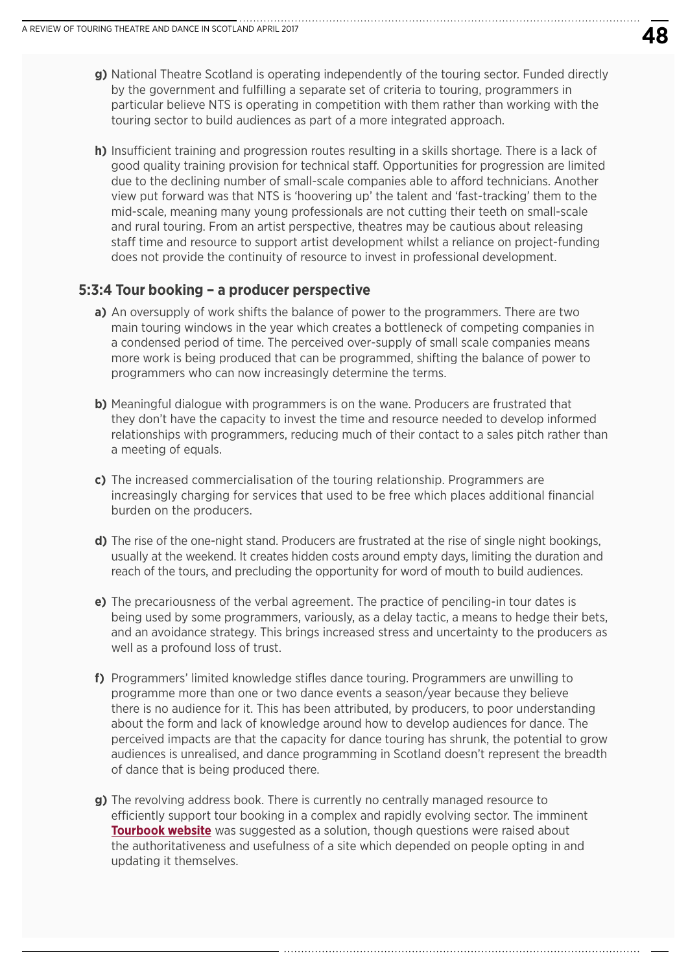- **g)** National Theatre Scotland is operating independently of the touring sector. Funded directly by the government and fulfilling a separate set of criteria to touring, programmers in particular believe NTS is operating in competition with them rather than working with the touring sector to build audiences as part of a more integrated approach.
- **h)** Insufficient training and progression routes resulting in a skills shortage. There is a lack of good quality training provision for technical staff. Opportunities for progression are limited due to the declining number of small-scale companies able to afford technicians. Another view put forward was that NTS is 'hoovering up' the talent and 'fast-tracking' them to the mid-scale, meaning many young professionals are not cutting their teeth on small-scale and rural touring. From an artist perspective, theatres may be cautious about releasing staff time and resource to support artist development whilst a reliance on project-funding does not provide the continuity of resource to invest in professional development.

### **5:3:4 Tour booking – a producer perspective**

- **a)** An oversupply of work shifts the balance of power to the programmers. There are two main touring windows in the year which creates a bottleneck of competing companies in a condensed period of time. The perceived over-supply of small scale companies means more work is being produced that can be programmed, shifting the balance of power to programmers who can now increasingly determine the terms.
- **b**) Meaningful dialogue with programmers is on the wane. Producers are frustrated that they don't have the capacity to invest the time and resource needed to develop informed relationships with programmers, reducing much of their contact to a sales pitch rather than a meeting of equals.
- **c)** The increased commercialisation of the touring relationship. Programmers are increasingly charging for services that used to be free which places additional financial burden on the producers.
- **d)** The rise of the one-night stand. Producers are frustrated at the rise of single night bookings, usually at the weekend. It creates hidden costs around empty days, limiting the duration and reach of the tours, and precluding the opportunity for word of mouth to build audiences.
- **e)** The precariousness of the verbal agreement. The practice of penciling-in tour dates is being used by some programmers, variously, as a delay tactic, a means to hedge their bets, and an avoidance strategy. This brings increased stress and uncertainty to the producers as well as a profound loss of trust.
- **f)** Programmers' limited knowledge stifles dance touring. Programmers are unwilling to programme more than one or two dance events a season/year because they believe there is no audience for it. This has been attributed, by producers, to poor understanding about the form and lack of knowledge around how to develop audiences for dance. The perceived impacts are that the capacity for dance touring has shrunk, the potential to grow audiences is unrealised, and dance programming in Scotland doesn't represent the breadth of dance that is being produced there.
- **g)** The revolving address book. There is currently no centrally managed resource to efficiently support tour booking in a complex and rapidly evolving sector. The imminent **[Tourbook website](http://tourbook.live/)** was suggested as a solution, though questions were raised about the authoritativeness and usefulness of a site which depended on people opting in and updating it themselves.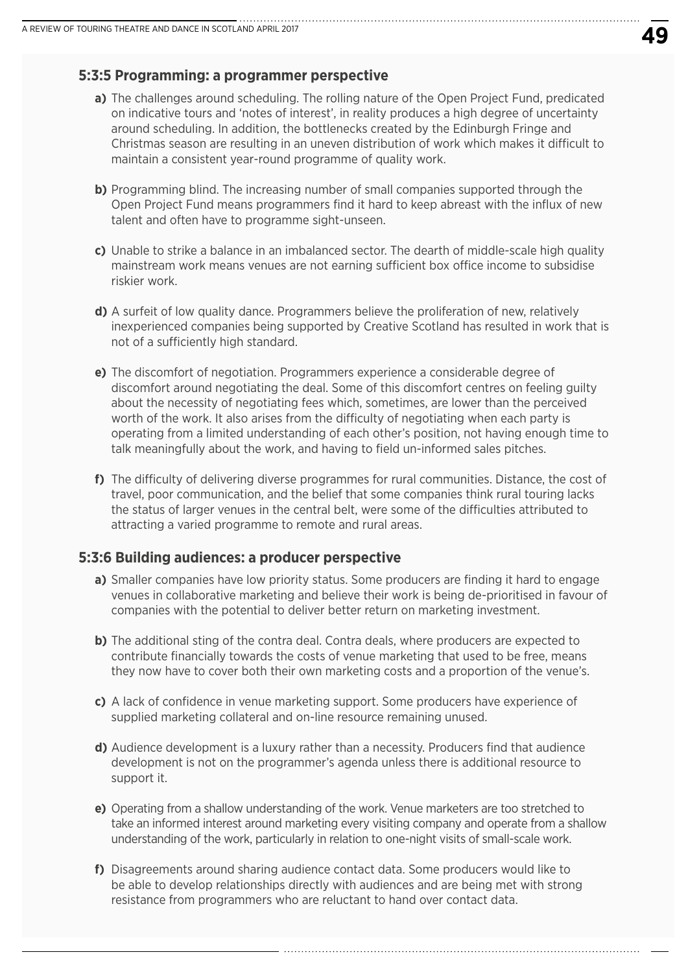#### **5:3:5 Programming: a programmer perspective**

- **a)** The challenges around scheduling. The rolling nature of the Open Project Fund, predicated on indicative tours and 'notes of interest', in reality produces a high degree of uncertainty around scheduling. In addition, the bottlenecks created by the Edinburgh Fringe and Christmas season are resulting in an uneven distribution of work which makes it difficult to maintain a consistent year-round programme of quality work.
- **b)** Programming blind. The increasing number of small companies supported through the Open Project Fund means programmers find it hard to keep abreast with the influx of new talent and often have to programme sight-unseen.
- **c)** Unable to strike a balance in an imbalanced sector. The dearth of middle-scale high quality mainstream work means venues are not earning sufficient box office income to subsidise riskier work.
- **d)** A surfeit of low quality dance. Programmers believe the proliferation of new, relatively inexperienced companies being supported by Creative Scotland has resulted in work that is not of a sufficiently high standard.
- **e)** The discomfort of negotiation. Programmers experience a considerable degree of discomfort around negotiating the deal. Some of this discomfort centres on feeling guilty about the necessity of negotiating fees which, sometimes, are lower than the perceived worth of the work. It also arises from the difficulty of negotiating when each party is operating from a limited understanding of each other's position, not having enough time to talk meaningfully about the work, and having to field un-informed sales pitches.
- **f)** The difficulty of delivering diverse programmes for rural communities. Distance, the cost of travel, poor communication, and the belief that some companies think rural touring lacks the status of larger venues in the central belt, were some of the difficulties attributed to attracting a varied programme to remote and rural areas.

#### **5:3:6 Building audiences: a producer perspective**

- **a)** Smaller companies have low priority status. Some producers are finding it hard to engage venues in collaborative marketing and believe their work is being de-prioritised in favour of companies with the potential to deliver better return on marketing investment.
- **b)** The additional sting of the contra deal. Contra deals, where producers are expected to contribute financially towards the costs of venue marketing that used to be free, means they now have to cover both their own marketing costs and a proportion of the venue's.
- **c)** A lack of confidence in venue marketing support. Some producers have experience of supplied marketing collateral and on-line resource remaining unused.
- **d)** Audience development is a luxury rather than a necessity. Producers find that audience development is not on the programmer's agenda unless there is additional resource to support it.
- **e)** Operating from a shallow understanding of the work. Venue marketers are too stretched to take an informed interest around marketing every visiting company and operate from a shallow understanding of the work, particularly in relation to one-night visits of small-scale work.

**f)** Disagreements around sharing audience contact data. Some producers would like to be able to develop relationships directly with audiences and are being met with strong resistance from programmers who are reluctant to hand over contact data.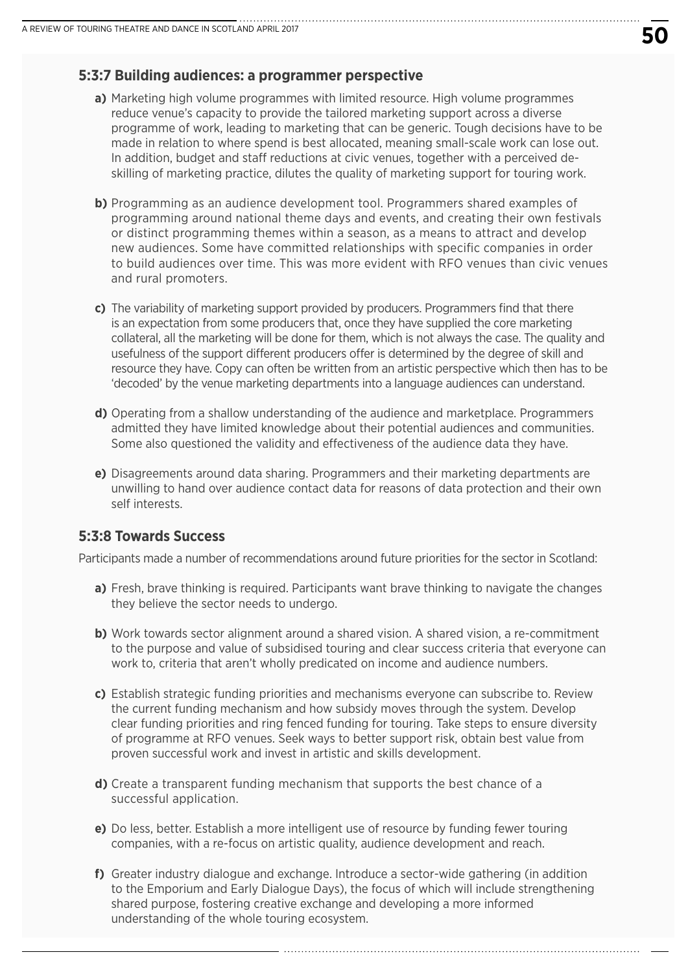#### **5:3:7 Building audiences: a programmer perspective**

- **a)** Marketing high volume programmes with limited resource. High volume programmes reduce venue's capacity to provide the tailored marketing support across a diverse programme of work, leading to marketing that can be generic. Tough decisions have to be made in relation to where spend is best allocated, meaning small-scale work can lose out. In addition, budget and staff reductions at civic venues, together with a perceived deskilling of marketing practice, dilutes the quality of marketing support for touring work.
- **b)** Programming as an audience development tool. Programmers shared examples of programming around national theme days and events, and creating their own festivals or distinct programming themes within a season, as a means to attract and develop new audiences. Some have committed relationships with specific companies in order to build audiences over time. This was more evident with RFO venues than civic venues and rural promoters.
- **c)** The variability of marketing support provided by producers. Programmers find that there is an expectation from some producers that, once they have supplied the core marketing collateral, all the marketing will be done for them, which is not always the case. The quality and usefulness of the support different producers offer is determined by the degree of skill and resource they have. Copy can often be written from an artistic perspective which then has to be 'decoded' by the venue marketing departments into a language audiences can understand.
- **d)** Operating from a shallow understanding of the audience and marketplace. Programmers admitted they have limited knowledge about their potential audiences and communities. Some also questioned the validity and effectiveness of the audience data they have.
- **e)** Disagreements around data sharing. Programmers and their marketing departments are unwilling to hand over audience contact data for reasons of data protection and their own self interests.

#### **5:3:8 Towards Success**

Participants made a number of recommendations around future priorities for the sector in Scotland:

- **a)** Fresh, brave thinking is required. Participants want brave thinking to navigate the changes they believe the sector needs to undergo.
- **b)** Work towards sector alignment around a shared vision. A shared vision, a re-commitment to the purpose and value of subsidised touring and clear success criteria that everyone can work to, criteria that aren't wholly predicated on income and audience numbers.
- **c)** Establish strategic funding priorities and mechanisms everyone can subscribe to. Review the current funding mechanism and how subsidy moves through the system. Develop clear funding priorities and ring fenced funding for touring. Take steps to ensure diversity of programme at RFO venues. Seek ways to better support risk, obtain best value from proven successful work and invest in artistic and skills development.
- **d)** Create a transparent funding mechanism that supports the best chance of a successful application.
- **e)** Do less, better. Establish a more intelligent use of resource by funding fewer touring companies, with a re-focus on artistic quality, audience development and reach.
- **f)** Greater industry dialogue and exchange. Introduce a sector-wide gathering (in addition to the Emporium and Early Dialogue Days), the focus of which will include strengthening shared purpose, fostering creative exchange and developing a more informed understanding of the whole touring ecosystem.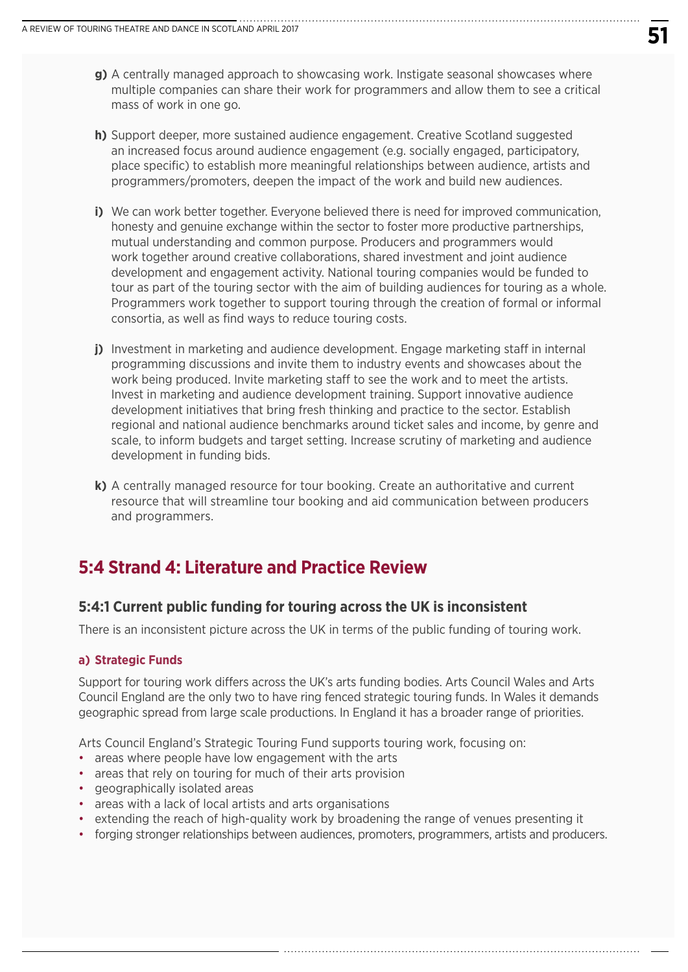- **g)** A centrally managed approach to showcasing work. Instigate seasonal showcases where multiple companies can share their work for programmers and allow them to see a critical mass of work in one go.
- **h)** Support deeper, more sustained audience engagement. Creative Scotland suggested an increased focus around audience engagement (e.g. socially engaged, participatory, place specific) to establish more meaningful relationships between audience, artists and programmers/promoters, deepen the impact of the work and build new audiences.
- **i)** We can work better together. Everyone believed there is need for improved communication, honesty and genuine exchange within the sector to foster more productive partnerships, mutual understanding and common purpose. Producers and programmers would work together around creative collaborations, shared investment and joint audience development and engagement activity. National touring companies would be funded to tour as part of the touring sector with the aim of building audiences for touring as a whole. Programmers work together to support touring through the creation of formal or informal consortia, as well as find ways to reduce touring costs.
- **j**) Investment in marketing and audience development. Engage marketing staff in internal programming discussions and invite them to industry events and showcases about the work being produced. Invite marketing staff to see the work and to meet the artists. Invest in marketing and audience development training. Support innovative audience development initiatives that bring fresh thinking and practice to the sector. Establish regional and national audience benchmarks around ticket sales and income, by genre and scale, to inform budgets and target setting. Increase scrutiny of marketing and audience development in funding bids.
- **k)** A centrally managed resource for tour booking. Create an authoritative and current resource that will streamline tour booking and aid communication between producers and programmers.

## **5:4 Strand 4: Literature and Practice Review**

### **5:4:1 Current public funding for touring across the UK is inconsistent**

There is an inconsistent picture across the UK in terms of the public funding of touring work.

#### **a) Strategic Funds**

Support for touring work differs across the UK's arts funding bodies. Arts Council Wales and Arts Council England are the only two to have ring fenced strategic touring funds. In Wales it demands geographic spread from large scale productions. In England it has a broader range of priorities.

Arts Council England's Strategic Touring Fund supports touring work, focusing on:

- areas where people have low engagement with the arts
- areas that rely on touring for much of their arts provision
- geographically isolated areas
- areas with a lack of local artists and arts organisations
- extending the reach of high-quality work by broadening the range of venues presenting it
- forging stronger relationships between audiences, promoters, programmers, artists and producers.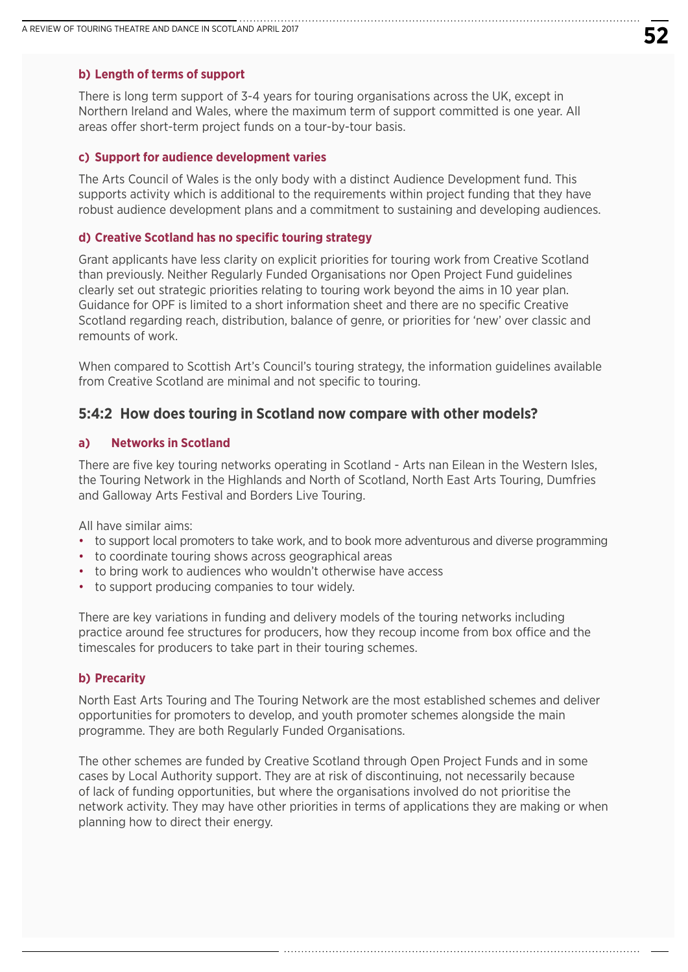#### **b) Length of terms of support**

There is long term support of 3-4 years for touring organisations across the UK, except in Northern Ireland and Wales, where the maximum term of support committed is one year. All areas offer short-term project funds on a tour-by-tour basis.

#### **c) Support for audience development varies**

The Arts Council of Wales is the only body with a distinct Audience Development fund. This supports activity which is additional to the requirements within project funding that they have robust audience development plans and a commitment to sustaining and developing audiences.

#### **d) Creative Scotland has no specific touring strategy**

Grant applicants have less clarity on explicit priorities for touring work from Creative Scotland than previously. Neither Regularly Funded Organisations nor Open Project Fund guidelines clearly set out strategic priorities relating to touring work beyond the aims in 10 year plan. Guidance for OPF is limited to a short information sheet and there are no specific Creative Scotland regarding reach, distribution, balance of genre, or priorities for 'new' over classic and remounts of work.

When compared to Scottish Art's Council's touring strategy, the information guidelines available from Creative Scotland are minimal and not specific to touring.

#### **5:4:2 How does touring in Scotland now compare with other models?**

#### **a) Networks in Scotland**

There are five key touring networks operating in Scotland - Arts nan Eilean in the Western Isles, the Touring Network in the Highlands and North of Scotland, North East Arts Touring, Dumfries and Galloway Arts Festival and Borders Live Touring.

All have similar aims:

- to support local promoters to take work, and to book more adventurous and diverse programming
- to coordinate touring shows across geographical areas
- to bring work to audiences who wouldn't otherwise have access
- to support producing companies to tour widely.

There are key variations in funding and delivery models of the touring networks including practice around fee structures for producers, how they recoup income from box office and the timescales for producers to take part in their touring schemes.

#### **b) Precarity**

North East Arts Touring and The Touring Network are the most established schemes and deliver opportunities for promoters to develop, and youth promoter schemes alongside the main programme. They are both Regularly Funded Organisations.

The other schemes are funded by Creative Scotland through Open Project Funds and in some cases by Local Authority support. They are at risk of discontinuing, not necessarily because of lack of funding opportunities, but where the organisations involved do not prioritise the network activity. They may have other priorities in terms of applications they are making or when planning how to direct their energy.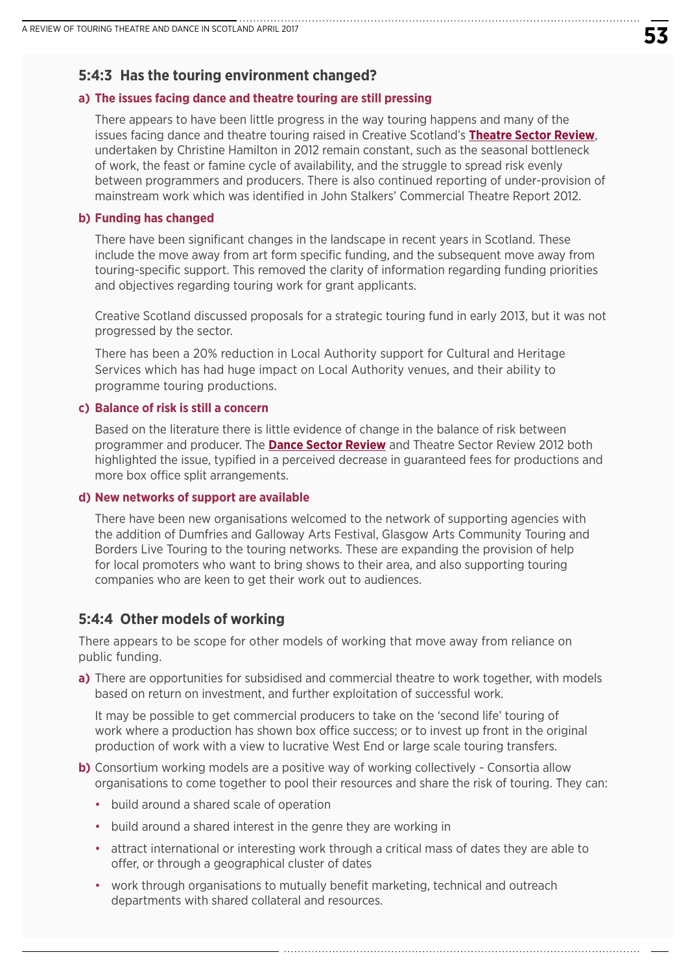### **5:4:3 Has the touring environment changed?**

#### **a) The issues facing dance and theatre touring are still pressing**

 There appears to have been little progress in the way touring happens and many of the issues facing dance and theatre touring raised in Creative Scotland's **[Theatre Sector Review](http://www.creativescotland.com/resources/our-publications/sector-reviews/theatre-sector-review)**, undertaken by Christine Hamilton in 2012 remain constant, such as the seasonal bottleneck of work, the feast or famine cycle of availability, and the struggle to spread risk evenly between programmers and producers. There is also continued reporting of under-provision of mainstream work which was identified in John Stalkers' Commercial Theatre Report 2012.

#### **b) Funding has changed**

 There have been significant changes in the landscape in recent years in Scotland. These include the move away from art form specific funding, and the subsequent move away from touring-specific support. This removed the clarity of information regarding funding priorities and objectives regarding touring work for grant applicants.

 Creative Scotland discussed proposals for a strategic touring fund in early 2013, but it was not progressed by the sector.

 There has been a 20% reduction in Local Authority support for Cultural and Heritage Services which has had huge impact on Local Authority venues, and their ability to programme touring productions.

#### **c) Balance of risk is still a concern**

 Based on the literature there is little evidence of change in the balance of risk between programmer and producer. The **[Dance Sector Review](http://www.creativescotland.com/resources/our-publications/sector-reviews/dance-sector-review)** and Theatre Sector Review 2012 both highlighted the issue, typified in a perceived decrease in guaranteed fees for productions and more box office split arrangements.

#### **d) New networks of support are available**

 There have been new organisations welcomed to the network of supporting agencies with the addition of Dumfries and Galloway Arts Festival, Glasgow Arts Community Touring and Borders Live Touring to the touring networks. These are expanding the provision of help for local promoters who want to bring shows to their area, and also supporting touring companies who are keen to get their work out to audiences.

### **5:4:4 Other models of working**

There appears to be scope for other models of working that move away from reliance on public funding.

**a)** There are opportunities for subsidised and commercial theatre to work together, with models based on return on investment, and further exploitation of successful work.

 It may be possible to get commercial producers to take on the 'second life' touring of work where a production has shown box office success; or to invest up front in the original production of work with a view to lucrative West End or large scale touring transfers.

- **b)** Consortium working models are a positive way of working collectively Consortia allow organisations to come together to pool their resources and share the risk of touring. They can:
	- build around a shared scale of operation
	- build around a shared interest in the genre they are working in
	- attract international or interesting work through a critical mass of dates they are able to offer, or through a geographical cluster of dates
	- work through organisations to mutually benefit marketing, technical and outreach departments with shared collateral and resources.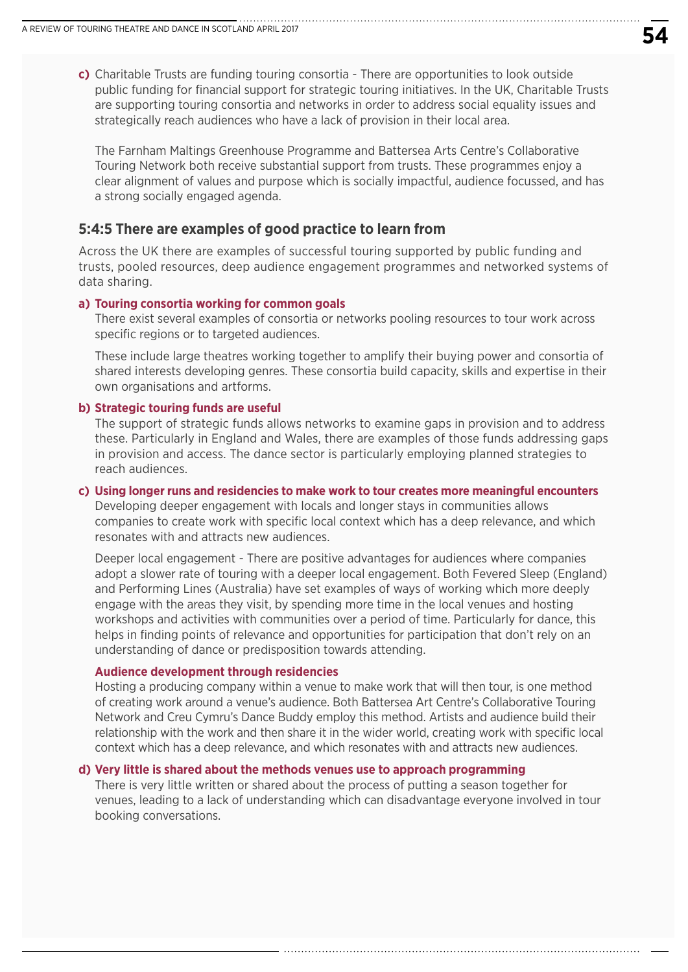**c)** Charitable Trusts are funding touring consortia - There are opportunities to look outside public funding for financial support for strategic touring initiatives. In the UK, Charitable Trusts are supporting touring consortia and networks in order to address social equality issues and strategically reach audiences who have a lack of provision in their local area.

 The Farnham Maltings Greenhouse Programme and Battersea Arts Centre's Collaborative Touring Network both receive substantial support from trusts. These programmes enjoy a clear alignment of values and purpose which is socially impactful, audience focussed, and has a strong socially engaged agenda.

#### **5:4:5 There are examples of good practice to learn from**

Across the UK there are examples of successful touring supported by public funding and trusts, pooled resources, deep audience engagement programmes and networked systems of data sharing.

#### **a) Touring consortia working for common goals**

 There exist several examples of consortia or networks pooling resources to tour work across specific regions or to targeted audiences.

 These include large theatres working together to amplify their buying power and consortia of shared interests developing genres. These consortia build capacity, skills and expertise in their own organisations and artforms.

#### **b) Strategic touring funds are useful**

 The support of strategic funds allows networks to examine gaps in provision and to address these. Particularly in England and Wales, there are examples of those funds addressing gaps in provision and access. The dance sector is particularly employing planned strategies to reach audiences.

#### **c) Using longer runs and residencies to make work to tour creates more meaningful encounters**

Developing deeper engagement with locals and longer stays in communities allows companies to create work with specific local context which has a deep relevance, and which resonates with and attracts new audiences.

 Deeper local engagement - There are positive advantages for audiences where companies adopt a slower rate of touring with a deeper local engagement. Both Fevered Sleep (England) and Performing Lines (Australia) have set examples of ways of working which more deeply engage with the areas they visit, by spending more time in the local venues and hosting workshops and activities with communities over a period of time. Particularly for dance, this helps in finding points of relevance and opportunities for participation that don't rely on an understanding of dance or predisposition towards attending.

#### **Audience development through residencies**

 Hosting a producing company within a venue to make work that will then tour, is one method of creating work around a venue's audience. Both Battersea Art Centre's Collaborative Touring Network and Creu Cymru's Dance Buddy employ this method. Artists and audience build their relationship with the work and then share it in the wider world, creating work with specific local context which has a deep relevance, and which resonates with and attracts new audiences.

#### **d) Very little is shared about the methods venues use to approach programming**

 There is very little written or shared about the process of putting a season together for venues, leading to a lack of understanding which can disadvantage everyone involved in tour booking conversations.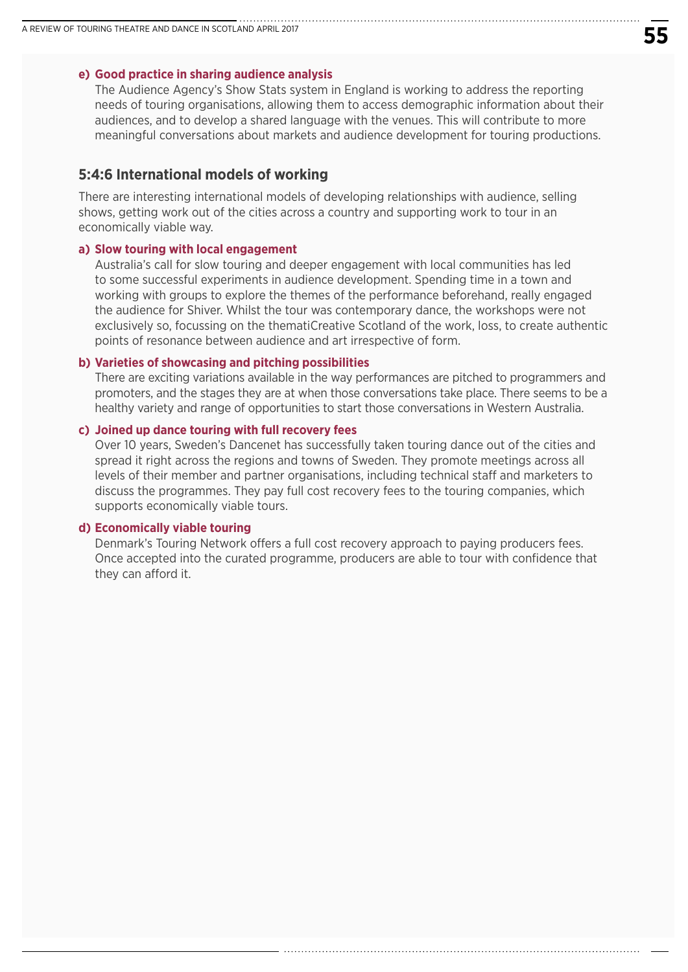#### **e) Good practice in sharing audience analysis**

The Audience Agency's Show Stats system in England is working to address the reporting needs of touring organisations, allowing them to access demographic information about their audiences, and to develop a shared language with the venues. This will contribute to more meaningful conversations about markets and audience development for touring productions.

#### **5:4:6 International models of working**

There are interesting international models of developing relationships with audience, selling shows, getting work out of the cities across a country and supporting work to tour in an economically viable way.

#### **a) Slow touring with local engagement**

 Australia's call for slow touring and deeper engagement with local communities has led to some successful experiments in audience development. Spending time in a town and working with groups to explore the themes of the performance beforehand, really engaged the audience for Shiver. Whilst the tour was contemporary dance, the workshops were not exclusively so, focussing on the thematiCreative Scotland of the work, loss, to create authentic points of resonance between audience and art irrespective of form.

#### **b) Varieties of showcasing and pitching possibilities**

 There are exciting variations available in the way performances are pitched to programmers and promoters, and the stages they are at when those conversations take place. There seems to be a healthy variety and range of opportunities to start those conversations in Western Australia.

#### **c) Joined up dance touring with full recovery fees**

 Over 10 years, Sweden's Dancenet has successfully taken touring dance out of the cities and spread it right across the regions and towns of Sweden. They promote meetings across all levels of their member and partner organisations, including technical staff and marketers to discuss the programmes. They pay full cost recovery fees to the touring companies, which supports economically viable tours.

#### **d) Economically viable touring**

 Denmark's Touring Network offers a full cost recovery approach to paying producers fees. Once accepted into the curated programme, producers are able to tour with confidence that they can afford it.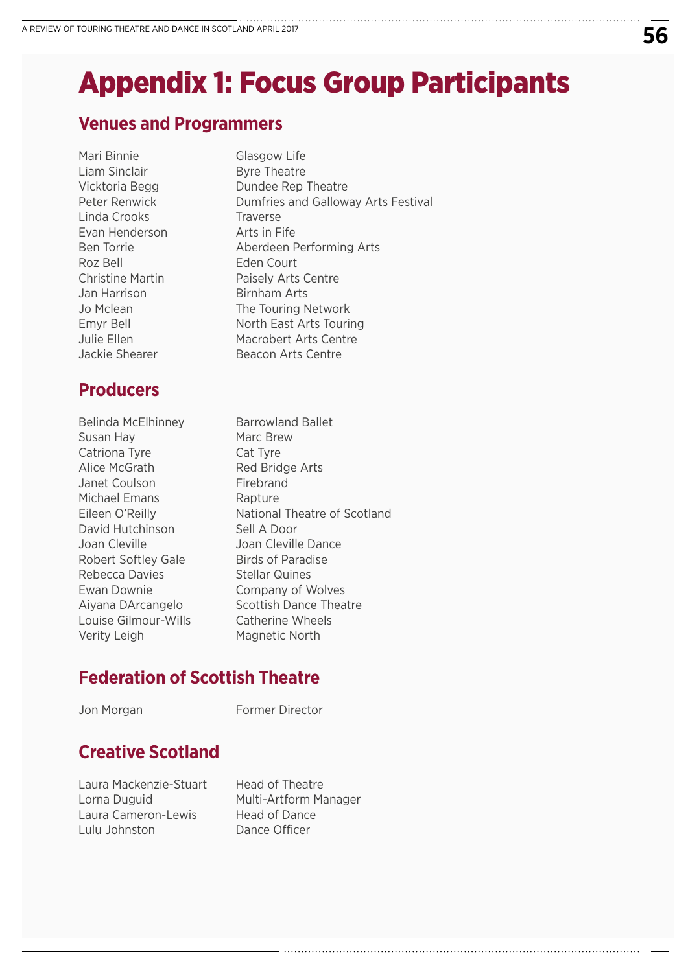# Appendix 1: Focus Group Participants

## **Venues and Programmers**

Mari Binnie Glasgow Life Liam Sinclair **Byre Theatre** Linda Crooks Traverse Evan Henderson **Arts in Fife** Roz Bell Eden Court Jan Harrison Birnham Arts

# **Producers**

Belinda McElhinney Barrowland Ballet Susan Hay Marc Brew Catriona Tyre Cat Tyre Alice McGrath Red Bridge Arts Janet Coulson Firebrand Michael Emans Rapture David Hutchinson Sell A Door Joan Cleville Joan Cleville Dance Robert Softley Gale Birds of Paradise Rebecca Davies Stellar Quines Ewan Downie Company of Wolves Louise Gilmour-Wills Catherine Wheels Verity Leigh Magnetic North

Vicktoria Begg Dundee Rep Theatre Peter Renwick **Dumfries and Galloway Arts Festival** Ben Torrie Aberdeen Performing Arts Christine Martin Paisely Arts Centre Jo Mclean The Touring Network Emyr Bell North East Arts Touring Julie Ellen Macrobert Arts Centre Jackie Shearer Beacon Arts Centre

Eileen O'Reilly National Theatre of Scotland Aiyana DArcangelo Scottish Dance Theatre

# **Federation of Scottish Theatre**

Jon Morgan **Former Director** 

# **Creative Scotland**

Laura Mackenzie-Stuart Head of Theatre Laura Cameron-Lewis Head of Dance Lulu Johnston Dance Officer

Lorna Duguid Multi-Artform Manager